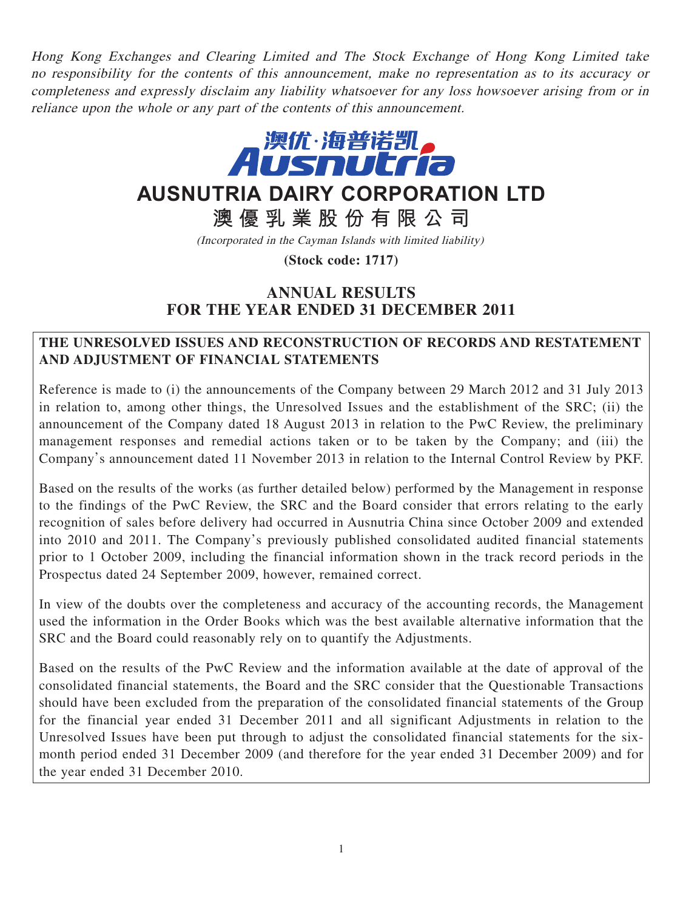Hong Kong Exchanges and Clearing Limited and The Stock Exchange of Hong Kong Limited take no responsibility for the contents of this announcement, make no representation as to its accuracy or completeness and expressly disclaim any liability whatsoever for any loss howsoever arising from or in reliance upon the whole or any part of the contents of this announcement.



# **AUSNUTRIA DAIRY CORPORATION LTD**

**澳優乳業股份有限公司**

(Incorporated in the Cayman Islands with limited liability)

**(Stock code: 1717)**

# **ANNUAL RESULTS FOR THE YEAR ENDED 31 DECEMBER 2011**

### **THE UNRESOLVED ISSUES AND RECONSTRUCTION OF RECORDS AND RESTATEMENT AND ADJUSTMENT OF FINANCIAL STATEMENTS**

Reference is made to (i) the announcements of the Company between 29 March 2012 and 31 July 2013 in relation to, among other things, the Unresolved Issues and the establishment of the SRC; (ii) the announcement of the Company dated 18 August 2013 in relation to the PwC Review, the preliminary management responses and remedial actions taken or to be taken by the Company; and (iii) the Company's announcement dated 11 November 2013 in relation to the Internal Control Review by PKF.

Based on the results of the works (as further detailed below) performed by the Management in response to the findings of the PwC Review, the SRC and the Board consider that errors relating to the early recognition of sales before delivery had occurred in Ausnutria China since October 2009 and extended into 2010 and 2011. The Company's previously published consolidated audited financial statements prior to 1 October 2009, including the financial information shown in the track record periods in the Prospectus dated 24 September 2009, however, remained correct.

In view of the doubts over the completeness and accuracy of the accounting records, the Management used the information in the Order Books which was the best available alternative information that the SRC and the Board could reasonably rely on to quantify the Adjustments.

Based on the results of the PwC Review and the information available at the date of approval of the consolidated financial statements, the Board and the SRC consider that the Questionable Transactions should have been excluded from the preparation of the consolidated financial statements of the Group for the financial year ended 31 December 2011 and all significant Adjustments in relation to the Unresolved Issues have been put through to adjust the consolidated financial statements for the sixmonth period ended 31 December 2009 (and therefore for the year ended 31 December 2009) and for the year ended 31 December 2010.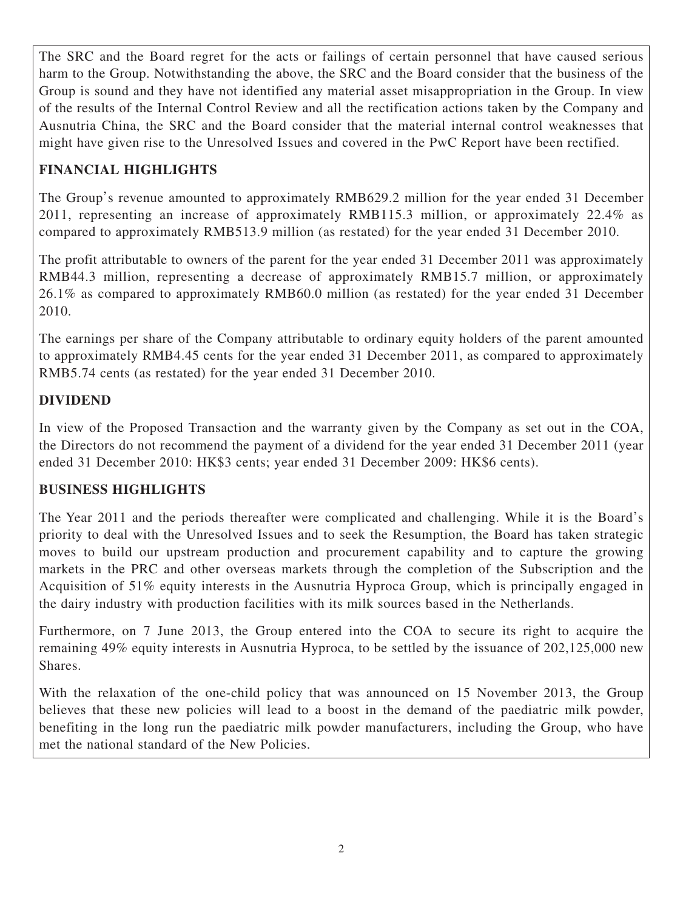The SRC and the Board regret for the acts or failings of certain personnel that have caused serious harm to the Group. Notwithstanding the above, the SRC and the Board consider that the business of the Group is sound and they have not identified any material asset misappropriation in the Group. In view of the results of the Internal Control Review and all the rectification actions taken by the Company and Ausnutria China, the SRC and the Board consider that the material internal control weaknesses that might have given rise to the Unresolved Issues and covered in the PwC Report have been rectified.

# **FINANCIAL HIGHLIGHTS**

The Group's revenue amounted to approximately RMB629.2 million for the year ended 31 December 2011, representing an increase of approximately RMB115.3 million, or approximately 22.4% as compared to approximately RMB513.9 million (as restated) for the year ended 31 December 2010.

The profit attributable to owners of the parent for the year ended 31 December 2011 was approximately RMB44.3 million, representing a decrease of approximately RMB15.7 million, or approximately 26.1% as compared to approximately RMB60.0 million (as restated) for the year ended 31 December 2010.

The earnings per share of the Company attributable to ordinary equity holders of the parent amounted to approximately RMB4.45 cents for the year ended 31 December 2011, as compared to approximately RMB5.74 cents (as restated) for the year ended 31 December 2010.

# **DIVIDEND**

In view of the Proposed Transaction and the warranty given by the Company as set out in the COA, the Directors do not recommend the payment of a dividend for the year ended 31 December 2011 (year ended 31 December 2010: HK\$3 cents; year ended 31 December 2009: HK\$6 cents).

### **BUSINESS HIGHLIGHTS**

The Year 2011 and the periods thereafter were complicated and challenging. While it is the Board's priority to deal with the Unresolved Issues and to seek the Resumption, the Board has taken strategic moves to build our upstream production and procurement capability and to capture the growing markets in the PRC and other overseas markets through the completion of the Subscription and the Acquisition of 51% equity interests in the Ausnutria Hyproca Group, which is principally engaged in the dairy industry with production facilities with its milk sources based in the Netherlands.

Furthermore, on 7 June 2013, the Group entered into the COA to secure its right to acquire the remaining 49% equity interests in Ausnutria Hyproca, to be settled by the issuance of 202,125,000 new Shares.

With the relaxation of the one-child policy that was announced on 15 November 2013, the Group believes that these new policies will lead to a boost in the demand of the paediatric milk powder, benefiting in the long run the paediatric milk powder manufacturers, including the Group, who have met the national standard of the New Policies.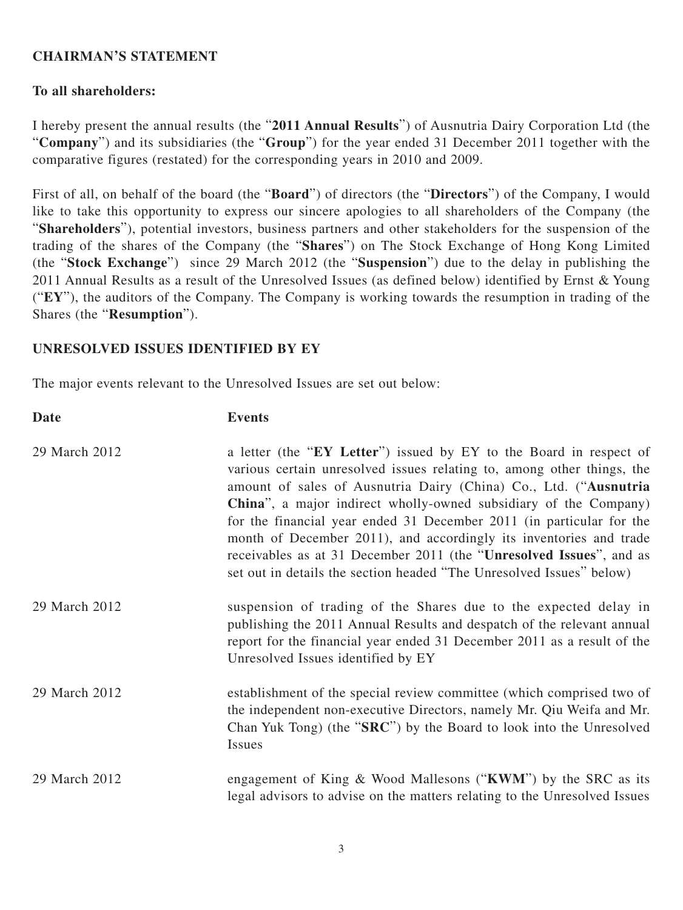### **CHAIRMAN'S STATEMENT**

### **To all shareholders:**

I hereby present the annual results (the "**2011 Annual Results**") of Ausnutria Dairy Corporation Ltd (the "**Company**") and its subsidiaries (the "**Group**") for the year ended 31 December 2011 together with the comparative figures (restated) for the corresponding years in 2010 and 2009.

First of all, on behalf of the board (the "**Board**") of directors (the "**Directors**") of the Company, I would like to take this opportunity to express our sincere apologies to all shareholders of the Company (the "**Shareholders**"), potential investors, business partners and other stakeholders for the suspension of the trading of the shares of the Company (the "**Shares**") on The Stock Exchange of Hong Kong Limited (the "**Stock Exchange**") since 29 March 2012 (the "**Suspension**") due to the delay in publishing the 2011 Annual Results as a result of the Unresolved Issues (as defined below) identified by Ernst & Young ("**EY**"), the auditors of the Company. The Company is working towards the resumption in trading of the Shares (the "**Resumption**").

### **UNRESOLVED ISSUES IDENTIFIED BY EY**

The major events relevant to the Unresolved Issues are set out below:

| <b>Date</b>   | <b>Events</b>                                                                                                                                                                                                                                                                                                                                                                                                                                                                                                                                                                             |
|---------------|-------------------------------------------------------------------------------------------------------------------------------------------------------------------------------------------------------------------------------------------------------------------------------------------------------------------------------------------------------------------------------------------------------------------------------------------------------------------------------------------------------------------------------------------------------------------------------------------|
| 29 March 2012 | a letter (the "EY Letter") issued by EY to the Board in respect of<br>various certain unresolved issues relating to, among other things, the<br>amount of sales of Ausnutria Dairy (China) Co., Ltd. ("Ausnutria<br><b>China</b> ", a major indirect wholly-owned subsidiary of the Company)<br>for the financial year ended 31 December 2011 (in particular for the<br>month of December 2011), and accordingly its inventories and trade<br>receivables as at 31 December 2011 (the "Unresolved Issues", and as<br>set out in details the section headed "The Unresolved Issues" below) |
| 29 March 2012 | suspension of trading of the Shares due to the expected delay in<br>publishing the 2011 Annual Results and despatch of the relevant annual<br>report for the financial year ended 31 December 2011 as a result of the<br>Unresolved Issues identified by EY                                                                                                                                                                                                                                                                                                                               |
| 29 March 2012 | establishment of the special review committee (which comprised two of<br>the independent non-executive Directors, namely Mr. Qiu Weifa and Mr.<br>Chan Yuk Tong) (the "SRC") by the Board to look into the Unresolved<br>Issues                                                                                                                                                                                                                                                                                                                                                           |
| 29 March 2012 | engagement of King & Wood Mallesons ("KWM") by the SRC as its<br>legal advisors to advise on the matters relating to the Unresolved Issues                                                                                                                                                                                                                                                                                                                                                                                                                                                |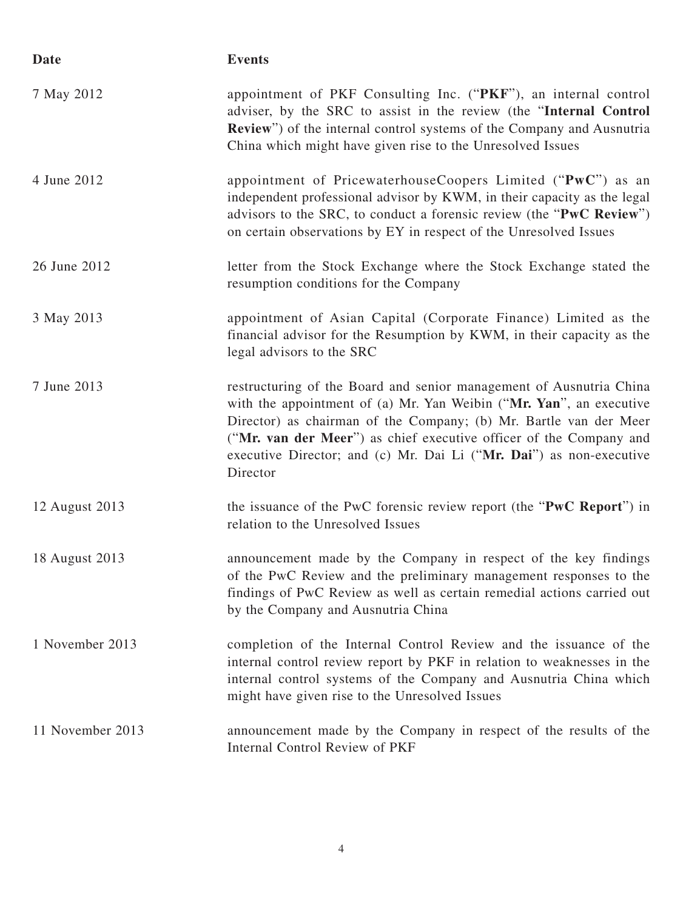| Date             | <b>Events</b>                                                                                                                                                                                                                                                                                                                                                            |
|------------------|--------------------------------------------------------------------------------------------------------------------------------------------------------------------------------------------------------------------------------------------------------------------------------------------------------------------------------------------------------------------------|
| 7 May 2012       | appointment of PKF Consulting Inc. ("PKF"), an internal control<br>adviser, by the SRC to assist in the review (the "Internal Control<br><b>Review</b> ") of the internal control systems of the Company and Ausnutria<br>China which might have given rise to the Unresolved Issues                                                                                     |
| 4 June 2012      | appointment of PricewaterhouseCoopers Limited ("PwC") as an<br>independent professional advisor by KWM, in their capacity as the legal<br>advisors to the SRC, to conduct a forensic review (the "PwC Review")<br>on certain observations by EY in respect of the Unresolved Issues                                                                                      |
| 26 June 2012     | letter from the Stock Exchange where the Stock Exchange stated the<br>resumption conditions for the Company                                                                                                                                                                                                                                                              |
| 3 May 2013       | appointment of Asian Capital (Corporate Finance) Limited as the<br>financial advisor for the Resumption by KWM, in their capacity as the<br>legal advisors to the SRC                                                                                                                                                                                                    |
| 7 June 2013      | restructuring of the Board and senior management of Ausnutria China<br>with the appointment of (a) Mr. Yan Weibin ("Mr. Yan", an executive<br>Director) as chairman of the Company; (b) Mr. Bartle van der Meer<br>("Mr. van der Meer") as chief executive officer of the Company and<br>executive Director; and (c) Mr. Dai Li ("Mr. Dai") as non-executive<br>Director |
| 12 August 2013   | the issuance of the PwC forensic review report (the "PwC Report") in<br>relation to the Unresolved Issues                                                                                                                                                                                                                                                                |
| 18 August 2013   | announcement made by the Company in respect of the key findings<br>of the PwC Review and the preliminary management responses to the<br>findings of PwC Review as well as certain remedial actions carried out<br>by the Company and Ausnutria China                                                                                                                     |
| 1 November 2013  | completion of the Internal Control Review and the issuance of the<br>internal control review report by PKF in relation to weaknesses in the<br>internal control systems of the Company and Ausnutria China which<br>might have given rise to the Unresolved Issues                                                                                                       |
| 11 November 2013 | announcement made by the Company in respect of the results of the<br>Internal Control Review of PKF                                                                                                                                                                                                                                                                      |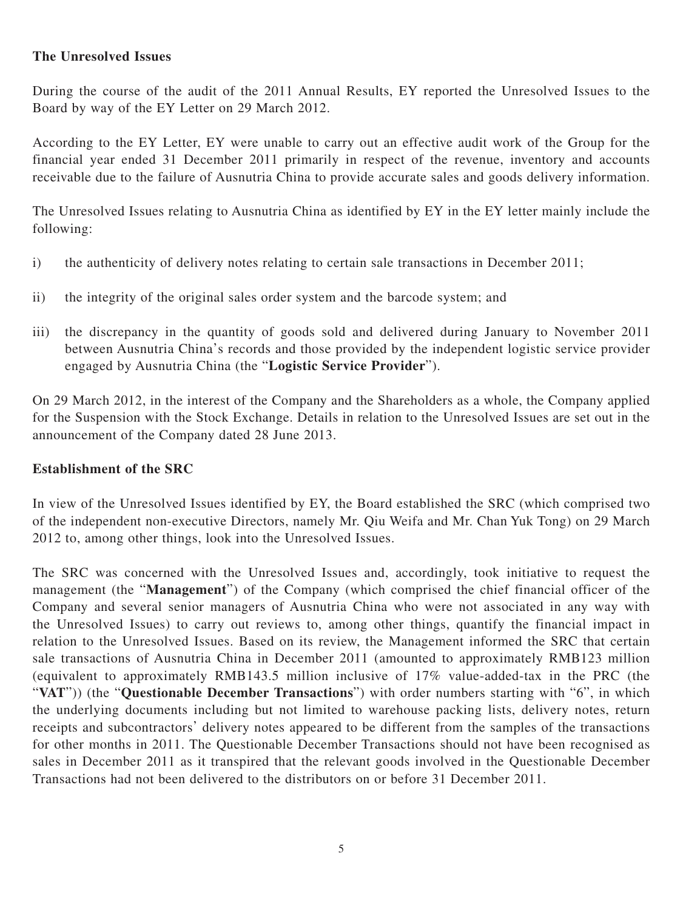#### **The Unresolved Issues**

During the course of the audit of the 2011 Annual Results, EY reported the Unresolved Issues to the Board by way of the EY Letter on 29 March 2012.

According to the EY Letter, EY were unable to carry out an effective audit work of the Group for the financial year ended 31 December 2011 primarily in respect of the revenue, inventory and accounts receivable due to the failure of Ausnutria China to provide accurate sales and goods delivery information.

The Unresolved Issues relating to Ausnutria China as identified by EY in the EY letter mainly include the following:

- i) the authenticity of delivery notes relating to certain sale transactions in December 2011;
- ii) the integrity of the original sales order system and the barcode system; and
- iii) the discrepancy in the quantity of goods sold and delivered during January to November 2011 between Ausnutria China's records and those provided by the independent logistic service provider engaged by Ausnutria China (the "**Logistic Service Provider**").

On 29 March 2012, in the interest of the Company and the Shareholders as a whole, the Company applied for the Suspension with the Stock Exchange. Details in relation to the Unresolved Issues are set out in the announcement of the Company dated 28 June 2013.

### **Establishment of the SRC**

In view of the Unresolved Issues identified by EY, the Board established the SRC (which comprised two of the independent non-executive Directors, namely Mr. Qiu Weifa and Mr. Chan Yuk Tong) on 29 March 2012 to, among other things, look into the Unresolved Issues.

The SRC was concerned with the Unresolved Issues and, accordingly, took initiative to request the management (the "**Management**") of the Company (which comprised the chief financial officer of the Company and several senior managers of Ausnutria China who were not associated in any way with the Unresolved Issues) to carry out reviews to, among other things, quantify the financial impact in relation to the Unresolved Issues. Based on its review, the Management informed the SRC that certain sale transactions of Ausnutria China in December 2011 (amounted to approximately RMB123 million (equivalent to approximately RMB143.5 million inclusive of 17% value-added-tax in the PRC (the "VAT")) (the "Questionable December Transactions") with order numbers starting with "6", in which the underlying documents including but not limited to warehouse packing lists, delivery notes, return receipts and subcontractors' delivery notes appeared to be different from the samples of the transactions for other months in 2011. The Questionable December Transactions should not have been recognised as sales in December 2011 as it transpired that the relevant goods involved in the Questionable December Transactions had not been delivered to the distributors on or before 31 December 2011.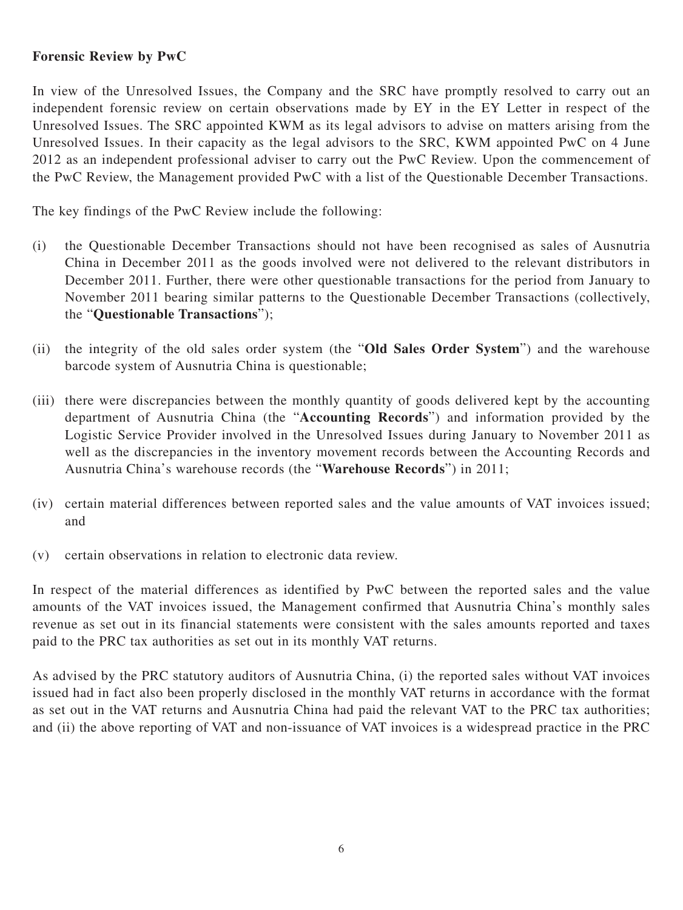### **Forensic Review by PwC**

In view of the Unresolved Issues, the Company and the SRC have promptly resolved to carry out an independent forensic review on certain observations made by EY in the EY Letter in respect of the Unresolved Issues. The SRC appointed KWM as its legal advisors to advise on matters arising from the Unresolved Issues. In their capacity as the legal advisors to the SRC, KWM appointed PwC on 4 June 2012 as an independent professional adviser to carry out the PwC Review. Upon the commencement of the PwC Review, the Management provided PwC with a list of the Questionable December Transactions.

The key findings of the PwC Review include the following:

- (i) the Questionable December Transactions should not have been recognised as sales of Ausnutria China in December 2011 as the goods involved were not delivered to the relevant distributors in December 2011. Further, there were other questionable transactions for the period from January to November 2011 bearing similar patterns to the Questionable December Transactions (collectively, the "**Questionable Transactions**");
- (ii) the integrity of the old sales order system (the "**Old Sales Order System**") and the warehouse barcode system of Ausnutria China is questionable;
- (iii) there were discrepancies between the monthly quantity of goods delivered kept by the accounting department of Ausnutria China (the "**Accounting Records**") and information provided by the Logistic Service Provider involved in the Unresolved Issues during January to November 2011 as well as the discrepancies in the inventory movement records between the Accounting Records and Ausnutria China's warehouse records (the "**Warehouse Records**") in 2011;
- (iv) certain material differences between reported sales and the value amounts of VAT invoices issued; and
- (v) certain observations in relation to electronic data review.

In respect of the material differences as identified by PwC between the reported sales and the value amounts of the VAT invoices issued, the Management confirmed that Ausnutria China's monthly sales revenue as set out in its financial statements were consistent with the sales amounts reported and taxes paid to the PRC tax authorities as set out in its monthly VAT returns.

As advised by the PRC statutory auditors of Ausnutria China, (i) the reported sales without VAT invoices issued had in fact also been properly disclosed in the monthly VAT returns in accordance with the format as set out in the VAT returns and Ausnutria China had paid the relevant VAT to the PRC tax authorities; and (ii) the above reporting of VAT and non-issuance of VAT invoices is a widespread practice in the PRC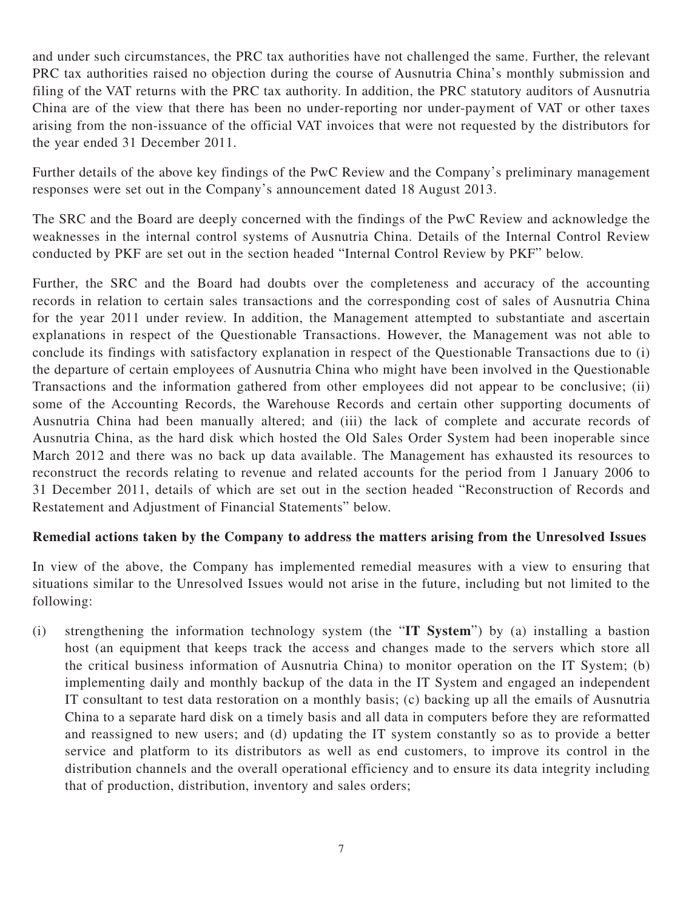and under such circumstances, the PRC tax authorities have not challenged the same. Further, the relevant PRC tax authorities raised no objection during the course of Ausnutria China's monthly submission and filing of the VAT returns with the PRC tax authority. In addition, the PRC statutory auditors of Ausnutria China are of the view that there has been no under-reporting nor under-payment of VAT or other taxes arising from the non-issuance of the official VAT invoices that were not requested by the distributors for the year ended 31 December 2011.

Further details of the above key findings of the PwC Review and the Company's preliminary management responses were set out in the Company's announcement dated 18 August 2013.

The SRC and the Board are deeply concerned with the findings of the PwC Review and acknowledge the weaknesses in the internal control systems of Ausnutria China. Details of the Internal Control Review conducted by PKF are set out in the section headed "Internal Control Review by PKF" below.

Further, the SRC and the Board had doubts over the completeness and accuracy of the accounting records in relation to certain sales transactions and the corresponding cost of sales of Ausnutria China for the year 2011 under review. In addition, the Management attempted to substantiate and ascertain explanations in respect of the Questionable Transactions. However, the Management was not able to conclude its findings with satisfactory explanation in respect of the Questionable Transactions due to (i) the departure of certain employees of Ausnutria China who might have been involved in the Questionable Transactions and the information gathered from other employees did not appear to be conclusive; (ii) some of the Accounting Records, the Warehouse Records and certain other supporting documents of Ausnutria China had been manually altered; and (iii) the lack of complete and accurate records of Ausnutria China, as the hard disk which hosted the Old Sales Order System had been inoperable since March 2012 and there was no back up data available. The Management has exhausted its resources to reconstruct the records relating to revenue and related accounts for the period from 1 January 2006 to 31 December 2011, details of which are set out in the section headed "Reconstruction of Records and Restatement and Adjustment of Financial Statements" below.

### **Remedial actions taken by the Company to address the matters arising from the Unresolved Issues**

In view of the above, the Company has implemented remedial measures with a view to ensuring that situations similar to the Unresolved Issues would not arise in the future, including but not limited to the following:

(i) strengthening the information technology system (the "**IT System**") by (a) installing a bastion host (an equipment that keeps track the access and changes made to the servers which store all the critical business information of Ausnutria China) to monitor operation on the IT System; (b) implementing daily and monthly backup of the data in the IT System and engaged an independent IT consultant to test data restoration on a monthly basis; (c) backing up all the emails of Ausnutria China to a separate hard disk on a timely basis and all data in computers before they are reformatted and reassigned to new users; and (d) updating the IT system constantly so as to provide a better service and platform to its distributors as well as end customers, to improve its control in the distribution channels and the overall operational efficiency and to ensure its data integrity including that of production, distribution, inventory and sales orders;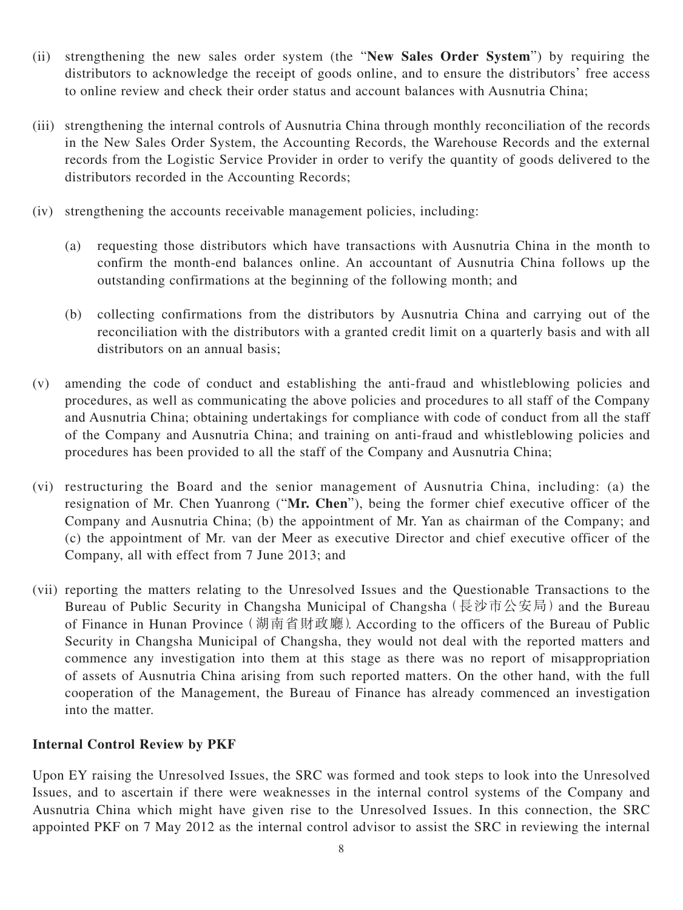- (ii) strengthening the new sales order system (the "**New Sales Order System**") by requiring the distributors to acknowledge the receipt of goods online, and to ensure the distributors' free access to online review and check their order status and account balances with Ausnutria China;
- (iii) strengthening the internal controls of Ausnutria China through monthly reconciliation of the records in the New Sales Order System, the Accounting Records, the Warehouse Records and the external records from the Logistic Service Provider in order to verify the quantity of goods delivered to the distributors recorded in the Accounting Records;
- (iv) strengthening the accounts receivable management policies, including:
	- (a) requesting those distributors which have transactions with Ausnutria China in the month to confirm the month-end balances online. An accountant of Ausnutria China follows up the outstanding confirmations at the beginning of the following month; and
	- (b) collecting confirmations from the distributors by Ausnutria China and carrying out of the reconciliation with the distributors with a granted credit limit on a quarterly basis and with all distributors on an annual basis;
- (v) amending the code of conduct and establishing the anti-fraud and whistleblowing policies and procedures, as well as communicating the above policies and procedures to all staff of the Company and Ausnutria China; obtaining undertakings for compliance with code of conduct from all the staff of the Company and Ausnutria China; and training on anti-fraud and whistleblowing policies and procedures has been provided to all the staff of the Company and Ausnutria China;
- (vi) restructuring the Board and the senior management of Ausnutria China, including: (a) the resignation of Mr. Chen Yuanrong ("**Mr. Chen**"), being the former chief executive officer of the Company and Ausnutria China; (b) the appointment of Mr. Yan as chairman of the Company; and (c) the appointment of Mr. van der Meer as executive Director and chief executive officer of the Company, all with effect from 7 June 2013; and
- (vii) reporting the matters relating to the Unresolved Issues and the Questionable Transactions to the Bureau of Public Security in Changsha Municipal of Changsha (長沙市公安局) and the Bureau of Finance in Hunan Province(湖南省財政廳). According to the officers of the Bureau of Public Security in Changsha Municipal of Changsha, they would not deal with the reported matters and commence any investigation into them at this stage as there was no report of misappropriation of assets of Ausnutria China arising from such reported matters. On the other hand, with the full cooperation of the Management, the Bureau of Finance has already commenced an investigation into the matter.

### **Internal Control Review by PKF**

Upon EY raising the Unresolved Issues, the SRC was formed and took steps to look into the Unresolved Issues, and to ascertain if there were weaknesses in the internal control systems of the Company and Ausnutria China which might have given rise to the Unresolved Issues. In this connection, the SRC appointed PKF on 7 May 2012 as the internal control advisor to assist the SRC in reviewing the internal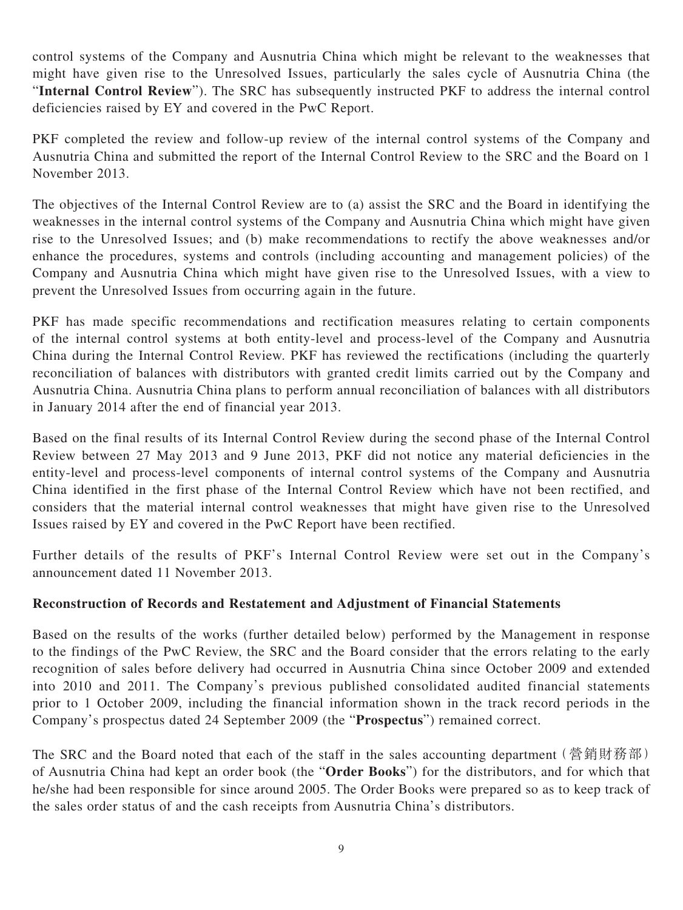control systems of the Company and Ausnutria China which might be relevant to the weaknesses that might have given rise to the Unresolved Issues, particularly the sales cycle of Ausnutria China (the "**Internal Control Review**"). The SRC has subsequently instructed PKF to address the internal control deficiencies raised by EY and covered in the PwC Report.

PKF completed the review and follow-up review of the internal control systems of the Company and Ausnutria China and submitted the report of the Internal Control Review to the SRC and the Board on 1 November 2013.

The objectives of the Internal Control Review are to (a) assist the SRC and the Board in identifying the weaknesses in the internal control systems of the Company and Ausnutria China which might have given rise to the Unresolved Issues; and (b) make recommendations to rectify the above weaknesses and/or enhance the procedures, systems and controls (including accounting and management policies) of the Company and Ausnutria China which might have given rise to the Unresolved Issues, with a view to prevent the Unresolved Issues from occurring again in the future.

PKF has made specific recommendations and rectification measures relating to certain components of the internal control systems at both entity-level and process-level of the Company and Ausnutria China during the Internal Control Review. PKF has reviewed the rectifications (including the quarterly reconciliation of balances with distributors with granted credit limits carried out by the Company and Ausnutria China. Ausnutria China plans to perform annual reconciliation of balances with all distributors in January 2014 after the end of financial year 2013.

Based on the final results of its Internal Control Review during the second phase of the Internal Control Review between 27 May 2013 and 9 June 2013, PKF did not notice any material deficiencies in the entity-level and process-level components of internal control systems of the Company and Ausnutria China identified in the first phase of the Internal Control Review which have not been rectified, and considers that the material internal control weaknesses that might have given rise to the Unresolved Issues raised by EY and covered in the PwC Report have been rectified.

Further details of the results of PKF's Internal Control Review were set out in the Company's announcement dated 11 November 2013.

### **Reconstruction of Records and Restatement and Adjustment of Financial Statements**

Based on the results of the works (further detailed below) performed by the Management in response to the findings of the PwC Review, the SRC and the Board consider that the errors relating to the early recognition of sales before delivery had occurred in Ausnutria China since October 2009 and extended into 2010 and 2011. The Company's previous published consolidated audited financial statements prior to 1 October 2009, including the financial information shown in the track record periods in the Company's prospectus dated 24 September 2009 (the "**Prospectus**") remained correct.

The SRC and the Board noted that each of the staff in the sales accounting department (營銷財務部) of Ausnutria China had kept an order book (the "**Order Books**") for the distributors, and for which that he/she had been responsible for since around 2005. The Order Books were prepared so as to keep track of the sales order status of and the cash receipts from Ausnutria China's distributors.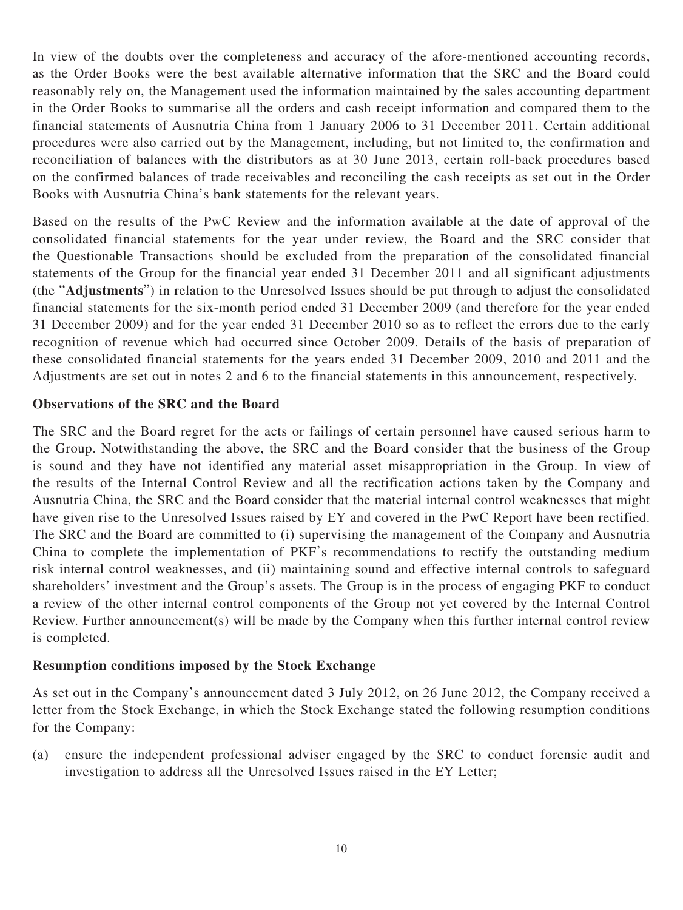In view of the doubts over the completeness and accuracy of the afore-mentioned accounting records, as the Order Books were the best available alternative information that the SRC and the Board could reasonably rely on, the Management used the information maintained by the sales accounting department in the Order Books to summarise all the orders and cash receipt information and compared them to the financial statements of Ausnutria China from 1 January 2006 to 31 December 2011. Certain additional procedures were also carried out by the Management, including, but not limited to, the confirmation and reconciliation of balances with the distributors as at 30 June 2013, certain roll-back procedures based on the confirmed balances of trade receivables and reconciling the cash receipts as set out in the Order Books with Ausnutria China's bank statements for the relevant years.

Based on the results of the PwC Review and the information available at the date of approval of the consolidated financial statements for the year under review, the Board and the SRC consider that the Questionable Transactions should be excluded from the preparation of the consolidated financial statements of the Group for the financial year ended 31 December 2011 and all significant adjustments (the "**Adjustments**") in relation to the Unresolved Issues should be put through to adjust the consolidated financial statements for the six-month period ended 31 December 2009 (and therefore for the year ended 31 December 2009) and for the year ended 31 December 2010 so as to reflect the errors due to the early recognition of revenue which had occurred since October 2009. Details of the basis of preparation of these consolidated financial statements for the years ended 31 December 2009, 2010 and 2011 and the Adjustments are set out in notes 2 and 6 to the financial statements in this announcement, respectively.

#### **Observations of the SRC and the Board**

The SRC and the Board regret for the acts or failings of certain personnel have caused serious harm to the Group. Notwithstanding the above, the SRC and the Board consider that the business of the Group is sound and they have not identified any material asset misappropriation in the Group. In view of the results of the Internal Control Review and all the rectification actions taken by the Company and Ausnutria China, the SRC and the Board consider that the material internal control weaknesses that might have given rise to the Unresolved Issues raised by EY and covered in the PwC Report have been rectified. The SRC and the Board are committed to (i) supervising the management of the Company and Ausnutria China to complete the implementation of PKF's recommendations to rectify the outstanding medium risk internal control weaknesses, and (ii) maintaining sound and effective internal controls to safeguard shareholders' investment and the Group's assets. The Group is in the process of engaging PKF to conduct a review of the other internal control components of the Group not yet covered by the Internal Control Review. Further announcement(s) will be made by the Company when this further internal control review is completed.

#### **Resumption conditions imposed by the Stock Exchange**

As set out in the Company's announcement dated 3 July 2012, on 26 June 2012, the Company received a letter from the Stock Exchange, in which the Stock Exchange stated the following resumption conditions for the Company:

(a) ensure the independent professional adviser engaged by the SRC to conduct forensic audit and investigation to address all the Unresolved Issues raised in the EY Letter;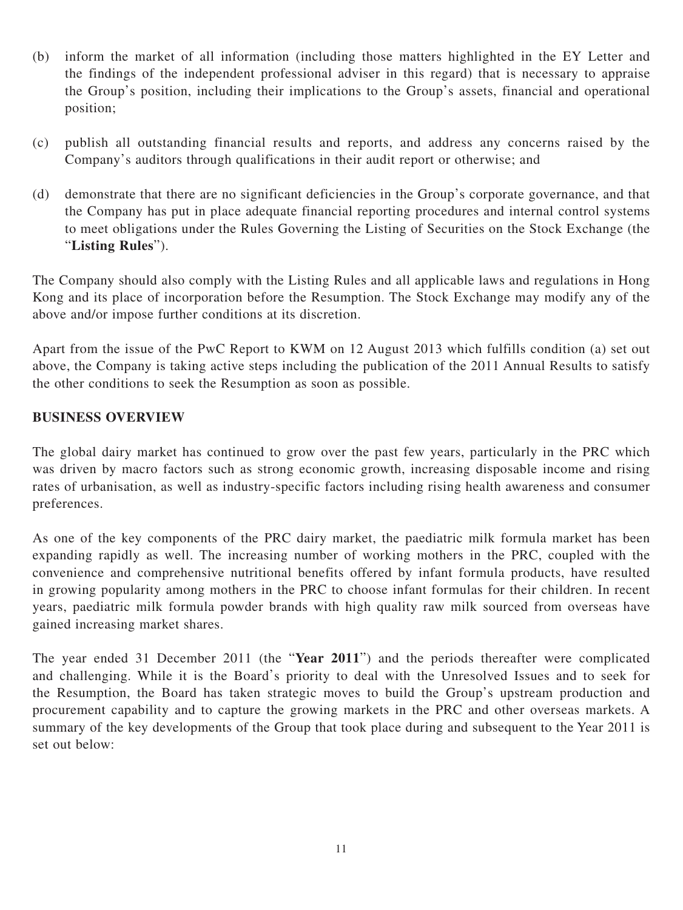- (b) inform the market of all information (including those matters highlighted in the EY Letter and the findings of the independent professional adviser in this regard) that is necessary to appraise the Group's position, including their implications to the Group's assets, financial and operational position;
- (c) publish all outstanding financial results and reports, and address any concerns raised by the Company's auditors through qualifications in their audit report or otherwise; and
- (d) demonstrate that there are no significant deficiencies in the Group's corporate governance, and that the Company has put in place adequate financial reporting procedures and internal control systems to meet obligations under the Rules Governing the Listing of Securities on the Stock Exchange (the "**Listing Rules**").

The Company should also comply with the Listing Rules and all applicable laws and regulations in Hong Kong and its place of incorporation before the Resumption. The Stock Exchange may modify any of the above and/or impose further conditions at its discretion.

Apart from the issue of the PwC Report to KWM on 12 August 2013 which fulfills condition (a) set out above, the Company is taking active steps including the publication of the 2011 Annual Results to satisfy the other conditions to seek the Resumption as soon as possible.

### **BUSINESS OVERVIEW**

The global dairy market has continued to grow over the past few years, particularly in the PRC which was driven by macro factors such as strong economic growth, increasing disposable income and rising rates of urbanisation, as well as industry-specific factors including rising health awareness and consumer preferences.

As one of the key components of the PRC dairy market, the paediatric milk formula market has been expanding rapidly as well. The increasing number of working mothers in the PRC, coupled with the convenience and comprehensive nutritional benefits offered by infant formula products, have resulted in growing popularity among mothers in the PRC to choose infant formulas for their children. In recent years, paediatric milk formula powder brands with high quality raw milk sourced from overseas have gained increasing market shares.

The year ended 31 December 2011 (the "**Year 2011**") and the periods thereafter were complicated and challenging. While it is the Board's priority to deal with the Unresolved Issues and to seek for the Resumption, the Board has taken strategic moves to build the Group's upstream production and procurement capability and to capture the growing markets in the PRC and other overseas markets. A summary of the key developments of the Group that took place during and subsequent to the Year 2011 is set out below: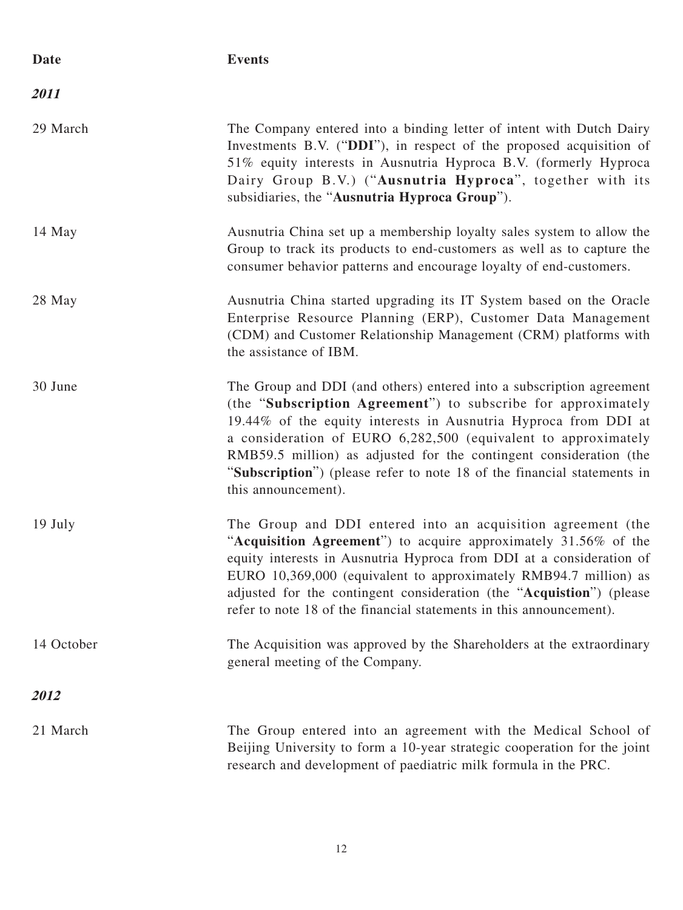| Date       | <b>Events</b>                                                                                                                                                                                                                                                                                                                                                                                                                                      |
|------------|----------------------------------------------------------------------------------------------------------------------------------------------------------------------------------------------------------------------------------------------------------------------------------------------------------------------------------------------------------------------------------------------------------------------------------------------------|
| 2011       |                                                                                                                                                                                                                                                                                                                                                                                                                                                    |
| 29 March   | The Company entered into a binding letter of intent with Dutch Dairy<br>Investments B.V. ("DDI"), in respect of the proposed acquisition of<br>51% equity interests in Ausnutria Hyproca B.V. (formerly Hyproca<br>Dairy Group B.V.) ("Ausnutria Hyproca", together with its<br>subsidiaries, the "Ausnutria Hyproca Group").                                                                                                                      |
| 14 May     | Ausnutria China set up a membership loyalty sales system to allow the<br>Group to track its products to end-customers as well as to capture the<br>consumer behavior patterns and encourage loyalty of end-customers.                                                                                                                                                                                                                              |
| 28 May     | Ausnutria China started upgrading its IT System based on the Oracle<br>Enterprise Resource Planning (ERP), Customer Data Management<br>(CDM) and Customer Relationship Management (CRM) platforms with<br>the assistance of IBM.                                                                                                                                                                                                                   |
| 30 June    | The Group and DDI (and others) entered into a subscription agreement<br>(the "Subscription Agreement") to subscribe for approximately<br>19.44% of the equity interests in Ausnutria Hyproca from DDI at<br>a consideration of EURO 6,282,500 (equivalent to approximately<br>RMB59.5 million) as adjusted for the contingent consideration (the<br>"Subscription") (please refer to note 18 of the financial statements in<br>this announcement). |
| 19 July    | The Group and DDI entered into an acquisition agreement (the<br>"Acquisition Agreement") to acquire approximately 31.56% of the<br>equity interests in Ausnutria Hyproca from DDI at a consideration of<br>EURO 10,369,000 (equivalent to approximately RMB94.7 million) as<br>adjusted for the contingent consideration (the "Acquistion") (please<br>refer to note 18 of the financial statements in this announcement).                         |
| 14 October | The Acquisition was approved by the Shareholders at the extraordinary<br>general meeting of the Company.                                                                                                                                                                                                                                                                                                                                           |
| 2012       |                                                                                                                                                                                                                                                                                                                                                                                                                                                    |
| 21 March   | The Group entered into an agreement with the Medical School of<br>Beijing University to form a 10-year strategic cooperation for the joint<br>research and development of paediatric milk formula in the PRC.                                                                                                                                                                                                                                      |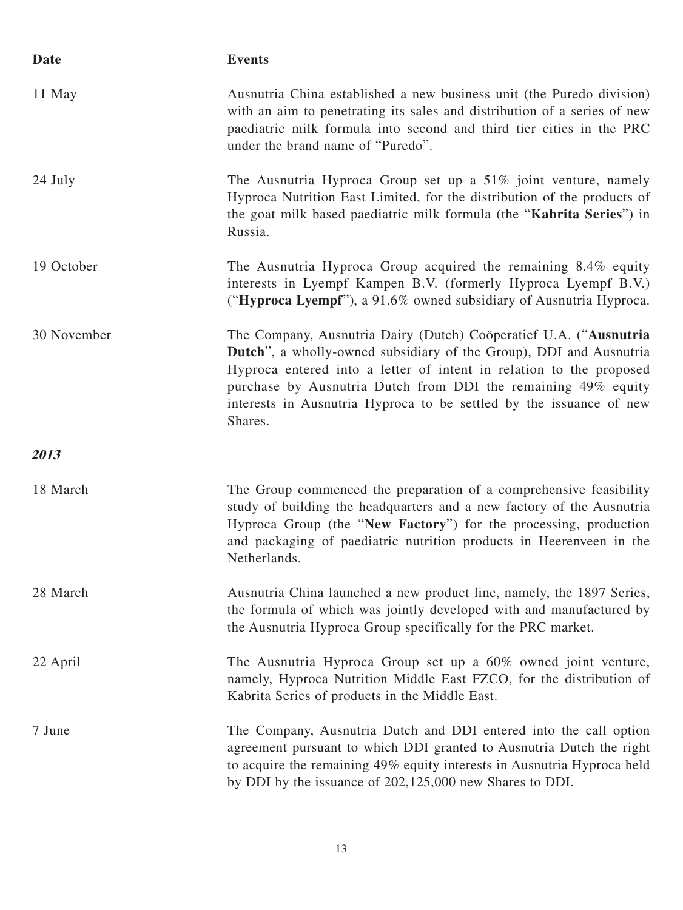| Date        | <b>Events</b>                                                                                                                                                                                                                                                                                                                                                     |
|-------------|-------------------------------------------------------------------------------------------------------------------------------------------------------------------------------------------------------------------------------------------------------------------------------------------------------------------------------------------------------------------|
| 11 May      | Ausnutria China established a new business unit (the Puredo division)<br>with an aim to penetrating its sales and distribution of a series of new<br>paediatric milk formula into second and third tier cities in the PRC<br>under the brand name of "Puredo".                                                                                                    |
| 24 July     | The Ausnutria Hyproca Group set up a 51% joint venture, namely<br>Hyproca Nutrition East Limited, for the distribution of the products of<br>the goat milk based paediatric milk formula (the "Kabrita Series") in<br>Russia.                                                                                                                                     |
| 19 October  | The Ausnutria Hyproca Group acquired the remaining 8.4% equity<br>interests in Lyempf Kampen B.V. (formerly Hyproca Lyempf B.V.)<br>("Hyproca Lyempf"), a 91.6% owned subsidiary of Ausnutria Hyproca.                                                                                                                                                            |
| 30 November | The Company, Ausnutria Dairy (Dutch) Coöperatief U.A. ("Ausnutria<br>Dutch", a wholly-owned subsidiary of the Group), DDI and Ausnutria<br>Hyproca entered into a letter of intent in relation to the proposed<br>purchase by Ausnutria Dutch from DDI the remaining 49% equity<br>interests in Ausnutria Hyproca to be settled by the issuance of new<br>Shares. |
| 2013        |                                                                                                                                                                                                                                                                                                                                                                   |
| 18 March    | The Group commenced the preparation of a comprehensive feasibility<br>study of building the headquarters and a new factory of the Ausnutria<br>Hyproca Group (the "New Factory") for the processing, production<br>and packaging of paediatric nutrition products in Heerenveen in the<br>Netherlands.                                                            |
| 28 March    | Ausnutria China launched a new product line, namely, the 1897 Series,<br>the formula of which was jointly developed with and manufactured by<br>the Ausnutria Hyproca Group specifically for the PRC market.                                                                                                                                                      |
| 22 April    | The Ausnutria Hyproca Group set up a 60% owned joint venture,<br>namely, Hyproca Nutrition Middle East FZCO, for the distribution of<br>Kabrita Series of products in the Middle East.                                                                                                                                                                            |
| 7 June      | The Company, Ausnutria Dutch and DDI entered into the call option<br>agreement pursuant to which DDI granted to Ausnutria Dutch the right<br>to acquire the remaining 49% equity interests in Ausnutria Hyproca held<br>by DDI by the issuance of 202,125,000 new Shares to DDI.                                                                                  |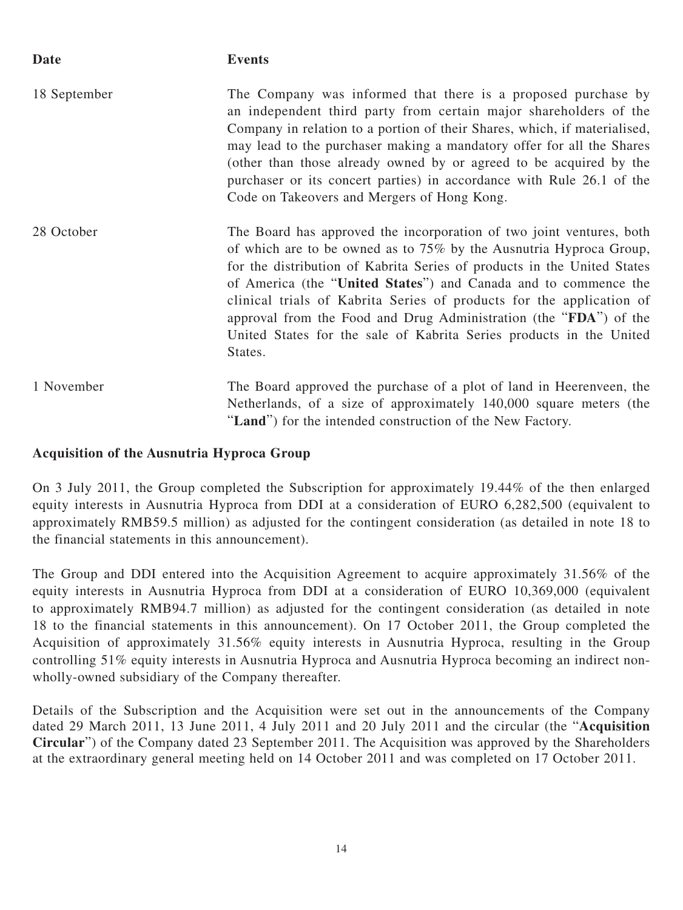| Date         | <b>Events</b>                                                                                                                                                                                                                                                                                                                                                                                                                                                                                                              |
|--------------|----------------------------------------------------------------------------------------------------------------------------------------------------------------------------------------------------------------------------------------------------------------------------------------------------------------------------------------------------------------------------------------------------------------------------------------------------------------------------------------------------------------------------|
| 18 September | The Company was informed that there is a proposed purchase by<br>an independent third party from certain major shareholders of the<br>Company in relation to a portion of their Shares, which, if materialised,<br>may lead to the purchaser making a mandatory offer for all the Shares<br>(other than those already owned by or agreed to be acquired by the<br>purchaser or its concert parties) in accordance with Rule 26.1 of the<br>Code on Takeovers and Mergers of Hong Kong.                                     |
| 28 October   | The Board has approved the incorporation of two joint ventures, both<br>of which are to be owned as to $75\%$ by the Ausnutria Hyproca Group,<br>for the distribution of Kabrita Series of products in the United States<br>of America (the "United States") and Canada and to commence the<br>clinical trials of Kabrita Series of products for the application of<br>approval from the Food and Drug Administration (the "FDA") of the<br>United States for the sale of Kabrita Series products in the United<br>States. |
| 1 November   | The Board approved the purchase of a plot of land in Heerenveen, the<br>Netherlands, of a size of approximately 140,000 square meters (the<br>"Land") for the intended construction of the New Factory.                                                                                                                                                                                                                                                                                                                    |

### **Acquisition of the Ausnutria Hyproca Group**

On 3 July 2011, the Group completed the Subscription for approximately 19.44% of the then enlarged equity interests in Ausnutria Hyproca from DDI at a consideration of EURO 6,282,500 (equivalent to approximately RMB59.5 million) as adjusted for the contingent consideration (as detailed in note 18 to the financial statements in this announcement).

The Group and DDI entered into the Acquisition Agreement to acquire approximately 31.56% of the equity interests in Ausnutria Hyproca from DDI at a consideration of EURO 10,369,000 (equivalent to approximately RMB94.7 million) as adjusted for the contingent consideration (as detailed in note 18 to the financial statements in this announcement). On 17 October 2011, the Group completed the Acquisition of approximately 31.56% equity interests in Ausnutria Hyproca, resulting in the Group controlling 51% equity interests in Ausnutria Hyproca and Ausnutria Hyproca becoming an indirect nonwholly-owned subsidiary of the Company thereafter.

Details of the Subscription and the Acquisition were set out in the announcements of the Company dated 29 March 2011, 13 June 2011, 4 July 2011 and 20 July 2011 and the circular (the "**Acquisition Circular**") of the Company dated 23 September 2011. The Acquisition was approved by the Shareholders at the extraordinary general meeting held on 14 October 2011 and was completed on 17 October 2011.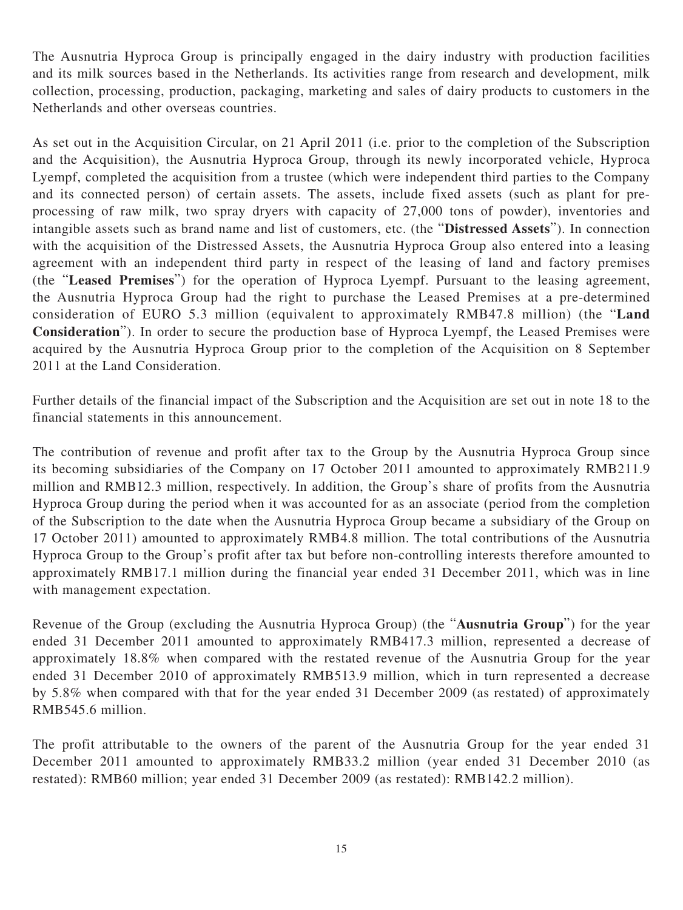The Ausnutria Hyproca Group is principally engaged in the dairy industry with production facilities and its milk sources based in the Netherlands. Its activities range from research and development, milk collection, processing, production, packaging, marketing and sales of dairy products to customers in the Netherlands and other overseas countries.

As set out in the Acquisition Circular, on 21 April 2011 (i.e. prior to the completion of the Subscription and the Acquisition), the Ausnutria Hyproca Group, through its newly incorporated vehicle, Hyproca Lyempf, completed the acquisition from a trustee (which were independent third parties to the Company and its connected person) of certain assets. The assets, include fixed assets (such as plant for preprocessing of raw milk, two spray dryers with capacity of 27,000 tons of powder), inventories and intangible assets such as brand name and list of customers, etc. (the "**Distressed Assets**"). In connection with the acquisition of the Distressed Assets, the Ausnutria Hyproca Group also entered into a leasing agreement with an independent third party in respect of the leasing of land and factory premises (the "**Leased Premises**") for the operation of Hyproca Lyempf. Pursuant to the leasing agreement, the Ausnutria Hyproca Group had the right to purchase the Leased Premises at a pre-determined consideration of EURO 5.3 million (equivalent to approximately RMB47.8 million) (the "**Land Consideration**"). In order to secure the production base of Hyproca Lyempf, the Leased Premises were acquired by the Ausnutria Hyproca Group prior to the completion of the Acquisition on 8 September 2011 at the Land Consideration.

Further details of the financial impact of the Subscription and the Acquisition are set out in note 18 to the financial statements in this announcement.

The contribution of revenue and profit after tax to the Group by the Ausnutria Hyproca Group since its becoming subsidiaries of the Company on 17 October 2011 amounted to approximately RMB211.9 million and RMB12.3 million, respectively. In addition, the Group's share of profits from the Ausnutria Hyproca Group during the period when it was accounted for as an associate (period from the completion of the Subscription to the date when the Ausnutria Hyproca Group became a subsidiary of the Group on 17 October 2011) amounted to approximately RMB4.8 million. The total contributions of the Ausnutria Hyproca Group to the Group's profit after tax but before non-controlling interests therefore amounted to approximately RMB17.1 million during the financial year ended 31 December 2011, which was in line with management expectation.

Revenue of the Group (excluding the Ausnutria Hyproca Group) (the "**Ausnutria Group**") for the year ended 31 December 2011 amounted to approximately RMB417.3 million, represented a decrease of approximately 18.8% when compared with the restated revenue of the Ausnutria Group for the year ended 31 December 2010 of approximately RMB513.9 million, which in turn represented a decrease by 5.8% when compared with that for the year ended 31 December 2009 (as restated) of approximately RMB545.6 million.

The profit attributable to the owners of the parent of the Ausnutria Group for the year ended 31 December 2011 amounted to approximately RMB33.2 million (year ended 31 December 2010 (as restated): RMB60 million; year ended 31 December 2009 (as restated): RMB142.2 million).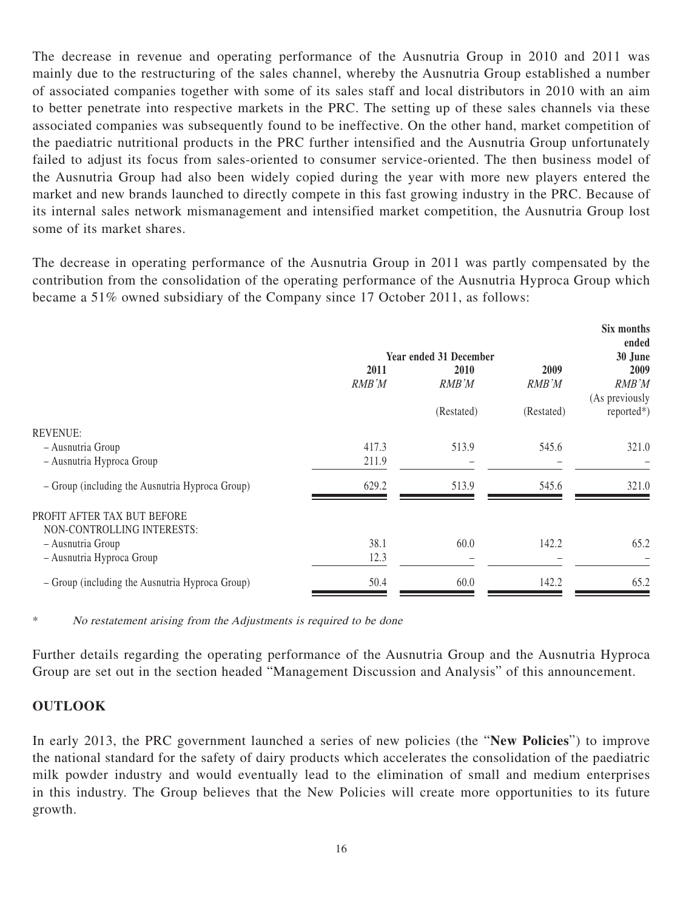The decrease in revenue and operating performance of the Ausnutria Group in 2010 and 2011 was mainly due to the restructuring of the sales channel, whereby the Ausnutria Group established a number of associated companies together with some of its sales staff and local distributors in 2010 with an aim to better penetrate into respective markets in the PRC. The setting up of these sales channels via these associated companies was subsequently found to be ineffective. On the other hand, market competition of the paediatric nutritional products in the PRC further intensified and the Ausnutria Group unfortunately failed to adjust its focus from sales-oriented to consumer service-oriented. The then business model of the Ausnutria Group had also been widely copied during the year with more new players entered the market and new brands launched to directly compete in this fast growing industry in the PRC. Because of its internal sales network mismanagement and intensified market competition, the Ausnutria Group lost some of its market shares.

The decrease in operating performance of the Ausnutria Group in 2011 was partly compensated by the contribution from the consolidation of the operating performance of the Ausnutria Hyproca Group which became a 51% owned subsidiary of the Company since 17 October 2011, as follows:

**Six months**

|                                                 |       | <b>Year ended 31 December</b> |            | <b>SIX MONUS</b><br>ended<br>30 June |
|-------------------------------------------------|-------|-------------------------------|------------|--------------------------------------|
|                                                 | 2011  | <b>2010</b>                   | 2009       | 2009                                 |
|                                                 | RMB'M | RMB'M                         | RMB'M      | RMB'M<br>(As previously              |
|                                                 |       | (Restated)                    | (Restated) | $reported*)$                         |
| <b>REVENUE:</b>                                 |       |                               |            |                                      |
| - Ausnutria Group                               | 417.3 | 513.9                         | 545.6      | 321.0                                |
| - Ausnutria Hyproca Group                       | 211.9 |                               |            |                                      |
| - Group (including the Ausnutria Hyproca Group) | 629.2 | 513.9                         | 545.6      | 321.0                                |
| PROFIT AFTER TAX BUT BEFORE                     |       |                               |            |                                      |
| NON-CONTROLLING INTERESTS:                      |       |                               |            |                                      |
| - Ausnutria Group                               | 38.1  | 60.0                          | 142.2      | 65.2                                 |
| - Ausnutria Hyproca Group                       | 12.3  |                               |            |                                      |
| - Group (including the Ausnutria Hyproca Group) | 50.4  | 60.0                          | 142.2      | 65.2                                 |
|                                                 |       |                               |            |                                      |

\* No restatement arising from the Adjustments is required to be done

Further details regarding the operating performance of the Ausnutria Group and the Ausnutria Hyproca Group are set out in the section headed "Management Discussion and Analysis" of this announcement.

#### **OUTLOOK**

In early 2013, the PRC government launched a series of new policies (the "**New Policies**") to improve the national standard for the safety of dairy products which accelerates the consolidation of the paediatric milk powder industry and would eventually lead to the elimination of small and medium enterprises in this industry. The Group believes that the New Policies will create more opportunities to its future growth.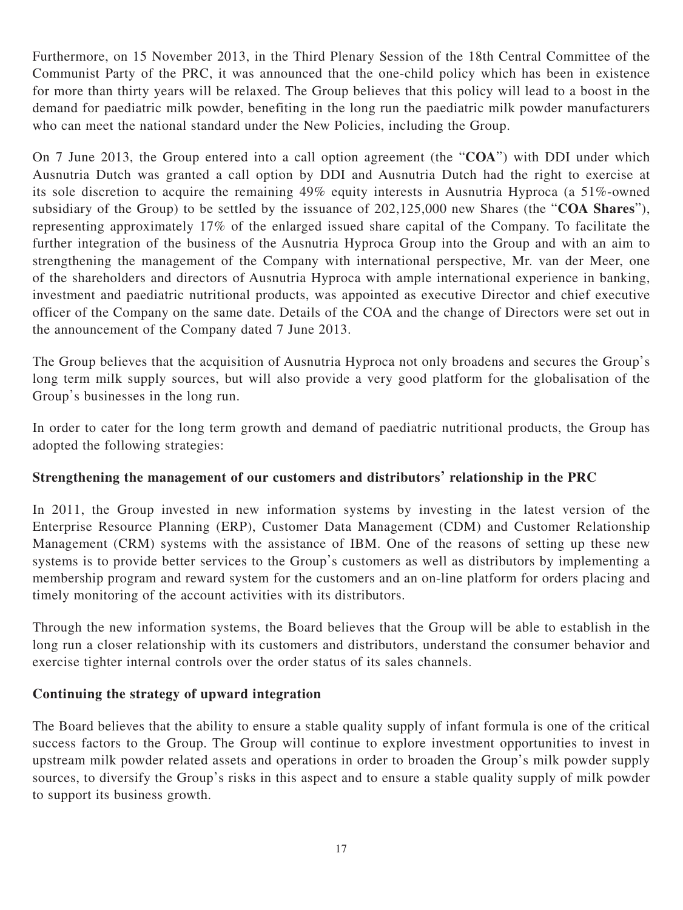Furthermore, on 15 November 2013, in the Third Plenary Session of the 18th Central Committee of the Communist Party of the PRC, it was announced that the one-child policy which has been in existence for more than thirty years will be relaxed. The Group believes that this policy will lead to a boost in the demand for paediatric milk powder, benefiting in the long run the paediatric milk powder manufacturers who can meet the national standard under the New Policies, including the Group.

On 7 June 2013, the Group entered into a call option agreement (the "**COA**") with DDI under which Ausnutria Dutch was granted a call option by DDI and Ausnutria Dutch had the right to exercise at its sole discretion to acquire the remaining 49% equity interests in Ausnutria Hyproca (a 51%-owned subsidiary of the Group) to be settled by the issuance of 202,125,000 new Shares (the "**COA Shares**"), representing approximately 17% of the enlarged issued share capital of the Company. To facilitate the further integration of the business of the Ausnutria Hyproca Group into the Group and with an aim to strengthening the management of the Company with international perspective, Mr. van der Meer, one of the shareholders and directors of Ausnutria Hyproca with ample international experience in banking, investment and paediatric nutritional products, was appointed as executive Director and chief executive officer of the Company on the same date. Details of the COA and the change of Directors were set out in the announcement of the Company dated 7 June 2013.

The Group believes that the acquisition of Ausnutria Hyproca not only broadens and secures the Group's long term milk supply sources, but will also provide a very good platform for the globalisation of the Group's businesses in the long run.

In order to cater for the long term growth and demand of paediatric nutritional products, the Group has adopted the following strategies:

### **Strengthening the management of our customers and distributors' relationship in the PRC**

In 2011, the Group invested in new information systems by investing in the latest version of the Enterprise Resource Planning (ERP), Customer Data Management (CDM) and Customer Relationship Management (CRM) systems with the assistance of IBM. One of the reasons of setting up these new systems is to provide better services to the Group's customers as well as distributors by implementing a membership program and reward system for the customers and an on-line platform for orders placing and timely monitoring of the account activities with its distributors.

Through the new information systems, the Board believes that the Group will be able to establish in the long run a closer relationship with its customers and distributors, understand the consumer behavior and exercise tighter internal controls over the order status of its sales channels.

### **Continuing the strategy of upward integration**

The Board believes that the ability to ensure a stable quality supply of infant formula is one of the critical success factors to the Group. The Group will continue to explore investment opportunities to invest in upstream milk powder related assets and operations in order to broaden the Group's milk powder supply sources, to diversify the Group's risks in this aspect and to ensure a stable quality supply of milk powder to support its business growth.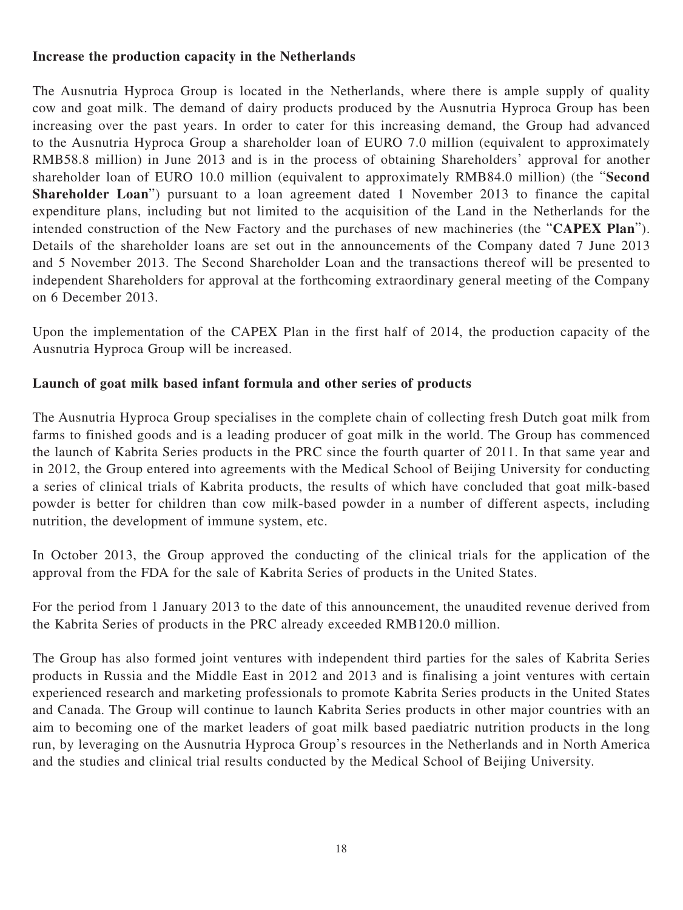### **Increase the production capacity in the Netherlands**

The Ausnutria Hyproca Group is located in the Netherlands, where there is ample supply of quality cow and goat milk. The demand of dairy products produced by the Ausnutria Hyproca Group has been increasing over the past years. In order to cater for this increasing demand, the Group had advanced to the Ausnutria Hyproca Group a shareholder loan of EURO 7.0 million (equivalent to approximately RMB58.8 million) in June 2013 and is in the process of obtaining Shareholders' approval for another shareholder loan of EURO 10.0 million (equivalent to approximately RMB84.0 million) (the "**Second Shareholder Loan**") pursuant to a loan agreement dated 1 November 2013 to finance the capital expenditure plans, including but not limited to the acquisition of the Land in the Netherlands for the intended construction of the New Factory and the purchases of new machineries (the "**CAPEX Plan**"). Details of the shareholder loans are set out in the announcements of the Company dated 7 June 2013 and 5 November 2013. The Second Shareholder Loan and the transactions thereof will be presented to independent Shareholders for approval at the forthcoming extraordinary general meeting of the Company on 6 December 2013.

Upon the implementation of the CAPEX Plan in the first half of 2014, the production capacity of the Ausnutria Hyproca Group will be increased.

### **Launch of goat milk based infant formula and other series of products**

The Ausnutria Hyproca Group specialises in the complete chain of collecting fresh Dutch goat milk from farms to finished goods and is a leading producer of goat milk in the world. The Group has commenced the launch of Kabrita Series products in the PRC since the fourth quarter of 2011. In that same year and in 2012, the Group entered into agreements with the Medical School of Beijing University for conducting a series of clinical trials of Kabrita products, the results of which have concluded that goat milk-based powder is better for children than cow milk-based powder in a number of different aspects, including nutrition, the development of immune system, etc.

In October 2013, the Group approved the conducting of the clinical trials for the application of the approval from the FDA for the sale of Kabrita Series of products in the United States.

For the period from 1 January 2013 to the date of this announcement, the unaudited revenue derived from the Kabrita Series of products in the PRC already exceeded RMB120.0 million.

The Group has also formed joint ventures with independent third parties for the sales of Kabrita Series products in Russia and the Middle East in 2012 and 2013 and is finalising a joint ventures with certain experienced research and marketing professionals to promote Kabrita Series products in the United States and Canada. The Group will continue to launch Kabrita Series products in other major countries with an aim to becoming one of the market leaders of goat milk based paediatric nutrition products in the long run, by leveraging on the Ausnutria Hyproca Group's resources in the Netherlands and in North America and the studies and clinical trial results conducted by the Medical School of Beijing University.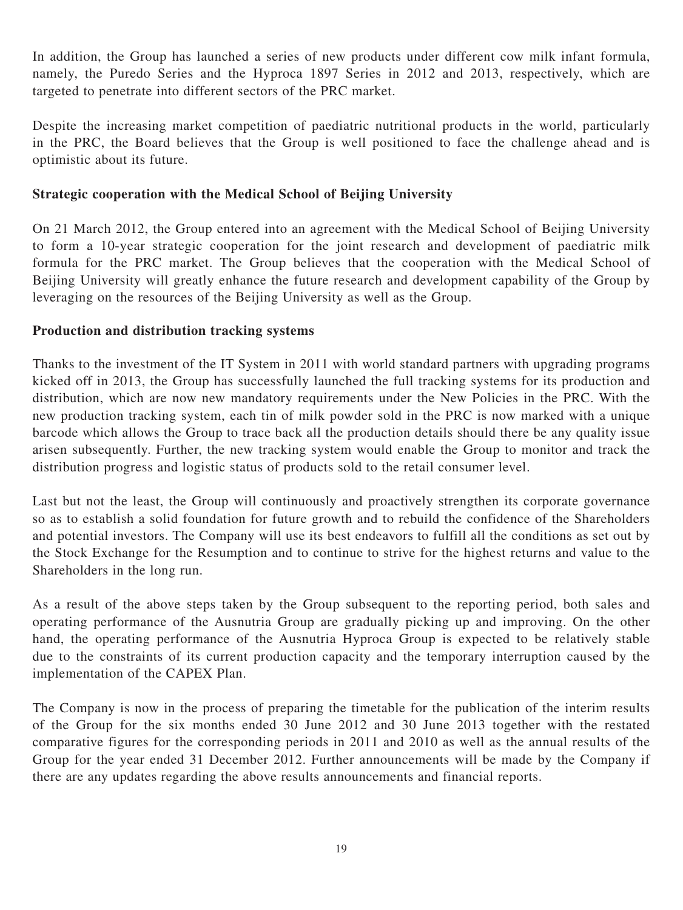In addition, the Group has launched a series of new products under different cow milk infant formula, namely, the Puredo Series and the Hyproca 1897 Series in 2012 and 2013, respectively, which are targeted to penetrate into different sectors of the PRC market.

Despite the increasing market competition of paediatric nutritional products in the world, particularly in the PRC, the Board believes that the Group is well positioned to face the challenge ahead and is optimistic about its future.

### **Strategic cooperation with the Medical School of Beijing University**

On 21 March 2012, the Group entered into an agreement with the Medical School of Beijing University to form a 10-year strategic cooperation for the joint research and development of paediatric milk formula for the PRC market. The Group believes that the cooperation with the Medical School of Beijing University will greatly enhance the future research and development capability of the Group by leveraging on the resources of the Beijing University as well as the Group.

#### **Production and distribution tracking systems**

Thanks to the investment of the IT System in 2011 with world standard partners with upgrading programs kicked off in 2013, the Group has successfully launched the full tracking systems for its production and distribution, which are now new mandatory requirements under the New Policies in the PRC. With the new production tracking system, each tin of milk powder sold in the PRC is now marked with a unique barcode which allows the Group to trace back all the production details should there be any quality issue arisen subsequently. Further, the new tracking system would enable the Group to monitor and track the distribution progress and logistic status of products sold to the retail consumer level.

Last but not the least, the Group will continuously and proactively strengthen its corporate governance so as to establish a solid foundation for future growth and to rebuild the confidence of the Shareholders and potential investors. The Company will use its best endeavors to fulfill all the conditions as set out by the Stock Exchange for the Resumption and to continue to strive for the highest returns and value to the Shareholders in the long run.

As a result of the above steps taken by the Group subsequent to the reporting period, both sales and operating performance of the Ausnutria Group are gradually picking up and improving. On the other hand, the operating performance of the Ausnutria Hyproca Group is expected to be relatively stable due to the constraints of its current production capacity and the temporary interruption caused by the implementation of the CAPEX Plan.

The Company is now in the process of preparing the timetable for the publication of the interim results of the Group for the six months ended 30 June 2012 and 30 June 2013 together with the restated comparative figures for the corresponding periods in 2011 and 2010 as well as the annual results of the Group for the year ended 31 December 2012. Further announcements will be made by the Company if there are any updates regarding the above results announcements and financial reports.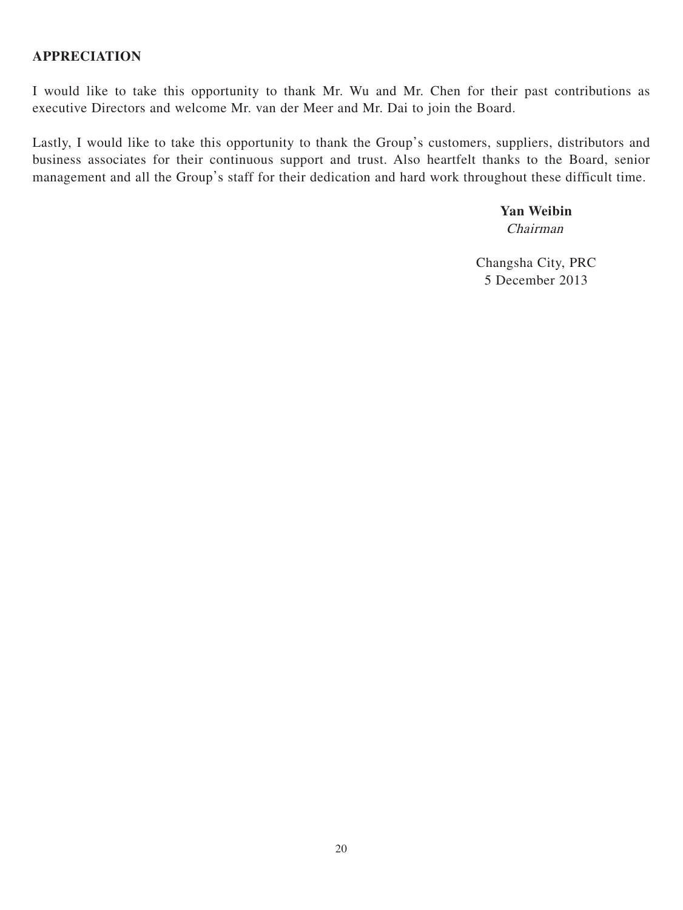I would like to take this opportunity to thank Mr. Wu and Mr. Chen for their past contributions as executive Directors and welcome Mr. van der Meer and Mr. Dai to join the Board.

Lastly, I would like to take this opportunity to thank the Group's customers, suppliers, distributors and business associates for their continuous support and trust. Also heartfelt thanks to the Board, senior management and all the Group's staff for their dedication and hard work throughout these difficult time.

# **Yan Weibin**

Chairman

Changsha City, PRC 5 December 2013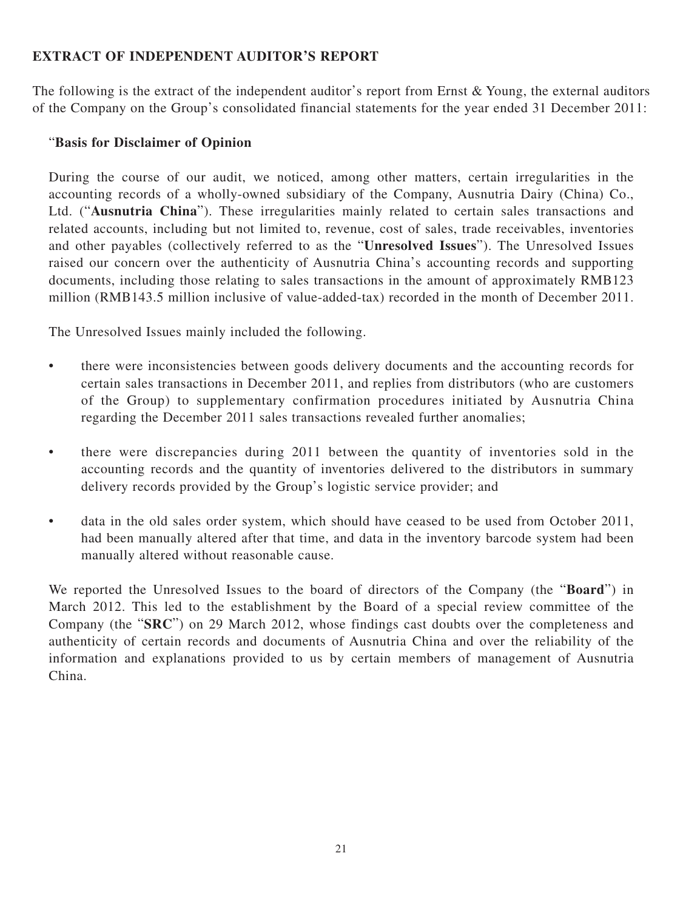### **EXTRACT OF INDEPENDENT AUDITOR'S REPORT**

The following is the extract of the independent auditor's report from Ernst & Young, the external auditors of the Company on the Group's consolidated financial statements for the year ended 31 December 2011:

### "**Basis for Disclaimer of Opinion**

During the course of our audit, we noticed, among other matters, certain irregularities in the accounting records of a wholly-owned subsidiary of the Company, Ausnutria Dairy (China) Co., Ltd. ("**Ausnutria China**"). These irregularities mainly related to certain sales transactions and related accounts, including but not limited to, revenue, cost of sales, trade receivables, inventories and other payables (collectively referred to as the "**Unresolved Issues**"). The Unresolved Issues raised our concern over the authenticity of Ausnutria China's accounting records and supporting documents, including those relating to sales transactions in the amount of approximately RMB123 million (RMB143.5 million inclusive of value-added-tax) recorded in the month of December 2011.

The Unresolved Issues mainly included the following.

- there were inconsistencies between goods delivery documents and the accounting records for certain sales transactions in December 2011, and replies from distributors (who are customers of the Group) to supplementary confirmation procedures initiated by Ausnutria China regarding the December 2011 sales transactions revealed further anomalies;
- there were discrepancies during 2011 between the quantity of inventories sold in the accounting records and the quantity of inventories delivered to the distributors in summary delivery records provided by the Group's logistic service provider; and
- data in the old sales order system, which should have ceased to be used from October 2011, had been manually altered after that time, and data in the inventory barcode system had been manually altered without reasonable cause.

We reported the Unresolved Issues to the board of directors of the Company (the "**Board**") in March 2012. This led to the establishment by the Board of a special review committee of the Company (the "**SRC**") on 29 March 2012, whose findings cast doubts over the completeness and authenticity of certain records and documents of Ausnutria China and over the reliability of the information and explanations provided to us by certain members of management of Ausnutria China.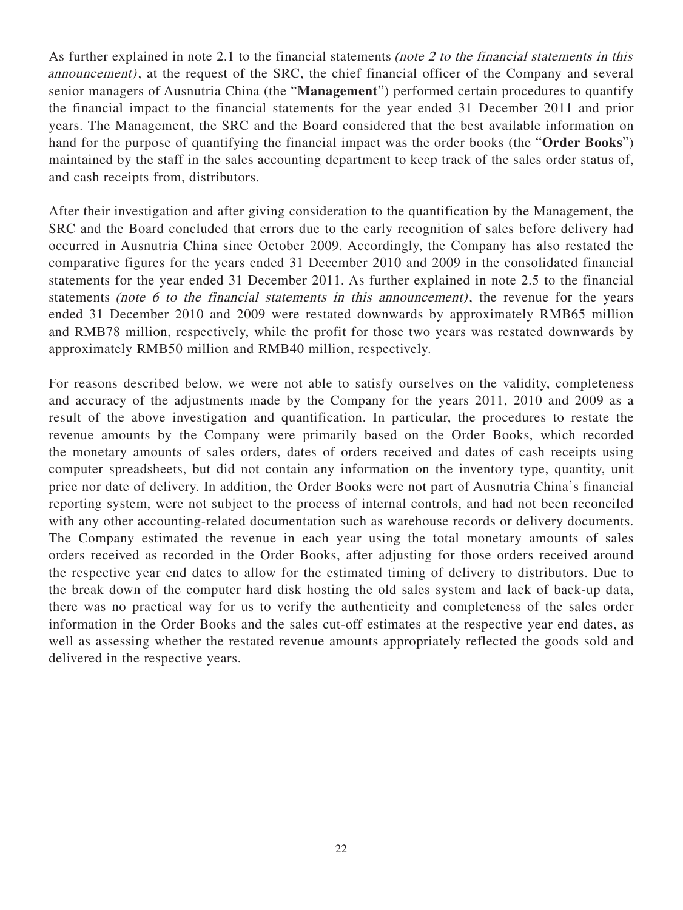As further explained in note 2.1 to the financial statements *(note 2 to the financial statements in this* announcement), at the request of the SRC, the chief financial officer of the Company and several senior managers of Ausnutria China (the "**Management**") performed certain procedures to quantify the financial impact to the financial statements for the year ended 31 December 2011 and prior years. The Management, the SRC and the Board considered that the best available information on hand for the purpose of quantifying the financial impact was the order books (the "**Order Books**") maintained by the staff in the sales accounting department to keep track of the sales order status of, and cash receipts from, distributors.

After their investigation and after giving consideration to the quantification by the Management, the SRC and the Board concluded that errors due to the early recognition of sales before delivery had occurred in Ausnutria China since October 2009. Accordingly, the Company has also restated the comparative figures for the years ended 31 December 2010 and 2009 in the consolidated financial statements for the year ended 31 December 2011. As further explained in note 2.5 to the financial statements (note 6 to the financial statements in this announcement), the revenue for the years ended 31 December 2010 and 2009 were restated downwards by approximately RMB65 million and RMB78 million, respectively, while the profit for those two years was restated downwards by approximately RMB50 million and RMB40 million, respectively.

For reasons described below, we were not able to satisfy ourselves on the validity, completeness and accuracy of the adjustments made by the Company for the years 2011, 2010 and 2009 as a result of the above investigation and quantification. In particular, the procedures to restate the revenue amounts by the Company were primarily based on the Order Books, which recorded the monetary amounts of sales orders, dates of orders received and dates of cash receipts using computer spreadsheets, but did not contain any information on the inventory type, quantity, unit price nor date of delivery. In addition, the Order Books were not part of Ausnutria China's financial reporting system, were not subject to the process of internal controls, and had not been reconciled with any other accounting-related documentation such as warehouse records or delivery documents. The Company estimated the revenue in each year using the total monetary amounts of sales orders received as recorded in the Order Books, after adjusting for those orders received around the respective year end dates to allow for the estimated timing of delivery to distributors. Due to the break down of the computer hard disk hosting the old sales system and lack of back-up data, there was no practical way for us to verify the authenticity and completeness of the sales order information in the Order Books and the sales cut-off estimates at the respective year end dates, as well as assessing whether the restated revenue amounts appropriately reflected the goods sold and delivered in the respective years.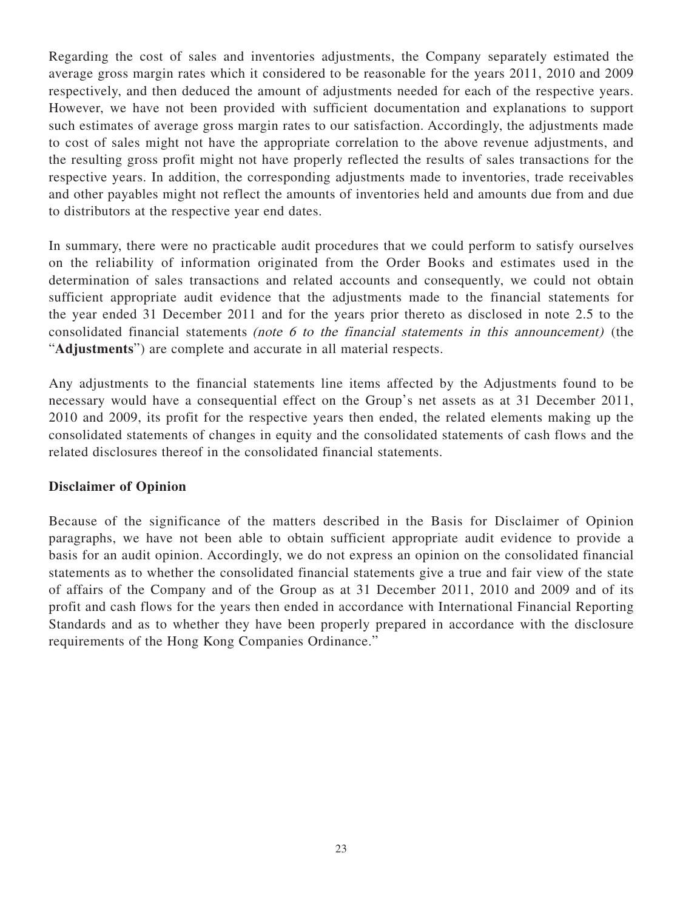Regarding the cost of sales and inventories adjustments, the Company separately estimated the average gross margin rates which it considered to be reasonable for the years 2011, 2010 and 2009 respectively, and then deduced the amount of adjustments needed for each of the respective years. However, we have not been provided with sufficient documentation and explanations to support such estimates of average gross margin rates to our satisfaction. Accordingly, the adjustments made to cost of sales might not have the appropriate correlation to the above revenue adjustments, and the resulting gross profit might not have properly reflected the results of sales transactions for the respective years. In addition, the corresponding adjustments made to inventories, trade receivables and other payables might not reflect the amounts of inventories held and amounts due from and due to distributors at the respective year end dates.

In summary, there were no practicable audit procedures that we could perform to satisfy ourselves on the reliability of information originated from the Order Books and estimates used in the determination of sales transactions and related accounts and consequently, we could not obtain sufficient appropriate audit evidence that the adjustments made to the financial statements for the year ended 31 December 2011 and for the years prior thereto as disclosed in note 2.5 to the consolidated financial statements (note 6 to the financial statements in this announcement) (the "**Adjustments**") are complete and accurate in all material respects.

Any adjustments to the financial statements line items affected by the Adjustments found to be necessary would have a consequential effect on the Group's net assets as at 31 December 2011, 2010 and 2009, its profit for the respective years then ended, the related elements making up the consolidated statements of changes in equity and the consolidated statements of cash flows and the related disclosures thereof in the consolidated financial statements.

### **Disclaimer of Opinion**

Because of the significance of the matters described in the Basis for Disclaimer of Opinion paragraphs, we have not been able to obtain sufficient appropriate audit evidence to provide a basis for an audit opinion. Accordingly, we do not express an opinion on the consolidated financial statements as to whether the consolidated financial statements give a true and fair view of the state of affairs of the Company and of the Group as at 31 December 2011, 2010 and 2009 and of its profit and cash flows for the years then ended in accordance with International Financial Reporting Standards and as to whether they have been properly prepared in accordance with the disclosure requirements of the Hong Kong Companies Ordinance."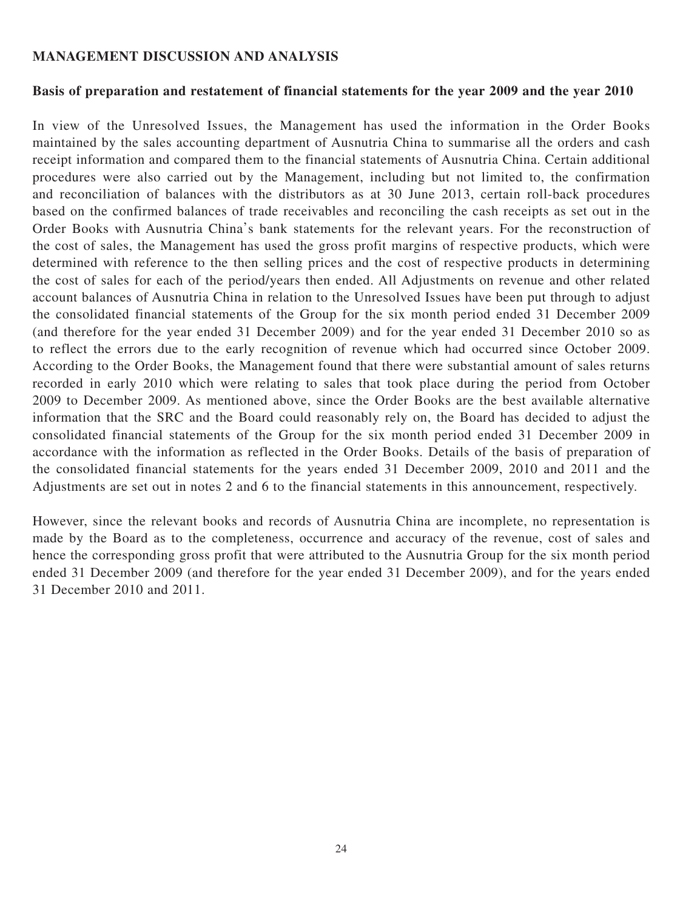#### **MANAGEMENT DISCUSSION AND ANALYSIS**

#### **Basis of preparation and restatement of financial statements for the year 2009 and the year 2010**

In view of the Unresolved Issues, the Management has used the information in the Order Books maintained by the sales accounting department of Ausnutria China to summarise all the orders and cash receipt information and compared them to the financial statements of Ausnutria China. Certain additional procedures were also carried out by the Management, including but not limited to, the confirmation and reconciliation of balances with the distributors as at 30 June 2013, certain roll-back procedures based on the confirmed balances of trade receivables and reconciling the cash receipts as set out in the Order Books with Ausnutria China's bank statements for the relevant years. For the reconstruction of the cost of sales, the Management has used the gross profit margins of respective products, which were determined with reference to the then selling prices and the cost of respective products in determining the cost of sales for each of the period/years then ended. All Adjustments on revenue and other related account balances of Ausnutria China in relation to the Unresolved Issues have been put through to adjust the consolidated financial statements of the Group for the six month period ended 31 December 2009 (and therefore for the year ended 31 December 2009) and for the year ended 31 December 2010 so as to reflect the errors due to the early recognition of revenue which had occurred since October 2009. According to the Order Books, the Management found that there were substantial amount of sales returns recorded in early 2010 which were relating to sales that took place during the period from October 2009 to December 2009. As mentioned above, since the Order Books are the best available alternative information that the SRC and the Board could reasonably rely on, the Board has decided to adjust the consolidated financial statements of the Group for the six month period ended 31 December 2009 in accordance with the information as reflected in the Order Books. Details of the basis of preparation of the consolidated financial statements for the years ended 31 December 2009, 2010 and 2011 and the Adjustments are set out in notes 2 and 6 to the financial statements in this announcement, respectively.

However, since the relevant books and records of Ausnutria China are incomplete, no representation is made by the Board as to the completeness, occurrence and accuracy of the revenue, cost of sales and hence the corresponding gross profit that were attributed to the Ausnutria Group for the six month period ended 31 December 2009 (and therefore for the year ended 31 December 2009), and for the years ended 31 December 2010 and 2011.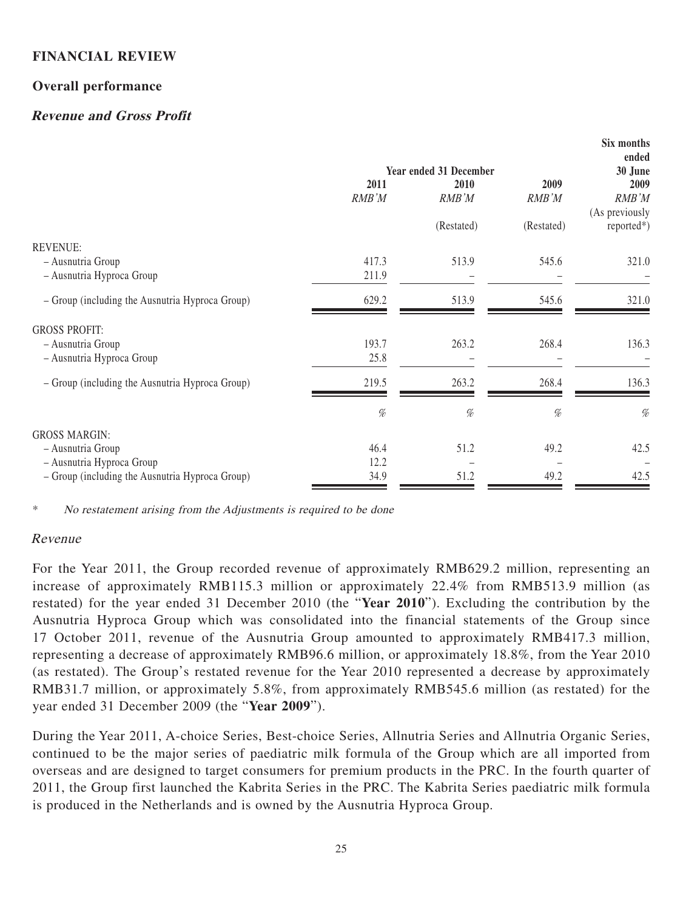### **FINANCIAL REVIEW**

### **Overall performance**

### **Revenue and Gross Profit**

|       |               |                                                | SIX months<br>ended<br>30 June |
|-------|---------------|------------------------------------------------|--------------------------------|
|       |               |                                                | 2009                           |
|       |               |                                                | RMB'M                          |
|       |               |                                                | (As previously                 |
|       | (Restated)    | (Restated)                                     | $reported*)$                   |
|       |               |                                                |                                |
| 417.3 | 513.9         | 545.6                                          | 321.0                          |
| 211.9 |               |                                                |                                |
| 629.2 | 513.9         | 545.6                                          | 321.0                          |
|       |               |                                                |                                |
| 193.7 | 263.2         | 268.4                                          | 136.3                          |
| 25.8  |               |                                                |                                |
| 219.5 | 263.2         | 268.4                                          | 136.3                          |
| %     | %             | $\%$                                           | $\%$                           |
|       |               |                                                |                                |
| 46.4  | 51.2          | 49.2                                           | 42.5                           |
| 12.2  |               |                                                |                                |
| 34.9  | 51.2          | 49.2                                           | 42.5                           |
|       | 2011<br>RMB'M | <b>Year ended 31 December</b><br>2010<br>RMB'M | 2009<br>RMB'M                  |

 $\mathbf{S}$ **Six months in the set of the set of the set of the set of the set of the set of the set of the set of the set of the set of the set of the set of the set of the set of the set of the set of the set of the set of** 

No restatement arising from the Adjustments is required to be done

#### Revenue

For the Year 2011, the Group recorded revenue of approximately RMB629.2 million, representing an increase of approximately RMB115.3 million or approximately 22.4% from RMB513.9 million (as restated) for the year ended 31 December 2010 (the "**Year 2010**"). Excluding the contribution by the Ausnutria Hyproca Group which was consolidated into the financial statements of the Group since 17 October 2011, revenue of the Ausnutria Group amounted to approximately RMB417.3 million, representing a decrease of approximately RMB96.6 million, or approximately 18.8%, from the Year 2010 (as restated). The Group's restated revenue for the Year 2010 represented a decrease by approximately RMB31.7 million, or approximately 5.8%, from approximately RMB545.6 million (as restated) for the year ended 31 December 2009 (the "**Year 2009**").

During the Year 2011, A-choice Series, Best-choice Series, Allnutria Series and Allnutria Organic Series, continued to be the major series of paediatric milk formula of the Group which are all imported from overseas and are designed to target consumers for premium products in the PRC. In the fourth quarter of 2011, the Group first launched the Kabrita Series in the PRC. The Kabrita Series paediatric milk formula is produced in the Netherlands and is owned by the Ausnutria Hyproca Group.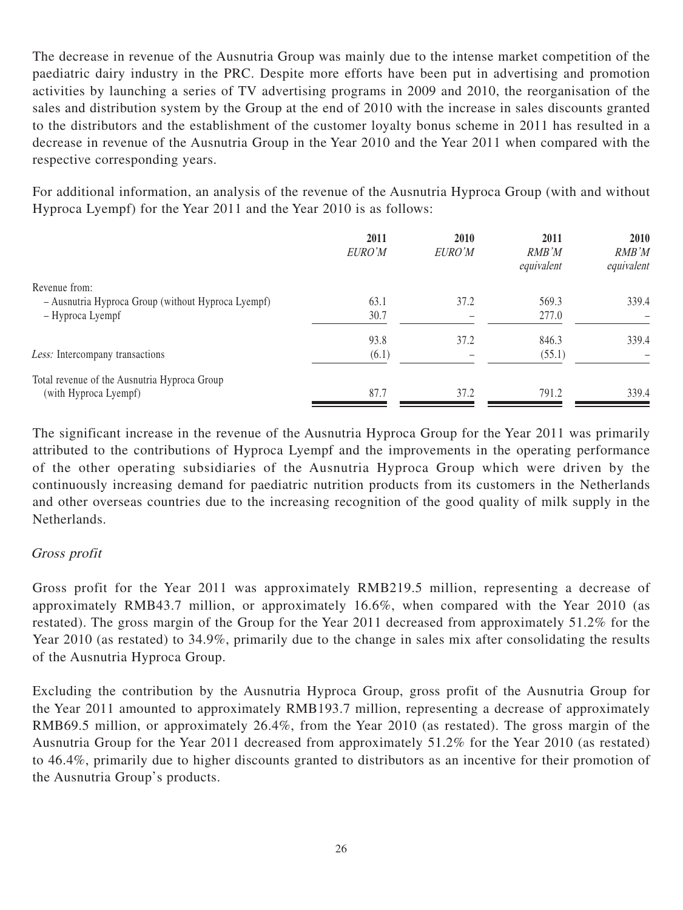The decrease in revenue of the Ausnutria Group was mainly due to the intense market competition of the paediatric dairy industry in the PRC. Despite more efforts have been put in advertising and promotion activities by launching a series of TV advertising programs in 2009 and 2010, the reorganisation of the sales and distribution system by the Group at the end of 2010 with the increase in sales discounts granted to the distributors and the establishment of the customer loyalty bonus scheme in 2011 has resulted in a decrease in revenue of the Ausnutria Group in the Year 2010 and the Year 2011 when compared with the respective corresponding years.

For additional information, an analysis of the revenue of the Ausnutria Hyproca Group (with and without Hyproca Lyempf) for the Year 2011 and the Year 2010 is as follows:

|                                                    | 2011<br>EURO'M | 2010<br>EURO'M | 2011<br>RMB'M<br>equivalent | 2010<br>RMB'M<br>equivalent |
|----------------------------------------------------|----------------|----------------|-----------------------------|-----------------------------|
| Revenue from:                                      |                |                |                             |                             |
| - Ausnutria Hyproca Group (without Hyproca Lyempf) | 63.1           | 37.2           | 569.3                       | 339.4                       |
| - Hyproca Lyempf                                   | 30.7           |                | 277.0                       |                             |
|                                                    | 93.8           | 37.2           | 846.3                       | 339.4                       |
| Less: Intercompany transactions                    | (6.1)          |                | (55.1)                      |                             |
| Total revenue of the Ausnutria Hyproca Group       |                |                |                             |                             |
| (with Hyproca Lyempf)                              | 87.7           | 37.2           | 791.2                       | 339.4                       |

The significant increase in the revenue of the Ausnutria Hyproca Group for the Year 2011 was primarily attributed to the contributions of Hyproca Lyempf and the improvements in the operating performance of the other operating subsidiaries of the Ausnutria Hyproca Group which were driven by the continuously increasing demand for paediatric nutrition products from its customers in the Netherlands and other overseas countries due to the increasing recognition of the good quality of milk supply in the Netherlands.

#### Gross profit

Gross profit for the Year 2011 was approximately RMB219.5 million, representing a decrease of approximately RMB43.7 million, or approximately 16.6%, when compared with the Year 2010 (as restated). The gross margin of the Group for the Year 2011 decreased from approximately 51.2% for the Year 2010 (as restated) to 34.9%, primarily due to the change in sales mix after consolidating the results of the Ausnutria Hyproca Group.

Excluding the contribution by the Ausnutria Hyproca Group, gross profit of the Ausnutria Group for the Year 2011 amounted to approximately RMB193.7 million, representing a decrease of approximately RMB69.5 million, or approximately 26.4%, from the Year 2010 (as restated). The gross margin of the Ausnutria Group for the Year 2011 decreased from approximately 51.2% for the Year 2010 (as restated) to 46.4%, primarily due to higher discounts granted to distributors as an incentive for their promotion of the Ausnutria Group's products.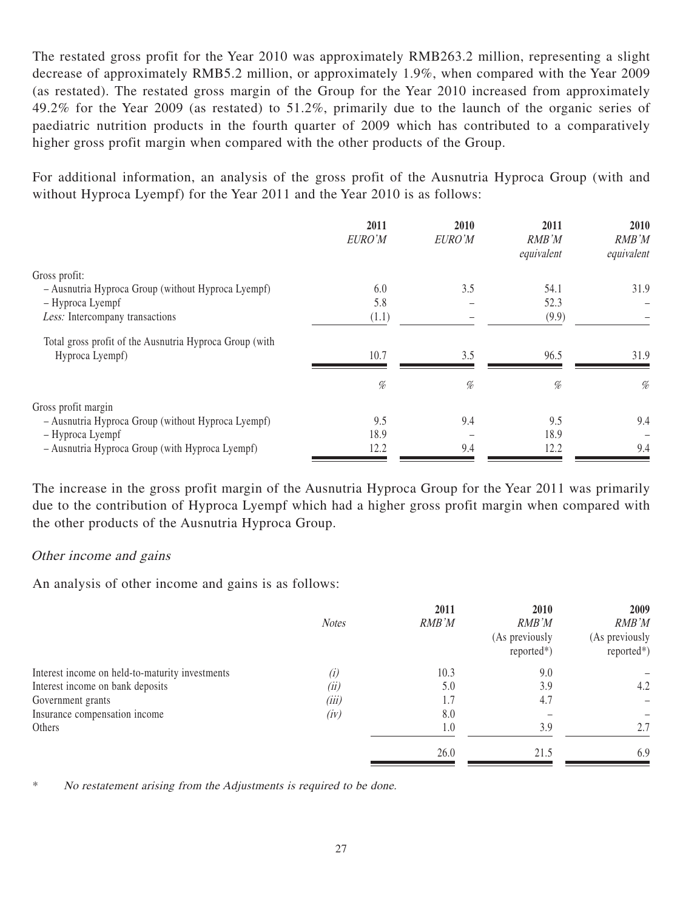The restated gross profit for the Year 2010 was approximately RMB263.2 million, representing a slight decrease of approximately RMB5.2 million, or approximately 1.9%, when compared with the Year 2009 (as restated). The restated gross margin of the Group for the Year 2010 increased from approximately 49.2% for the Year 2009 (as restated) to 51.2%, primarily due to the launch of the organic series of paediatric nutrition products in the fourth quarter of 2009 which has contributed to a comparatively higher gross profit margin when compared with the other products of the Group.

For additional information, an analysis of the gross profit of the Ausnutria Hyproca Group (with and without Hyproca Lyempf) for the Year 2011 and the Year 2010 is as follows:

|                                                                            | 2011<br>EURO'M | 2010<br>EURO'M | 2011<br>RMB'M<br>equivalent | 2010<br>RMB'M<br>equivalent |
|----------------------------------------------------------------------------|----------------|----------------|-----------------------------|-----------------------------|
| Gross profit:                                                              |                |                |                             |                             |
| - Ausnutria Hyproca Group (without Hyproca Lyempf)                         | 6.0            | 3.5            | 54.1                        | 31.9                        |
| - Hyproca Lyempf                                                           | 5.8            |                | 52.3                        |                             |
| Less: Intercompany transactions                                            | (1.1)          |                | (9.9)                       |                             |
| Total gross profit of the Ausnutria Hyproca Group (with<br>Hyproca Lyempf) | 10.7           | 3.5            | 96.5                        | 31.9                        |
|                                                                            | %              | %              | %                           | %                           |
| Gross profit margin                                                        |                |                |                             |                             |
| - Ausnutria Hyproca Group (without Hyproca Lyempf)                         | 9.5            | 9.4            | 9.5                         | 9.4                         |
| - Hyproca Lyempf                                                           | 18.9           |                | 18.9                        |                             |
| - Ausnutria Hyproca Group (with Hyproca Lyempf)                            | 12.2           | 9.4            | 12.2                        | 9.4                         |

The increase in the gross profit margin of the Ausnutria Hyproca Group for the Year 2011 was primarily due to the contribution of Hyproca Lyempf which had a higher gross profit margin when compared with the other products of the Ausnutria Hyproca Group.

#### Other income and gains

An analysis of other income and gains is as follows:

|                                                 | <b>Notes</b> | 2011<br>RMB'M | 2010<br>RMB'M<br>(As previously<br>$reported*)$ | 2009<br>RMB'M<br>(As previously<br>$reported*)$ |
|-------------------------------------------------|--------------|---------------|-------------------------------------------------|-------------------------------------------------|
| Interest income on held-to-maturity investments | (i)          | 10.3          | 9.0                                             |                                                 |
| Interest income on bank deposits                | (ii)         | 5.0           | 3.9                                             | 4.2                                             |
| Government grants                               | (iii)        | 1.7           | 4.7                                             |                                                 |
| Insurance compensation income                   | (iv)         | 8.0           |                                                 |                                                 |
| Others                                          |              | 1.0           | 3.9                                             | 2.7                                             |
|                                                 |              | 26.0          | 21.5                                            | 6.9                                             |

No restatement arising from the Adjustments is required to be done.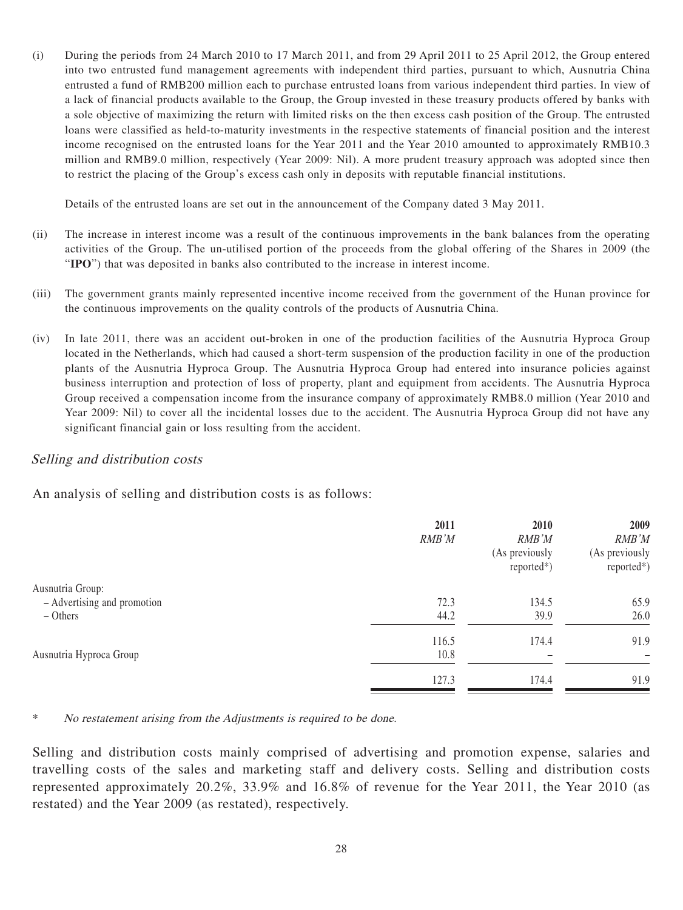(i) During the periods from 24 March 2010 to 17 March 2011, and from 29 April 2011 to 25 April 2012, the Group entered into two entrusted fund management agreements with independent third parties, pursuant to which, Ausnutria China entrusted a fund of RMB200 million each to purchase entrusted loans from various independent third parties. In view of a lack of financial products available to the Group, the Group invested in these treasury products offered by banks with a sole objective of maximizing the return with limited risks on the then excess cash position of the Group. The entrusted loans were classified as held-to-maturity investments in the respective statements of financial position and the interest income recognised on the entrusted loans for the Year 2011 and the Year 2010 amounted to approximately RMB10.3 million and RMB9.0 million, respectively (Year 2009: Nil). A more prudent treasury approach was adopted since then to restrict the placing of the Group's excess cash only in deposits with reputable financial institutions.

Details of the entrusted loans are set out in the announcement of the Company dated 3 May 2011.

- (ii) The increase in interest income was a result of the continuous improvements in the bank balances from the operating activities of the Group. The un-utilised portion of the proceeds from the global offering of the Shares in 2009 (the "**IPO**") that was deposited in banks also contributed to the increase in interest income.
- (iii) The government grants mainly represented incentive income received from the government of the Hunan province for the continuous improvements on the quality controls of the products of Ausnutria China.
- (iv) In late 2011, there was an accident out-broken in one of the production facilities of the Ausnutria Hyproca Group located in the Netherlands, which had caused a short-term suspension of the production facility in one of the production plants of the Ausnutria Hyproca Group. The Ausnutria Hyproca Group had entered into insurance policies against business interruption and protection of loss of property, plant and equipment from accidents. The Ausnutria Hyproca Group received a compensation income from the insurance company of approximately RMB8.0 million (Year 2010 and Year 2009: Nil) to cover all the incidental losses due to the accident. The Ausnutria Hyproca Group did not have any significant financial gain or loss resulting from the accident.

#### Selling and distribution costs

An analysis of selling and distribution costs is as follows:

| 2011  | 2010                     | 2009           |
|-------|--------------------------|----------------|
|       | RMB'M                    | RMB'M          |
|       | (As previously           | (As previously |
|       | $reported*)$             | $reported*)$   |
|       |                          |                |
| 72.3  | 134.5                    | 65.9           |
| 44.2  | 39.9                     | 26.0           |
| 116.5 | 174.4                    | 91.9           |
| 10.8  | $\overline{\phantom{0}}$ |                |
| 127.3 | 174.4                    | 91.9           |
|       | RMB'M                    |                |

No restatement arising from the Adjustments is required to be done.

Selling and distribution costs mainly comprised of advertising and promotion expense, salaries and travelling costs of the sales and marketing staff and delivery costs. Selling and distribution costs represented approximately 20.2%, 33.9% and 16.8% of revenue for the Year 2011, the Year 2010 (as restated) and the Year 2009 (as restated), respectively.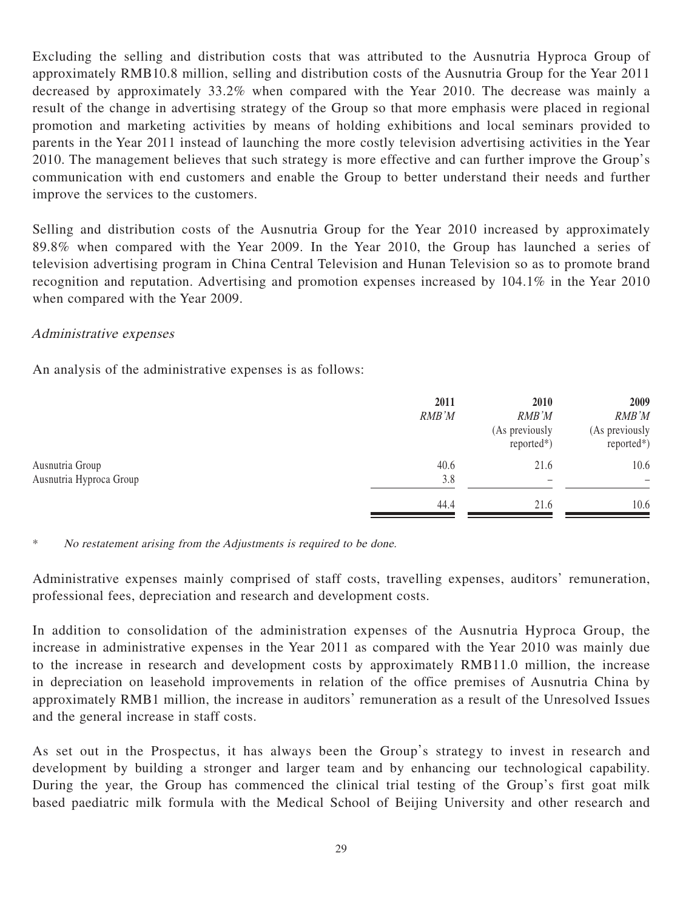Excluding the selling and distribution costs that was attributed to the Ausnutria Hyproca Group of approximately RMB10.8 million, selling and distribution costs of the Ausnutria Group for the Year 2011 decreased by approximately 33.2% when compared with the Year 2010. The decrease was mainly a result of the change in advertising strategy of the Group so that more emphasis were placed in regional promotion and marketing activities by means of holding exhibitions and local seminars provided to parents in the Year 2011 instead of launching the more costly television advertising activities in the Year 2010. The management believes that such strategy is more effective and can further improve the Group's communication with end customers and enable the Group to better understand their needs and further improve the services to the customers.

Selling and distribution costs of the Ausnutria Group for the Year 2010 increased by approximately 89.8% when compared with the Year 2009. In the Year 2010, the Group has launched a series of television advertising program in China Central Television and Hunan Television so as to promote brand recognition and reputation. Advertising and promotion expenses increased by 104.1% in the Year 2010 when compared with the Year 2009.

#### Administrative expenses

An analysis of the administrative expenses is as follows:

|                                            | 2011<br>RMB'M | 2010<br>RMB'M<br>(As previously<br>$reported*)$ | 2009<br>RMB'M<br>(As previously<br>$reported*)$ |
|--------------------------------------------|---------------|-------------------------------------------------|-------------------------------------------------|
| Ausnutria Group<br>Ausnutria Hyproca Group | 40.6<br>3.8   | 21.6<br>$\overline{\phantom{0}}$                | 10.6<br>$\overline{\phantom{m}}$                |
|                                            | 44.4          | 21.6                                            | 10.6                                            |

\* No restatement arising from the Adjustments is required to be done.

Administrative expenses mainly comprised of staff costs, travelling expenses, auditors' remuneration, professional fees, depreciation and research and development costs.

In addition to consolidation of the administration expenses of the Ausnutria Hyproca Group, the increase in administrative expenses in the Year 2011 as compared with the Year 2010 was mainly due to the increase in research and development costs by approximately RMB11.0 million, the increase in depreciation on leasehold improvements in relation of the office premises of Ausnutria China by approximately RMB1 million, the increase in auditors' remuneration as a result of the Unresolved Issues and the general increase in staff costs.

As set out in the Prospectus, it has always been the Group's strategy to invest in research and development by building a stronger and larger team and by enhancing our technological capability. During the year, the Group has commenced the clinical trial testing of the Group's first goat milk based paediatric milk formula with the Medical School of Beijing University and other research and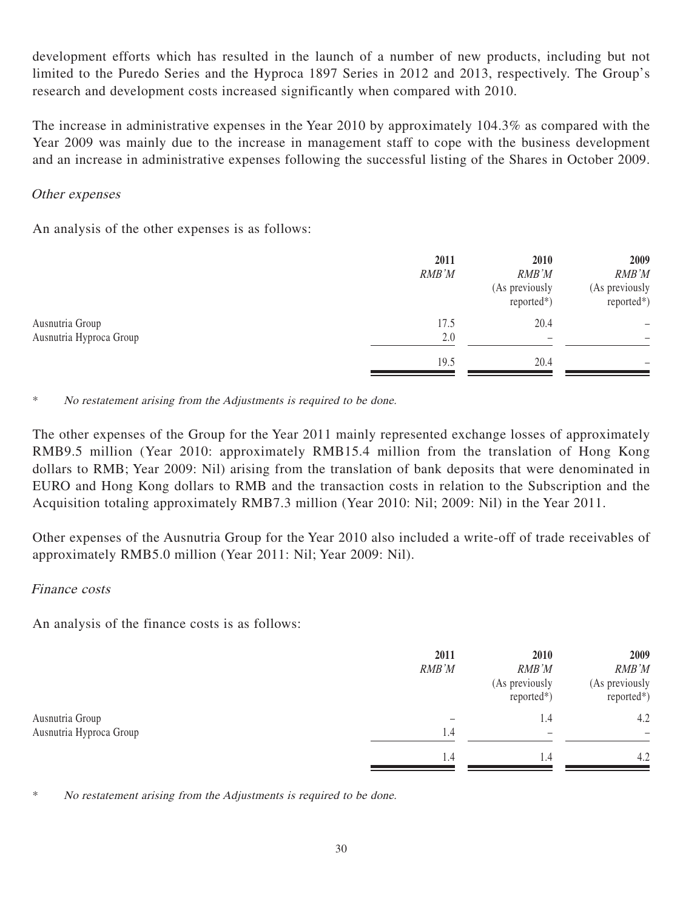development efforts which has resulted in the launch of a number of new products, including but not limited to the Puredo Series and the Hyproca 1897 Series in 2012 and 2013, respectively. The Group's research and development costs increased significantly when compared with 2010.

The increase in administrative expenses in the Year 2010 by approximately 104.3% as compared with the Year 2009 was mainly due to the increase in management staff to cope with the business development and an increase in administrative expenses following the successful listing of the Shares in October 2009.

#### Other expenses

An analysis of the other expenses is as follows:

|                                            | 2011<br>RMB'M | 2010<br>RMB'M<br>(As previously<br>$reported*)$ | 2009<br>RMB'M<br>(As previously<br>reported*) |
|--------------------------------------------|---------------|-------------------------------------------------|-----------------------------------------------|
| Ausnutria Group<br>Ausnutria Hyproca Group | 17.5<br>2.0   | 20.4<br>$\overline{\phantom{0}}$                |                                               |
|                                            | 19.5          | 20.4                                            |                                               |

\* No restatement arising from the Adjustments is required to be done.

The other expenses of the Group for the Year 2011 mainly represented exchange losses of approximately RMB9.5 million (Year 2010: approximately RMB15.4 million from the translation of Hong Kong dollars to RMB; Year 2009: Nil) arising from the translation of bank deposits that were denominated in EURO and Hong Kong dollars to RMB and the transaction costs in relation to the Subscription and the Acquisition totaling approximately RMB7.3 million (Year 2010: Nil; 2009: Nil) in the Year 2011.

Other expenses of the Ausnutria Group for the Year 2010 also included a write-off of trade receivables of approximately RMB5.0 million (Year 2011: Nil; Year 2009: Nil).

#### Finance costs

An analysis of the finance costs is as follows:

|                         | 2011<br>RMB'M | 2010<br>RMB'M<br>(As previously<br>$reported*)$ | 2009<br>RMB'M<br>(As previously<br>$reported*)$ |
|-------------------------|---------------|-------------------------------------------------|-------------------------------------------------|
| Ausnutria Group         |               | 1.4                                             | 4.2                                             |
| Ausnutria Hyproca Group | 1.4           | -                                               |                                                 |
|                         | 1.4           | 1.4                                             | 4.2                                             |

No restatement arising from the Adjustments is required to be done.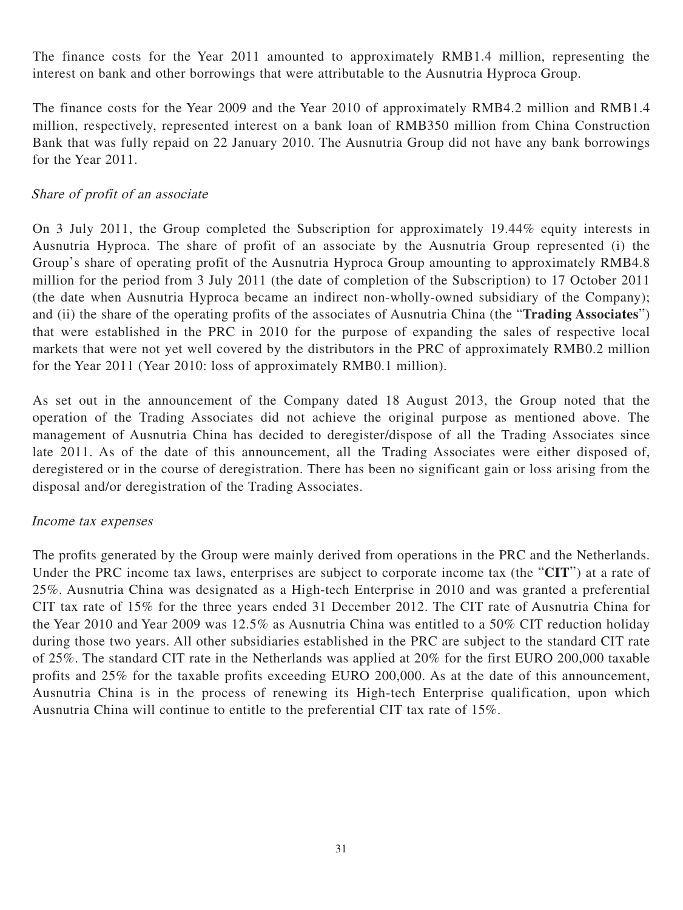The finance costs for the Year 2011 amounted to approximately RMB1.4 million, representing the interest on bank and other borrowings that were attributable to the Ausnutria Hyproca Group.

The finance costs for the Year 2009 and the Year 2010 of approximately RMB4.2 million and RMB1.4 million, respectively, represented interest on a bank loan of RMB350 million from China Construction Bank that was fully repaid on 22 January 2010. The Ausnutria Group did not have any bank borrowings for the Year 2011.

### Share of profit of an associate

On 3 July 2011, the Group completed the Subscription for approximately 19.44% equity interests in Ausnutria Hyproca. The share of profit of an associate by the Ausnutria Group represented (i) the Group's share of operating profit of the Ausnutria Hyproca Group amounting to approximately RMB4.8 million for the period from 3 July 2011 (the date of completion of the Subscription) to 17 October 2011 (the date when Ausnutria Hyproca became an indirect non-wholly-owned subsidiary of the Company); and (ii) the share of the operating profits of the associates of Ausnutria China (the "**Trading Associates**") that were established in the PRC in 2010 for the purpose of expanding the sales of respective local markets that were not yet well covered by the distributors in the PRC of approximately RMB0.2 million for the Year 2011 (Year 2010: loss of approximately RMB0.1 million).

As set out in the announcement of the Company dated 18 August 2013, the Group noted that the operation of the Trading Associates did not achieve the original purpose as mentioned above. The management of Ausnutria China has decided to deregister/dispose of all the Trading Associates since late 2011. As of the date of this announcement, all the Trading Associates were either disposed of, deregistered or in the course of deregistration. There has been no significant gain or loss arising from the disposal and/or deregistration of the Trading Associates.

### Income tax expenses

The profits generated by the Group were mainly derived from operations in the PRC and the Netherlands. Under the PRC income tax laws, enterprises are subject to corporate income tax (the "**CIT**") at a rate of 25%. Ausnutria China was designated as a High-tech Enterprise in 2010 and was granted a preferential CIT tax rate of 15% for the three years ended 31 December 2012. The CIT rate of Ausnutria China for the Year 2010 and Year 2009 was 12.5% as Ausnutria China was entitled to a 50% CIT reduction holiday during those two years. All other subsidiaries established in the PRC are subject to the standard CIT rate of 25%. The standard CIT rate in the Netherlands was applied at 20% for the first EURO 200,000 taxable profits and 25% for the taxable profits exceeding EURO 200,000. As at the date of this announcement, Ausnutria China is in the process of renewing its High-tech Enterprise qualification, upon which Ausnutria China will continue to entitle to the preferential CIT tax rate of 15%.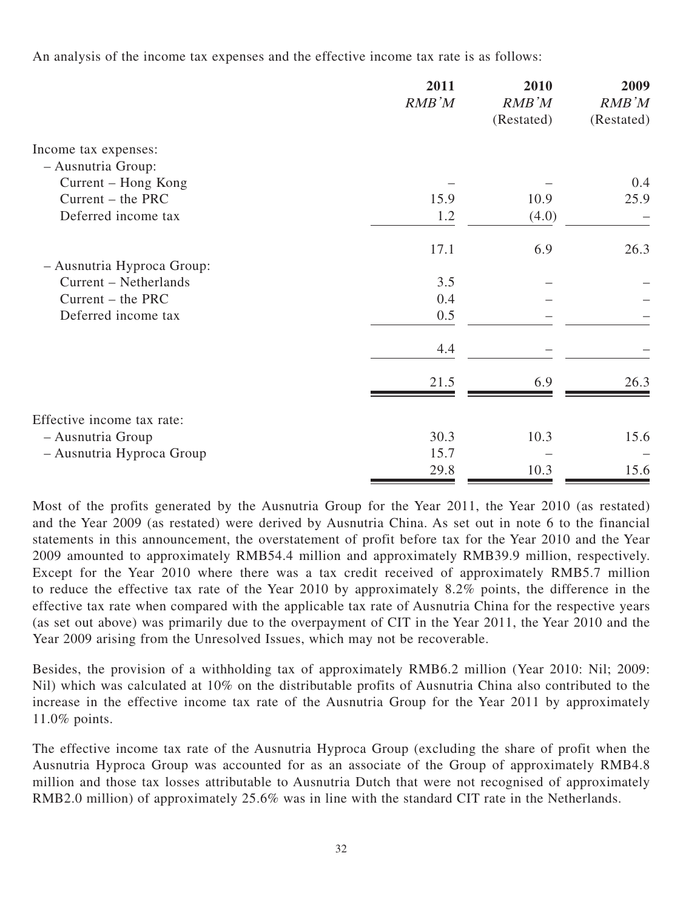An analysis of the income tax expenses and the effective income tax rate is as follows:

|                            | 2011<br>RMB'M | 2010<br>RMB'M | 2009<br>RMB'M |
|----------------------------|---------------|---------------|---------------|
|                            |               | (Restated)    | (Restated)    |
| Income tax expenses:       |               |               |               |
| - Ausnutria Group:         |               |               |               |
| Current – Hong Kong        |               |               | 0.4           |
| Current – the PRC          | 15.9          | 10.9          | 25.9          |
| Deferred income tax        | 1.2           | (4.0)         |               |
|                            | 17.1          | 6.9           | 26.3          |
| - Ausnutria Hyproca Group: |               |               |               |
| Current – Netherlands      | 3.5           |               |               |
| $Current - the PRC$        | 0.4           |               |               |
| Deferred income tax        | 0.5           |               |               |
|                            | 4.4           |               |               |
|                            | 21.5          | 6.9           | 26.3          |
| Effective income tax rate: |               |               |               |
| - Ausnutria Group          | 30.3          | 10.3          | 15.6          |
| - Ausnutria Hyproca Group  | 15.7          |               |               |
|                            | 29.8          | 10.3          | 15.6          |
|                            |               |               |               |

Most of the profits generated by the Ausnutria Group for the Year 2011, the Year 2010 (as restated) and the Year 2009 (as restated) were derived by Ausnutria China. As set out in note 6 to the financial statements in this announcement, the overstatement of profit before tax for the Year 2010 and the Year 2009 amounted to approximately RMB54.4 million and approximately RMB39.9 million, respectively. Except for the Year 2010 where there was a tax credit received of approximately RMB5.7 million to reduce the effective tax rate of the Year 2010 by approximately 8.2% points, the difference in the effective tax rate when compared with the applicable tax rate of Ausnutria China for the respective years (as set out above) was primarily due to the overpayment of CIT in the Year 2011, the Year 2010 and the Year 2009 arising from the Unresolved Issues, which may not be recoverable.

Besides, the provision of a withholding tax of approximately RMB6.2 million (Year 2010: Nil; 2009: Nil) which was calculated at 10% on the distributable profits of Ausnutria China also contributed to the increase in the effective income tax rate of the Ausnutria Group for the Year 2011 by approximately 11.0% points.

The effective income tax rate of the Ausnutria Hyproca Group (excluding the share of profit when the Ausnutria Hyproca Group was accounted for as an associate of the Group of approximately RMB4.8 million and those tax losses attributable to Ausnutria Dutch that were not recognised of approximately RMB2.0 million) of approximately 25.6% was in line with the standard CIT rate in the Netherlands.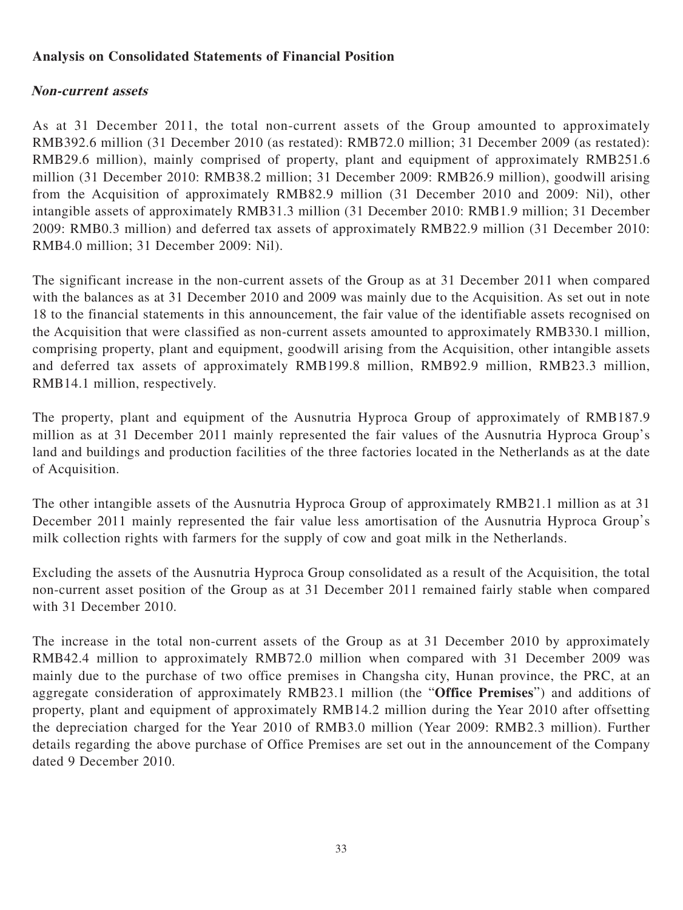### **Analysis on Consolidated Statements of Financial Position**

### **Non-current assets**

As at 31 December 2011, the total non-current assets of the Group amounted to approximately RMB392.6 million (31 December 2010 (as restated): RMB72.0 million; 31 December 2009 (as restated): RMB29.6 million), mainly comprised of property, plant and equipment of approximately RMB251.6 million (31 December 2010: RMB38.2 million; 31 December 2009: RMB26.9 million), goodwill arising from the Acquisition of approximately RMB82.9 million (31 December 2010 and 2009: Nil), other intangible assets of approximately RMB31.3 million (31 December 2010: RMB1.9 million; 31 December 2009: RMB0.3 million) and deferred tax assets of approximately RMB22.9 million (31 December 2010: RMB4.0 million; 31 December 2009: Nil).

The significant increase in the non-current assets of the Group as at 31 December 2011 when compared with the balances as at 31 December 2010 and 2009 was mainly due to the Acquisition. As set out in note 18 to the financial statements in this announcement, the fair value of the identifiable assets recognised on the Acquisition that were classified as non-current assets amounted to approximately RMB330.1 million, comprising property, plant and equipment, goodwill arising from the Acquisition, other intangible assets and deferred tax assets of approximately RMB199.8 million, RMB92.9 million, RMB23.3 million, RMB14.1 million, respectively.

The property, plant and equipment of the Ausnutria Hyproca Group of approximately of RMB187.9 million as at 31 December 2011 mainly represented the fair values of the Ausnutria Hyproca Group's land and buildings and production facilities of the three factories located in the Netherlands as at the date of Acquisition.

The other intangible assets of the Ausnutria Hyproca Group of approximately RMB21.1 million as at 31 December 2011 mainly represented the fair value less amortisation of the Ausnutria Hyproca Group's milk collection rights with farmers for the supply of cow and goat milk in the Netherlands.

Excluding the assets of the Ausnutria Hyproca Group consolidated as a result of the Acquisition, the total non-current asset position of the Group as at 31 December 2011 remained fairly stable when compared with 31 December 2010.

The increase in the total non-current assets of the Group as at 31 December 2010 by approximately RMB42.4 million to approximately RMB72.0 million when compared with 31 December 2009 was mainly due to the purchase of two office premises in Changsha city, Hunan province, the PRC, at an aggregate consideration of approximately RMB23.1 million (the "**Office Premises**") and additions of property, plant and equipment of approximately RMB14.2 million during the Year 2010 after offsetting the depreciation charged for the Year 2010 of RMB3.0 million (Year 2009: RMB2.3 million). Further details regarding the above purchase of Office Premises are set out in the announcement of the Company dated 9 December 2010.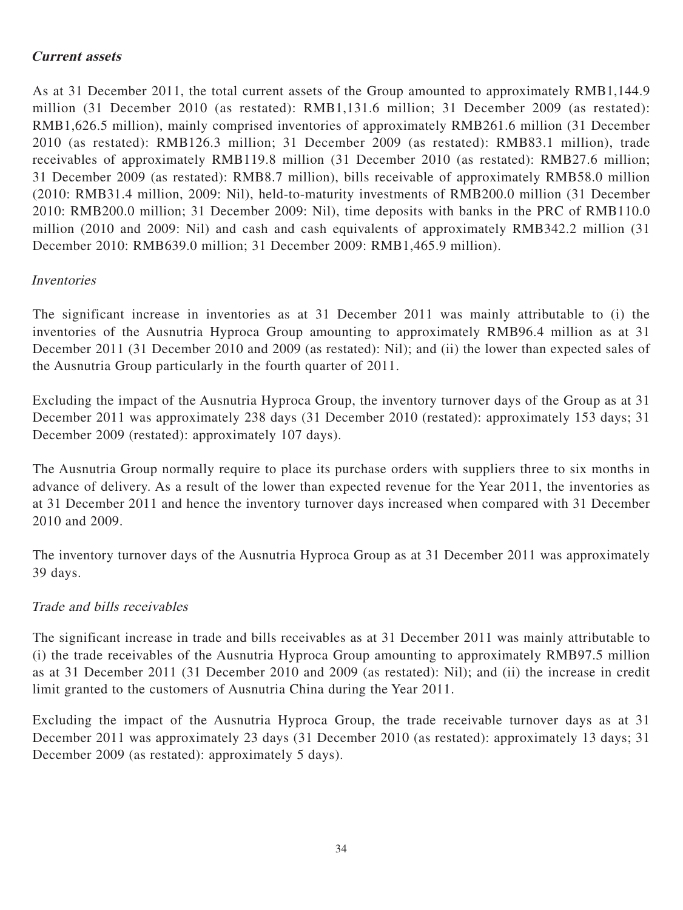### **Current assets**

As at 31 December 2011, the total current assets of the Group amounted to approximately RMB1,144.9 million (31 December 2010 (as restated): RMB1,131.6 million; 31 December 2009 (as restated): RMB1,626.5 million), mainly comprised inventories of approximately RMB261.6 million (31 December 2010 (as restated): RMB126.3 million; 31 December 2009 (as restated): RMB83.1 million), trade receivables of approximately RMB119.8 million (31 December 2010 (as restated): RMB27.6 million; 31 December 2009 (as restated): RMB8.7 million), bills receivable of approximately RMB58.0 million (2010: RMB31.4 million, 2009: Nil), held-to-maturity investments of RMB200.0 million (31 December 2010: RMB200.0 million; 31 December 2009: Nil), time deposits with banks in the PRC of RMB110.0 million (2010 and 2009: Nil) and cash and cash equivalents of approximately RMB342.2 million (31 December 2010: RMB639.0 million; 31 December 2009: RMB1,465.9 million).

### Inventories

The significant increase in inventories as at 31 December 2011 was mainly attributable to (i) the inventories of the Ausnutria Hyproca Group amounting to approximately RMB96.4 million as at 31 December 2011 (31 December 2010 and 2009 (as restated): Nil); and (ii) the lower than expected sales of the Ausnutria Group particularly in the fourth quarter of 2011.

Excluding the impact of the Ausnutria Hyproca Group, the inventory turnover days of the Group as at 31 December 2011 was approximately 238 days (31 December 2010 (restated): approximately 153 days; 31 December 2009 (restated): approximately 107 days).

The Ausnutria Group normally require to place its purchase orders with suppliers three to six months in advance of delivery. As a result of the lower than expected revenue for the Year 2011, the inventories as at 31 December 2011 and hence the inventory turnover days increased when compared with 31 December 2010 and 2009.

The inventory turnover days of the Ausnutria Hyproca Group as at 31 December 2011 was approximately 39 days.

### Trade and bills receivables

The significant increase in trade and bills receivables as at 31 December 2011 was mainly attributable to (i) the trade receivables of the Ausnutria Hyproca Group amounting to approximately RMB97.5 million as at 31 December 2011 (31 December 2010 and 2009 (as restated): Nil); and (ii) the increase in credit limit granted to the customers of Ausnutria China during the Year 2011.

Excluding the impact of the Ausnutria Hyproca Group, the trade receivable turnover days as at 31 December 2011 was approximately 23 days (31 December 2010 (as restated): approximately 13 days; 31 December 2009 (as restated): approximately 5 days).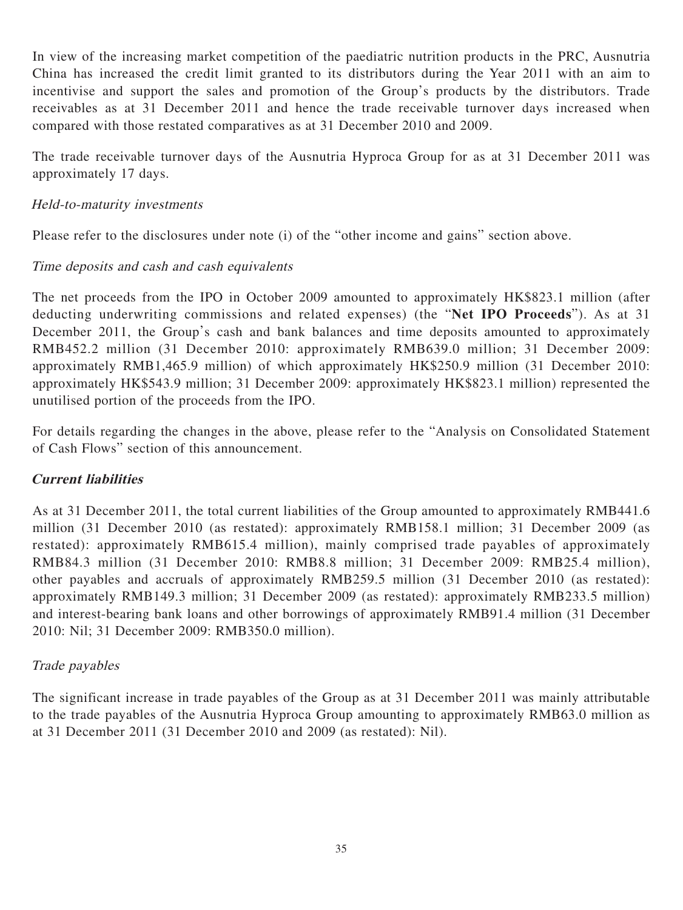In view of the increasing market competition of the paediatric nutrition products in the PRC, Ausnutria China has increased the credit limit granted to its distributors during the Year 2011 with an aim to incentivise and support the sales and promotion of the Group's products by the distributors. Trade receivables as at 31 December 2011 and hence the trade receivable turnover days increased when compared with those restated comparatives as at 31 December 2010 and 2009.

The trade receivable turnover days of the Ausnutria Hyproca Group for as at 31 December 2011 was approximately 17 days.

### Held-to-maturity investments

Please refer to the disclosures under note (i) of the "other income and gains" section above.

### Time deposits and cash and cash equivalents

The net proceeds from the IPO in October 2009 amounted to approximately HK\$823.1 million (after deducting underwriting commissions and related expenses) (the "**Net IPO Proceeds**"). As at 31 December 2011, the Group's cash and bank balances and time deposits amounted to approximately RMB452.2 million (31 December 2010: approximately RMB639.0 million; 31 December 2009: approximately RMB1,465.9 million) of which approximately HK\$250.9 million (31 December 2010: approximately HK\$543.9 million; 31 December 2009: approximately HK\$823.1 million) represented the unutilised portion of the proceeds from the IPO.

For details regarding the changes in the above, please refer to the "Analysis on Consolidated Statement of Cash Flows" section of this announcement.

### **Current liabilities**

As at 31 December 2011, the total current liabilities of the Group amounted to approximately RMB441.6 million (31 December 2010 (as restated): approximately RMB158.1 million; 31 December 2009 (as restated): approximately RMB615.4 million), mainly comprised trade payables of approximately RMB84.3 million (31 December 2010: RMB8.8 million; 31 December 2009: RMB25.4 million), other payables and accruals of approximately RMB259.5 million (31 December 2010 (as restated): approximately RMB149.3 million; 31 December 2009 (as restated): approximately RMB233.5 million) and interest-bearing bank loans and other borrowings of approximately RMB91.4 million (31 December 2010: Nil; 31 December 2009: RMB350.0 million).

### Trade payables

The significant increase in trade payables of the Group as at 31 December 2011 was mainly attributable to the trade payables of the Ausnutria Hyproca Group amounting to approximately RMB63.0 million as at 31 December 2011 (31 December 2010 and 2009 (as restated): Nil).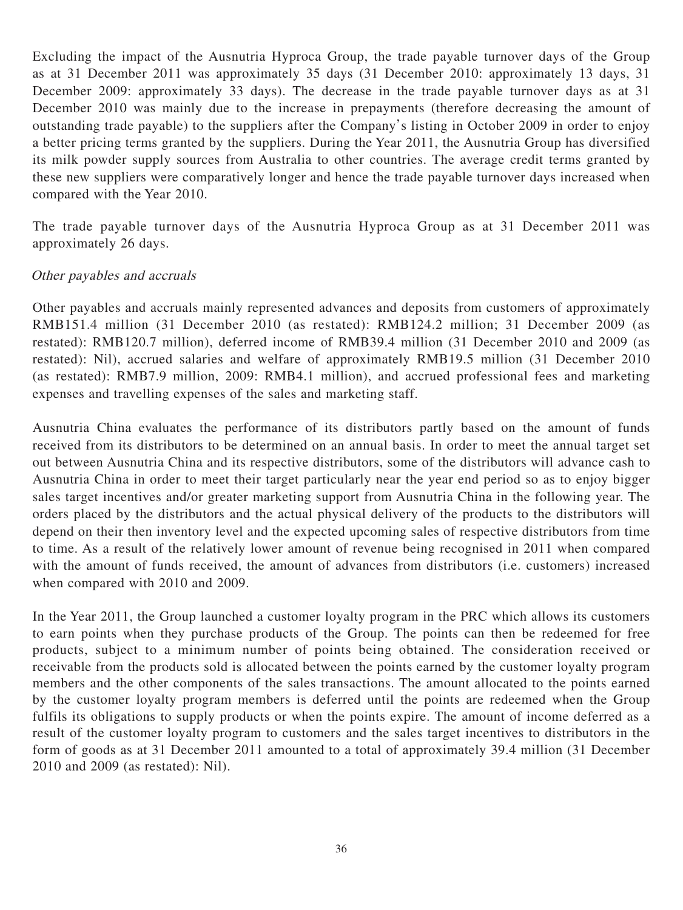Excluding the impact of the Ausnutria Hyproca Group, the trade payable turnover days of the Group as at 31 December 2011 was approximately 35 days (31 December 2010: approximately 13 days, 31 December 2009: approximately 33 days). The decrease in the trade payable turnover days as at 31 December 2010 was mainly due to the increase in prepayments (therefore decreasing the amount of outstanding trade payable) to the suppliers after the Company's listing in October 2009 in order to enjoy a better pricing terms granted by the suppliers. During the Year 2011, the Ausnutria Group has diversified its milk powder supply sources from Australia to other countries. The average credit terms granted by these new suppliers were comparatively longer and hence the trade payable turnover days increased when compared with the Year 2010.

The trade payable turnover days of the Ausnutria Hyproca Group as at 31 December 2011 was approximately 26 days.

#### Other payables and accruals

Other payables and accruals mainly represented advances and deposits from customers of approximately RMB151.4 million (31 December 2010 (as restated): RMB124.2 million; 31 December 2009 (as restated): RMB120.7 million), deferred income of RMB39.4 million (31 December 2010 and 2009 (as restated): Nil), accrued salaries and welfare of approximately RMB19.5 million (31 December 2010 (as restated): RMB7.9 million, 2009: RMB4.1 million), and accrued professional fees and marketing expenses and travelling expenses of the sales and marketing staff.

Ausnutria China evaluates the performance of its distributors partly based on the amount of funds received from its distributors to be determined on an annual basis. In order to meet the annual target set out between Ausnutria China and its respective distributors, some of the distributors will advance cash to Ausnutria China in order to meet their target particularly near the year end period so as to enjoy bigger sales target incentives and/or greater marketing support from Ausnutria China in the following year. The orders placed by the distributors and the actual physical delivery of the products to the distributors will depend on their then inventory level and the expected upcoming sales of respective distributors from time to time. As a result of the relatively lower amount of revenue being recognised in 2011 when compared with the amount of funds received, the amount of advances from distributors (i.e. customers) increased when compared with 2010 and 2009.

In the Year 2011, the Group launched a customer loyalty program in the PRC which allows its customers to earn points when they purchase products of the Group. The points can then be redeemed for free products, subject to a minimum number of points being obtained. The consideration received or receivable from the products sold is allocated between the points earned by the customer loyalty program members and the other components of the sales transactions. The amount allocated to the points earned by the customer loyalty program members is deferred until the points are redeemed when the Group fulfils its obligations to supply products or when the points expire. The amount of income deferred as a result of the customer loyalty program to customers and the sales target incentives to distributors in the form of goods as at 31 December 2011 amounted to a total of approximately 39.4 million (31 December 2010 and 2009 (as restated): Nil).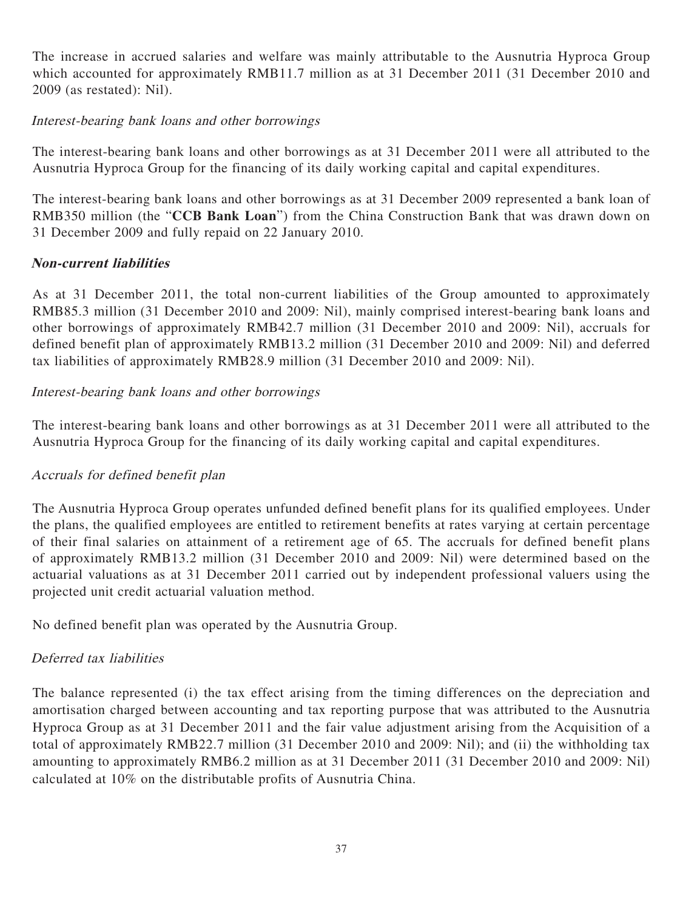The increase in accrued salaries and welfare was mainly attributable to the Ausnutria Hyproca Group which accounted for approximately RMB11.7 million as at 31 December 2011 (31 December 2010 and 2009 (as restated): Nil).

### Interest-bearing bank loans and other borrowings

The interest-bearing bank loans and other borrowings as at 31 December 2011 were all attributed to the Ausnutria Hyproca Group for the financing of its daily working capital and capital expenditures.

The interest-bearing bank loans and other borrowings as at 31 December 2009 represented a bank loan of RMB350 million (the "**CCB Bank Loan**") from the China Construction Bank that was drawn down on 31 December 2009 and fully repaid on 22 January 2010.

### **Non-current liabilities**

As at 31 December 2011, the total non-current liabilities of the Group amounted to approximately RMB85.3 million (31 December 2010 and 2009: Nil), mainly comprised interest-bearing bank loans and other borrowings of approximately RMB42.7 million (31 December 2010 and 2009: Nil), accruals for defined benefit plan of approximately RMB13.2 million (31 December 2010 and 2009: Nil) and deferred tax liabilities of approximately RMB28.9 million (31 December 2010 and 2009: Nil).

### Interest-bearing bank loans and other borrowings

The interest-bearing bank loans and other borrowings as at 31 December 2011 were all attributed to the Ausnutria Hyproca Group for the financing of its daily working capital and capital expenditures.

### Accruals for defined benefit plan

The Ausnutria Hyproca Group operates unfunded defined benefit plans for its qualified employees. Under the plans, the qualified employees are entitled to retirement benefits at rates varying at certain percentage of their final salaries on attainment of a retirement age of 65. The accruals for defined benefit plans of approximately RMB13.2 million (31 December 2010 and 2009: Nil) were determined based on the actuarial valuations as at 31 December 2011 carried out by independent professional valuers using the projected unit credit actuarial valuation method.

No defined benefit plan was operated by the Ausnutria Group.

### Deferred tax liabilities

The balance represented (i) the tax effect arising from the timing differences on the depreciation and amortisation charged between accounting and tax reporting purpose that was attributed to the Ausnutria Hyproca Group as at 31 December 2011 and the fair value adjustment arising from the Acquisition of a total of approximately RMB22.7 million (31 December 2010 and 2009: Nil); and (ii) the withholding tax amounting to approximately RMB6.2 million as at 31 December 2011 (31 December 2010 and 2009: Nil) calculated at 10% on the distributable profits of Ausnutria China.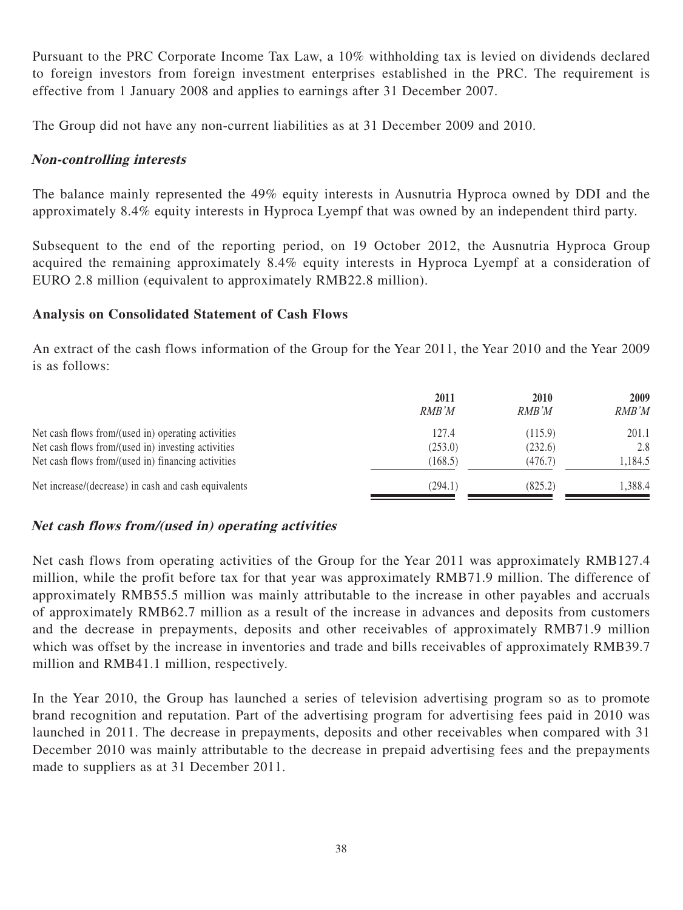Pursuant to the PRC Corporate Income Tax Law, a 10% withholding tax is levied on dividends declared to foreign investors from foreign investment enterprises established in the PRC. The requirement is effective from 1 January 2008 and applies to earnings after 31 December 2007.

The Group did not have any non-current liabilities as at 31 December 2009 and 2010.

### **Non-controlling interests**

The balance mainly represented the 49% equity interests in Ausnutria Hyproca owned by DDI and the approximately 8.4% equity interests in Hyproca Lyempf that was owned by an independent third party.

Subsequent to the end of the reporting period, on 19 October 2012, the Ausnutria Hyproca Group acquired the remaining approximately 8.4% equity interests in Hyproca Lyempf at a consideration of EURO 2.8 million (equivalent to approximately RMB22.8 million).

#### **Analysis on Consolidated Statement of Cash Flows**

An extract of the cash flows information of the Group for the Year 2011, the Year 2010 and the Year 2009 is as follows:

|                                                      | 2011<br>RMB'M | 2010<br>RMB'M | 2009<br>RMB'M |
|------------------------------------------------------|---------------|---------------|---------------|
| Net cash flows from/(used in) operating activities   | 127.4         | (115.9)       | 201.1         |
| Net cash flows from/(used in) investing activities   | (253.0)       | (232.6)       | 2.8           |
| Net cash flows from/(used in) financing activities   | (168.5)       | (476.7)       | 1,184.5       |
| Net increase/(decrease) in cash and cash equivalents | (294.1)       | (825.2)       | .388.4        |

### **Net cash flows from/(used in) operating activities**

Net cash flows from operating activities of the Group for the Year 2011 was approximately RMB127.4 million, while the profit before tax for that year was approximately RMB71.9 million. The difference of approximately RMB55.5 million was mainly attributable to the increase in other payables and accruals of approximately RMB62.7 million as a result of the increase in advances and deposits from customers and the decrease in prepayments, deposits and other receivables of approximately RMB71.9 million which was offset by the increase in inventories and trade and bills receivables of approximately RMB39.7 million and RMB41.1 million, respectively.

In the Year 2010, the Group has launched a series of television advertising program so as to promote brand recognition and reputation. Part of the advertising program for advertising fees paid in 2010 was launched in 2011. The decrease in prepayments, deposits and other receivables when compared with 31 December 2010 was mainly attributable to the decrease in prepaid advertising fees and the prepayments made to suppliers as at 31 December 2011.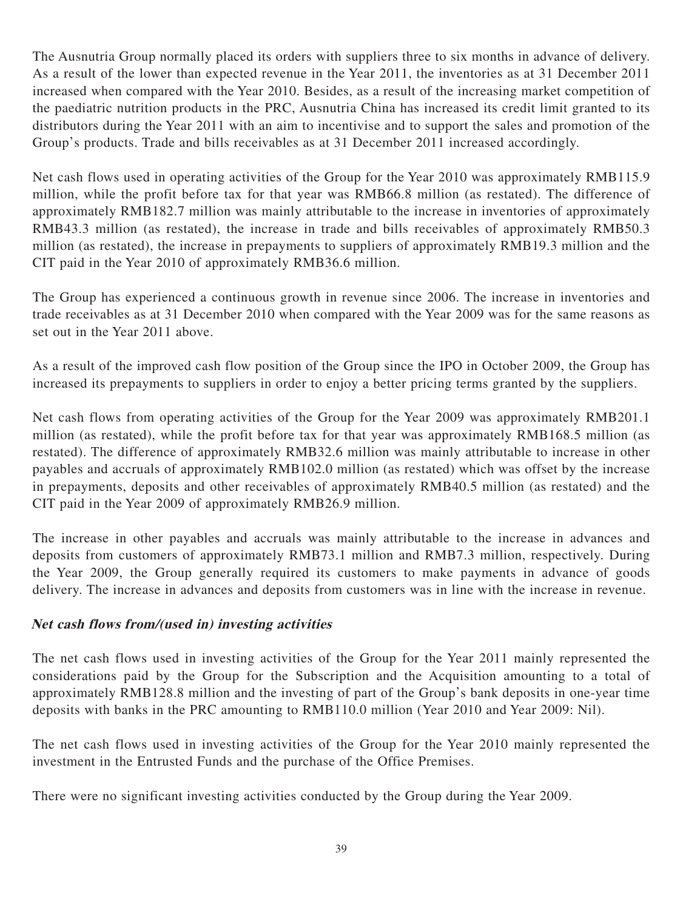The Ausnutria Group normally placed its orders with suppliers three to six months in advance of delivery. As a result of the lower than expected revenue in the Year 2011, the inventories as at 31 December 2011 increased when compared with the Year 2010. Besides, as a result of the increasing market competition of the paediatric nutrition products in the PRC, Ausnutria China has increased its credit limit granted to its distributors during the Year 2011 with an aim to incentivise and to support the sales and promotion of the Group's products. Trade and bills receivables as at 31 December 2011 increased accordingly.

Net cash flows used in operating activities of the Group for the Year 2010 was approximately RMB115.9 million, while the profit before tax for that year was RMB66.8 million (as restated). The difference of approximately RMB182.7 million was mainly attributable to the increase in inventories of approximately RMB43.3 million (as restated), the increase in trade and bills receivables of approximately RMB50.3 million (as restated), the increase in prepayments to suppliers of approximately RMB19.3 million and the CIT paid in the Year 2010 of approximately RMB36.6 million.

The Group has experienced a continuous growth in revenue since 2006. The increase in inventories and trade receivables as at 31 December 2010 when compared with the Year 2009 was for the same reasons as set out in the Year 2011 above.

As a result of the improved cash flow position of the Group since the IPO in October 2009, the Group has increased its prepayments to suppliers in order to enjoy a better pricing terms granted by the suppliers.

Net cash flows from operating activities of the Group for the Year 2009 was approximately RMB201.1 million (as restated), while the profit before tax for that year was approximately RMB168.5 million (as restated). The difference of approximately RMB32.6 million was mainly attributable to increase in other payables and accruals of approximately RMB102.0 million (as restated) which was offset by the increase in prepayments, deposits and other receivables of approximately RMB40.5 million (as restated) and the CIT paid in the Year 2009 of approximately RMB26.9 million.

The increase in other payables and accruals was mainly attributable to the increase in advances and deposits from customers of approximately RMB73.1 million and RMB7.3 million, respectively. During the Year 2009, the Group generally required its customers to make payments in advance of goods delivery. The increase in advances and deposits from customers was in line with the increase in revenue.

### **Net cash flows from/(used in) investing activities**

The net cash flows used in investing activities of the Group for the Year 2011 mainly represented the considerations paid by the Group for the Subscription and the Acquisition amounting to a total of approximately RMB128.8 million and the investing of part of the Group's bank deposits in one-year time deposits with banks in the PRC amounting to RMB110.0 million (Year 2010 and Year 2009: Nil).

The net cash flows used in investing activities of the Group for the Year 2010 mainly represented the investment in the Entrusted Funds and the purchase of the Office Premises.

There were no significant investing activities conducted by the Group during the Year 2009.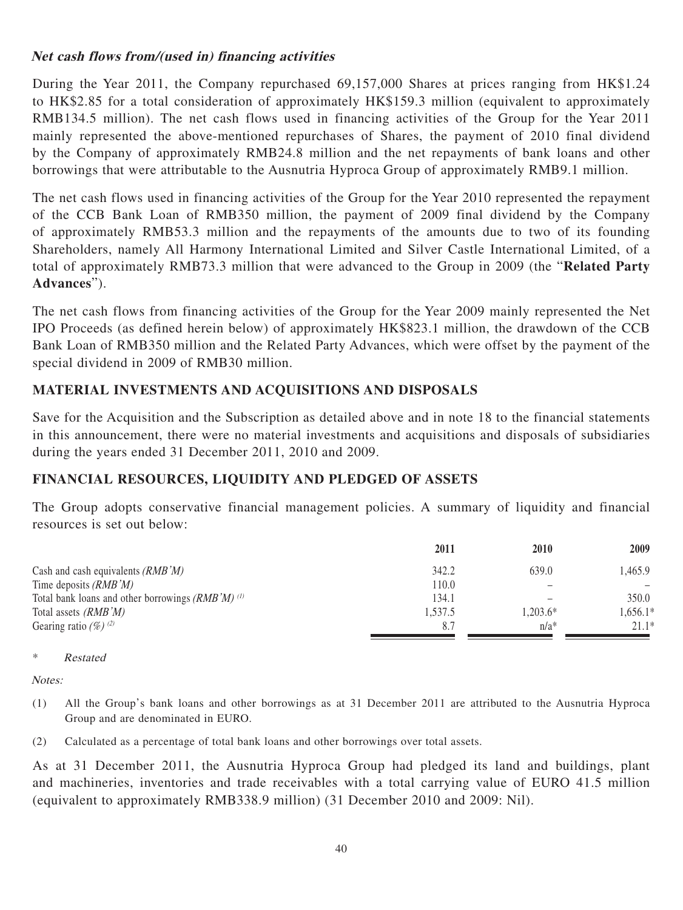### **Net cash flows from/(used in) financing activities**

During the Year 2011, the Company repurchased 69,157,000 Shares at prices ranging from HK\$1.24 to HK\$2.85 for a total consideration of approximately HK\$159.3 million (equivalent to approximately RMB134.5 million). The net cash flows used in financing activities of the Group for the Year 2011 mainly represented the above-mentioned repurchases of Shares, the payment of 2010 final dividend by the Company of approximately RMB24.8 million and the net repayments of bank loans and other borrowings that were attributable to the Ausnutria Hyproca Group of approximately RMB9.1 million.

The net cash flows used in financing activities of the Group for the Year 2010 represented the repayment of the CCB Bank Loan of RMB350 million, the payment of 2009 final dividend by the Company of approximately RMB53.3 million and the repayments of the amounts due to two of its founding Shareholders, namely All Harmony International Limited and Silver Castle International Limited, of a total of approximately RMB73.3 million that were advanced to the Group in 2009 (the "**Related Party Advances**").

The net cash flows from financing activities of the Group for the Year 2009 mainly represented the Net IPO Proceeds (as defined herein below) of approximately HK\$823.1 million, the drawdown of the CCB Bank Loan of RMB350 million and the Related Party Advances, which were offset by the payment of the special dividend in 2009 of RMB30 million.

### **MATERIAL INVESTMENTS AND ACQUISITIONS AND DISPOSALS**

Save for the Acquisition and the Subscription as detailed above and in note 18 to the financial statements in this announcement, there were no material investments and acquisitions and disposals of subsidiaries during the years ended 31 December 2011, 2010 and 2009.

### **FINANCIAL RESOURCES, LIQUIDITY AND PLEDGED OF ASSETS**

The Group adopts conservative financial management policies. A summary of liquidity and financial resources is set out below:

|                                                       | 2011    | 2010     | 2009       |
|-------------------------------------------------------|---------|----------|------------|
| Cash and cash equivalents $(RMB'M)$                   | 342.2   | 639.0    | 1.465.9    |
| Time deposits $(RMB'M)$                               | 110.0   |          |            |
| Total bank loans and other borrowings $(RMB'M)^{(1)}$ | 134.1   |          | 350.0      |
| Total assets <i>(RMB'M)</i>                           | 1,537.5 | 1.203.6* | $1,656.1*$ |
| Gearing ratio $(\%)$ (2)                              | 8.7     | $n/a*$   | $21.1*$    |

\* Restated

Notes:

- (1) All the Group's bank loans and other borrowings as at 31 December 2011 are attributed to the Ausnutria Hyproca Group and are denominated in EURO.
- (2) Calculated as a percentage of total bank loans and other borrowings over total assets.

As at 31 December 2011, the Ausnutria Hyproca Group had pledged its land and buildings, plant and machineries, inventories and trade receivables with a total carrying value of EURO 41.5 million (equivalent to approximately RMB338.9 million) (31 December 2010 and 2009: Nil).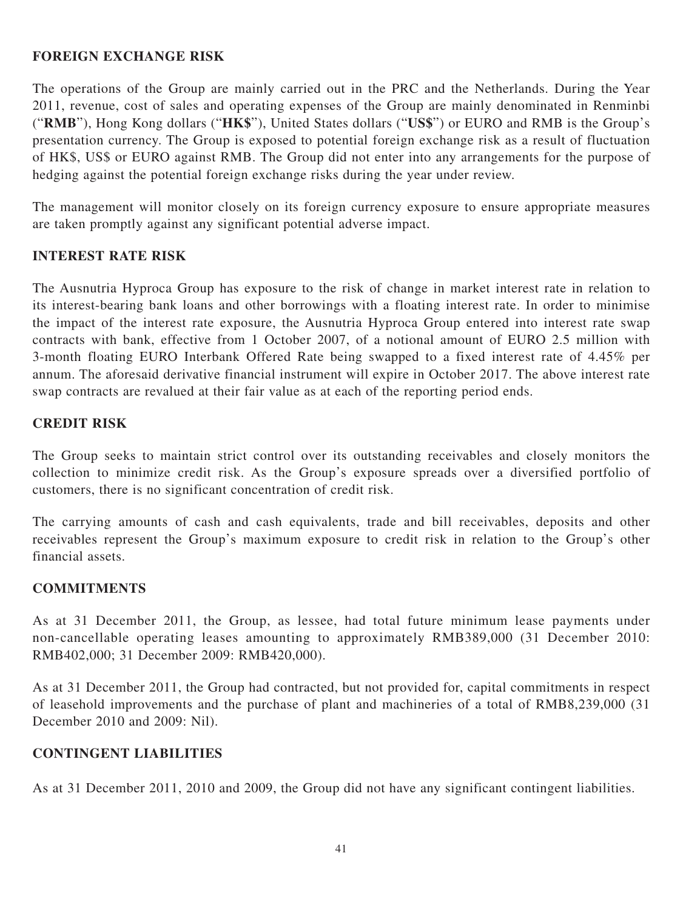### **FOREIGN EXCHANGE RISK**

The operations of the Group are mainly carried out in the PRC and the Netherlands. During the Year 2011, revenue, cost of sales and operating expenses of the Group are mainly denominated in Renminbi ("**RMB**"), Hong Kong dollars ("**HK\$**"), United States dollars ("**US\$**") or EURO and RMB is the Group's presentation currency. The Group is exposed to potential foreign exchange risk as a result of fluctuation of HK\$, US\$ or EURO against RMB. The Group did not enter into any arrangements for the purpose of hedging against the potential foreign exchange risks during the year under review.

The management will monitor closely on its foreign currency exposure to ensure appropriate measures are taken promptly against any significant potential adverse impact.

### **INTEREST RATE RISK**

The Ausnutria Hyproca Group has exposure to the risk of change in market interest rate in relation to its interest-bearing bank loans and other borrowings with a floating interest rate. In order to minimise the impact of the interest rate exposure, the Ausnutria Hyproca Group entered into interest rate swap contracts with bank, effective from 1 October 2007, of a notional amount of EURO 2.5 million with 3-month floating EURO Interbank Offered Rate being swapped to a fixed interest rate of 4.45% per annum. The aforesaid derivative financial instrument will expire in October 2017. The above interest rate swap contracts are revalued at their fair value as at each of the reporting period ends.

### **CREDIT RISK**

The Group seeks to maintain strict control over its outstanding receivables and closely monitors the collection to minimize credit risk. As the Group's exposure spreads over a diversified portfolio of customers, there is no significant concentration of credit risk.

The carrying amounts of cash and cash equivalents, trade and bill receivables, deposits and other receivables represent the Group's maximum exposure to credit risk in relation to the Group's other financial assets.

#### **COMMITMENTS**

As at 31 December 2011, the Group, as lessee, had total future minimum lease payments under non-cancellable operating leases amounting to approximately RMB389,000 (31 December 2010: RMB402,000; 31 December 2009: RMB420,000).

As at 31 December 2011, the Group had contracted, but not provided for, capital commitments in respect of leasehold improvements and the purchase of plant and machineries of a total of RMB8,239,000 (31 December 2010 and 2009: Nil).

### **CONTINGENT LIABILITIES**

As at 31 December 2011, 2010 and 2009, the Group did not have any significant contingent liabilities.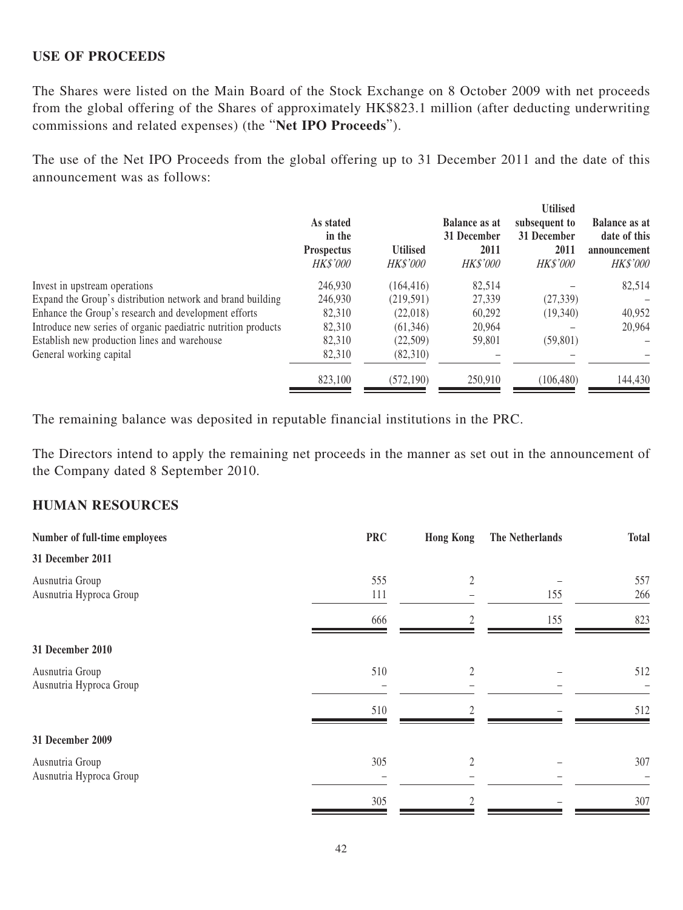#### **USE OF PROCEEDS**

The Shares were listed on the Main Board of the Stock Exchange on 8 October 2009 with net proceeds from the global offering of the Shares of approximately HK\$823.1 million (after deducting underwriting commissions and related expenses) (the "**Net IPO Proceeds**").

The use of the Net IPO Proceeds from the global offering up to 31 December 2011 and the date of this announcement was as follows:

|                                                               | As stated<br>in the<br><b>Prospectus</b><br><b>HK\$'000</b> | <b>Utilised</b><br><i>HK\$'000</i> | <b>Balance as at</b><br>31 December<br>2011<br><b>HK\$'000</b> | <b>Utilised</b><br>subsequent to<br>31 December<br>2011<br><i>HK\$'000</i> | <b>Balance as at</b><br>date of this<br>announcement<br>HK\$'000 |
|---------------------------------------------------------------|-------------------------------------------------------------|------------------------------------|----------------------------------------------------------------|----------------------------------------------------------------------------|------------------------------------------------------------------|
| Invest in upstream operations                                 | 246,930                                                     | (164, 416)                         | 82.514                                                         |                                                                            | 82,514                                                           |
| Expand the Group's distribution network and brand building    | 246,930                                                     | (219, 591)                         | 27,339                                                         | (27, 339)                                                                  |                                                                  |
| Enhance the Group's research and development efforts          | 82,310                                                      | (22,018)                           | 60,292                                                         | (19,340)                                                                   | 40,952                                                           |
| Introduce new series of organic paediatric nutrition products | 82,310                                                      | (61, 346)                          | 20.964                                                         |                                                                            | 20,964                                                           |
| Establish new production lines and warehouse                  | 82,310                                                      | (22,509)                           | 59,801                                                         | (59, 801)                                                                  |                                                                  |
| General working capital                                       | 82,310                                                      | (82,310)                           |                                                                |                                                                            |                                                                  |
|                                                               | 823,100                                                     | (572, 190)                         | 250,910                                                        | (106, 480)                                                                 | 144,430                                                          |
|                                                               |                                                             |                                    |                                                                |                                                                            |                                                                  |

The remaining balance was deposited in reputable financial institutions in the PRC.

The Directors intend to apply the remaining net proceeds in the manner as set out in the announcement of the Company dated 8 September 2010.

#### **HUMAN RESOURCES**

| Number of full-time employees              | <b>PRC</b> | <b>Hong Kong</b> | The Netherlands | <b>Total</b> |
|--------------------------------------------|------------|------------------|-----------------|--------------|
| 31 December 2011                           |            |                  |                 |              |
| Ausnutria Group<br>Ausnutria Hyproca Group | 555<br>111 | 2                | 155             | 557<br>266   |
|                                            | 666        | 2                | 155             | 823          |
| 31 December 2010                           |            |                  |                 |              |
| Ausnutria Group<br>Ausnutria Hyproca Group | 510        | 2                |                 | 512          |
|                                            | 510        |                  |                 | 512          |
| 31 December 2009                           |            |                  |                 |              |
| Ausnutria Group<br>Ausnutria Hyproca Group | 305        | $\overline{2}$   |                 | 307          |
|                                            | 305        |                  |                 | 307          |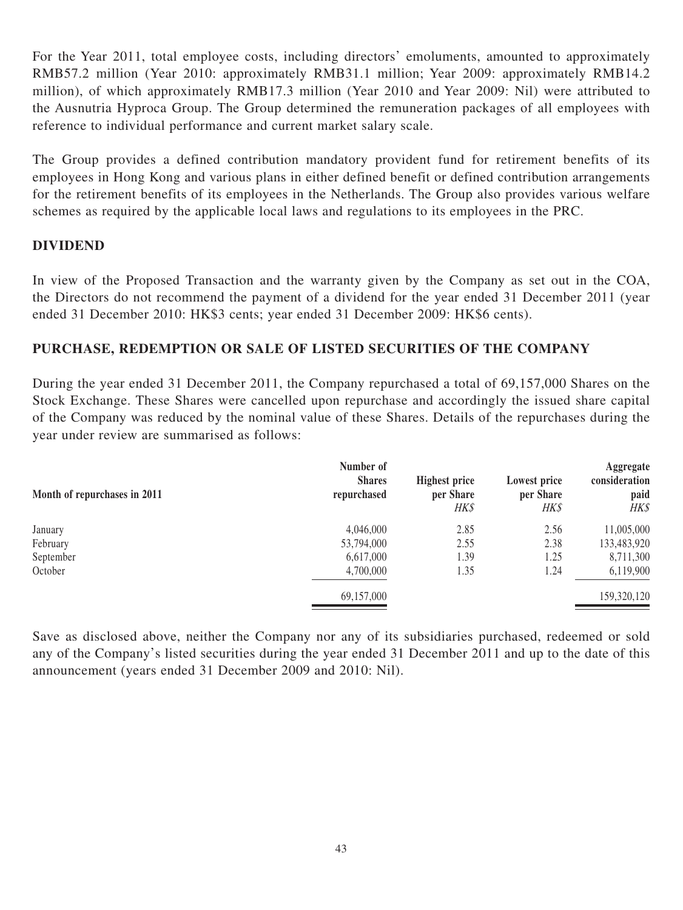For the Year 2011, total employee costs, including directors' emoluments, amounted to approximately RMB57.2 million (Year 2010: approximately RMB31.1 million; Year 2009: approximately RMB14.2 million), of which approximately RMB17.3 million (Year 2010 and Year 2009: Nil) were attributed to the Ausnutria Hyproca Group. The Group determined the remuneration packages of all employees with reference to individual performance and current market salary scale.

The Group provides a defined contribution mandatory provident fund for retirement benefits of its employees in Hong Kong and various plans in either defined benefit or defined contribution arrangements for the retirement benefits of its employees in the Netherlands. The Group also provides various welfare schemes as required by the applicable local laws and regulations to its employees in the PRC.

### **DIVIDEND**

In view of the Proposed Transaction and the warranty given by the Company as set out in the COA, the Directors do not recommend the payment of a dividend for the year ended 31 December 2011 (year ended 31 December 2010: HK\$3 cents; year ended 31 December 2009: HK\$6 cents).

### **PURCHASE, REDEMPTION OR SALE OF LISTED SECURITIES OF THE COMPANY**

During the year ended 31 December 2011, the Company repurchased a total of 69,157,000 Shares on the Stock Exchange. These Shares were cancelled upon repurchase and accordingly the issued share capital of the Company was reduced by the nominal value of these Shares. Details of the repurchases during the year under review are summarised as follows:

| Month of repurchases in 2011 | Number of<br><b>Shares</b><br>repurchased | <b>Highest price</b><br>per Share<br>HK\$ | Lowest price<br>per Share<br><b>HK\$</b> | Aggregate<br>consideration<br>paid<br>HK\$ |
|------------------------------|-------------------------------------------|-------------------------------------------|------------------------------------------|--------------------------------------------|
| January                      | 4,046,000                                 | 2.85                                      | 2.56                                     | 11,005,000                                 |
| February                     | 53,794,000                                | 2.55                                      | 2.38                                     | 133,483,920                                |
| September                    | 6,617,000                                 | 1.39                                      | 1.25                                     | 8,711,300                                  |
| October                      | 4,700,000                                 | 1.35                                      | 1.24                                     | 6,119,900                                  |
|                              | 69,157,000                                |                                           |                                          | 159,320,120                                |

Save as disclosed above, neither the Company nor any of its subsidiaries purchased, redeemed or sold any of the Company's listed securities during the year ended 31 December 2011 and up to the date of this announcement (years ended 31 December 2009 and 2010: Nil).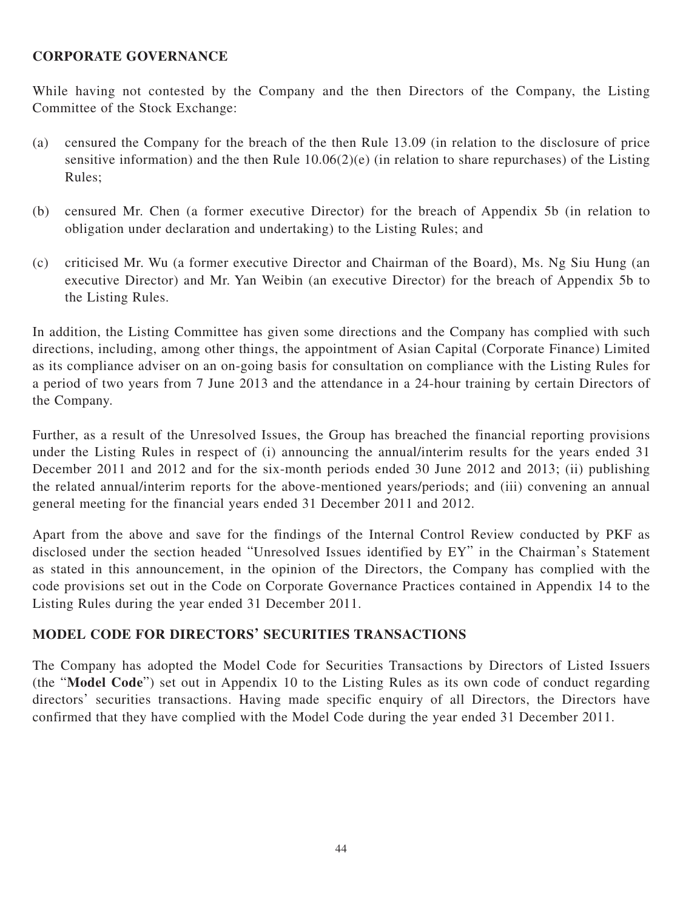### **CORPORATE GOVERNANCE**

While having not contested by the Company and the then Directors of the Company, the Listing Committee of the Stock Exchange:

- (a) censured the Company for the breach of the then Rule 13.09 (in relation to the disclosure of price sensitive information) and the then Rule  $10.06(2)(e)$  (in relation to share repurchases) of the Listing Rules;
- (b) censured Mr. Chen (a former executive Director) for the breach of Appendix 5b (in relation to obligation under declaration and undertaking) to the Listing Rules; and
- (c) criticised Mr. Wu (a former executive Director and Chairman of the Board), Ms. Ng Siu Hung (an executive Director) and Mr. Yan Weibin (an executive Director) for the breach of Appendix 5b to the Listing Rules.

In addition, the Listing Committee has given some directions and the Company has complied with such directions, including, among other things, the appointment of Asian Capital (Corporate Finance) Limited as its compliance adviser on an on-going basis for consultation on compliance with the Listing Rules for a period of two years from 7 June 2013 and the attendance in a 24-hour training by certain Directors of the Company.

Further, as a result of the Unresolved Issues, the Group has breached the financial reporting provisions under the Listing Rules in respect of (i) announcing the annual/interim results for the years ended 31 December 2011 and 2012 and for the six-month periods ended 30 June 2012 and 2013; (ii) publishing the related annual/interim reports for the above-mentioned years/periods; and (iii) convening an annual general meeting for the financial years ended 31 December 2011 and 2012.

Apart from the above and save for the findings of the Internal Control Review conducted by PKF as disclosed under the section headed "Unresolved Issues identified by EY" in the Chairman's Statement as stated in this announcement, in the opinion of the Directors, the Company has complied with the code provisions set out in the Code on Corporate Governance Practices contained in Appendix 14 to the Listing Rules during the year ended 31 December 2011.

### **MODEL CODE FOR DIRECTORS' SECURITIES TRANSACTIONS**

The Company has adopted the Model Code for Securities Transactions by Directors of Listed Issuers (the "**Model Code**") set out in Appendix 10 to the Listing Rules as its own code of conduct regarding directors' securities transactions. Having made specific enquiry of all Directors, the Directors have confirmed that they have complied with the Model Code during the year ended 31 December 2011.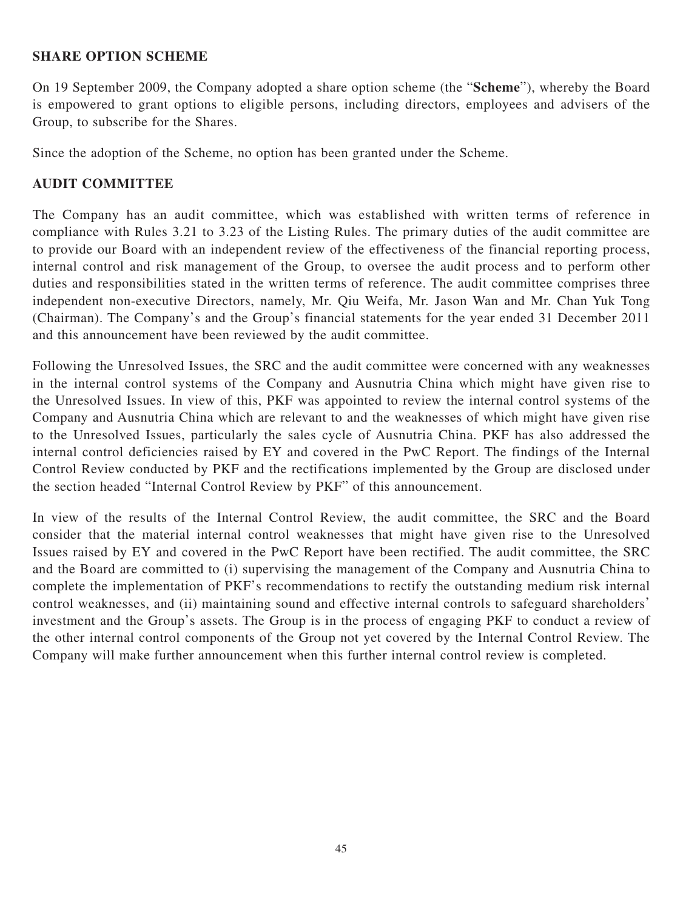#### **SHARE OPTION SCHEME**

On 19 September 2009, the Company adopted a share option scheme (the "**Scheme**"), whereby the Board is empowered to grant options to eligible persons, including directors, employees and advisers of the Group, to subscribe for the Shares.

Since the adoption of the Scheme, no option has been granted under the Scheme.

### **AUDIT COMMITTEE**

The Company has an audit committee, which was established with written terms of reference in compliance with Rules 3.21 to 3.23 of the Listing Rules. The primary duties of the audit committee are to provide our Board with an independent review of the effectiveness of the financial reporting process, internal control and risk management of the Group, to oversee the audit process and to perform other duties and responsibilities stated in the written terms of reference. The audit committee comprises three independent non-executive Directors, namely, Mr. Qiu Weifa, Mr. Jason Wan and Mr. Chan Yuk Tong (Chairman). The Company's and the Group's financial statements for the year ended 31 December 2011 and this announcement have been reviewed by the audit committee.

Following the Unresolved Issues, the SRC and the audit committee were concerned with any weaknesses in the internal control systems of the Company and Ausnutria China which might have given rise to the Unresolved Issues. In view of this, PKF was appointed to review the internal control systems of the Company and Ausnutria China which are relevant to and the weaknesses of which might have given rise to the Unresolved Issues, particularly the sales cycle of Ausnutria China. PKF has also addressed the internal control deficiencies raised by EY and covered in the PwC Report. The findings of the Internal Control Review conducted by PKF and the rectifications implemented by the Group are disclosed under the section headed "Internal Control Review by PKF" of this announcement.

In view of the results of the Internal Control Review, the audit committee, the SRC and the Board consider that the material internal control weaknesses that might have given rise to the Unresolved Issues raised by EY and covered in the PwC Report have been rectified. The audit committee, the SRC and the Board are committed to (i) supervising the management of the Company and Ausnutria China to complete the implementation of PKF's recommendations to rectify the outstanding medium risk internal control weaknesses, and (ii) maintaining sound and effective internal controls to safeguard shareholders' investment and the Group's assets. The Group is in the process of engaging PKF to conduct a review of the other internal control components of the Group not yet covered by the Internal Control Review. The Company will make further announcement when this further internal control review is completed.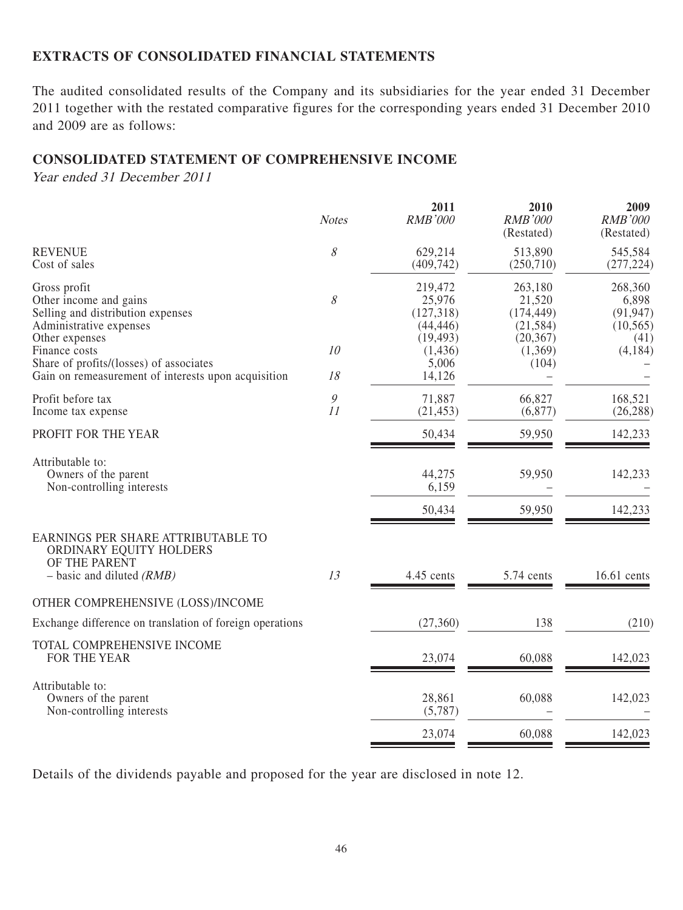#### **EXTRACTS OF CONSOLIDATED FINANCIAL STATEMENTS**

The audited consolidated results of the Company and its subsidiaries for the year ended 31 December 2011 together with the restated comparative figures for the corresponding years ended 31 December 2010 and 2009 are as follows:

#### **CONSOLIDATED STATEMENT OF COMPREHENSIVE INCOME**

Year ended 31 December 2011

|                                                                                                                                   | <b>Notes</b>        | 2011<br><b>RMB'000</b>                      | 2010<br><b>RMB'000</b><br>(Restated)         | 2009<br><b>RMB'000</b><br>(Restated)       |
|-----------------------------------------------------------------------------------------------------------------------------------|---------------------|---------------------------------------------|----------------------------------------------|--------------------------------------------|
| <b>REVENUE</b><br>Cost of sales                                                                                                   | $\mathcal S$        | 629,214<br>(409, 742)                       | 513,890<br>(250,710)                         | 545,584<br>(277, 224)                      |
| Gross profit<br>Other income and gains<br>Selling and distribution expenses<br>Administrative expenses                            | 8                   | 219,472<br>25,976<br>(127,318)<br>(44, 446) | 263,180<br>21,520<br>(174, 449)<br>(21, 584) | 268,360<br>6,898<br>(91, 947)<br>(10, 565) |
| Other expenses<br>Finance costs<br>Share of profits/(losses) of associates<br>Gain on remeasurement of interests upon acquisition | 10<br>18            | (19, 493)<br>(1,436)<br>5,006<br>14,126     | (20, 367)<br>(1,369)<br>(104)                | (41)<br>(4,184)                            |
| Profit before tax<br>Income tax expense                                                                                           | $\mathcal{G}$<br>11 | 71,887<br>(21, 453)                         | 66,827<br>(6,877)                            | 168,521<br>(26, 288)                       |
| PROFIT FOR THE YEAR                                                                                                               |                     | 50,434                                      | 59,950                                       | 142,233                                    |
| Attributable to:<br>Owners of the parent<br>Non-controlling interests                                                             |                     | 44,275<br>6,159                             | 59,950                                       | 142,233                                    |
|                                                                                                                                   |                     | 50,434                                      | 59,950                                       | 142,233                                    |
| EARNINGS PER SHARE ATTRIBUTABLE TO<br>ORDINARY EQUITY HOLDERS<br>OF THE PARENT<br>$-$ basic and diluted (RMB)                     | 13                  | 4.45 cents                                  | 5.74 cents                                   | 16.61 cents                                |
| OTHER COMPREHENSIVE (LOSS)/INCOME                                                                                                 |                     |                                             |                                              |                                            |
| Exchange difference on translation of foreign operations                                                                          |                     | (27,360)                                    | 138                                          | (210)                                      |
| TOTAL COMPREHENSIVE INCOME<br>FOR THE YEAR                                                                                        |                     | 23,074                                      | 60,088                                       | 142,023                                    |
| Attributable to:<br>Owners of the parent<br>Non-controlling interests                                                             |                     | 28,861<br>(5,787)                           | 60,088                                       | 142,023                                    |
|                                                                                                                                   |                     | 23,074                                      | 60,088                                       | 142,023                                    |
|                                                                                                                                   |                     |                                             |                                              |                                            |

Details of the dividends payable and proposed for the year are disclosed in note 12.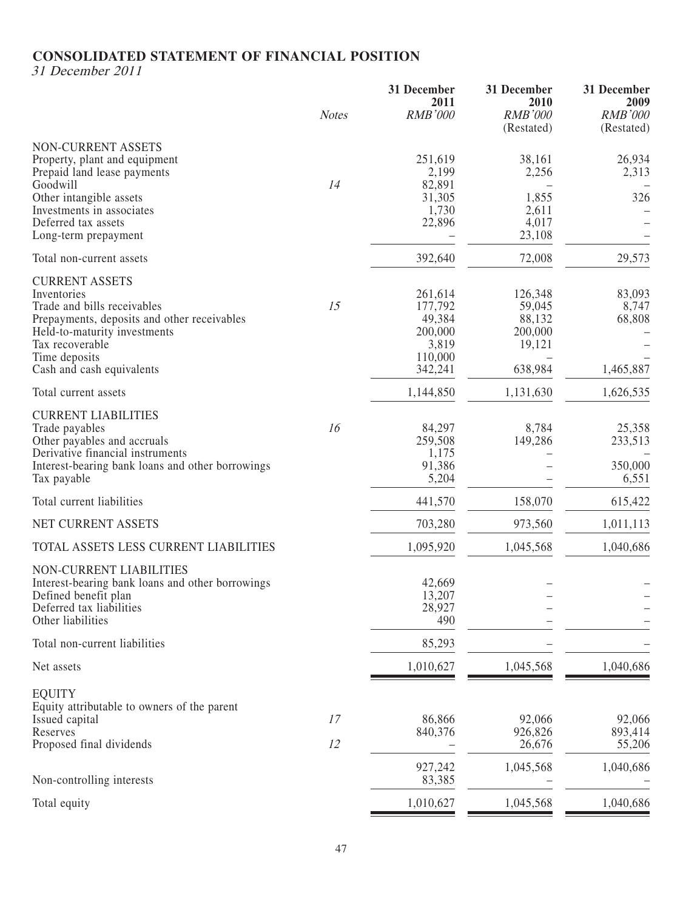## **CONSOLIDATED STATEMENT OF FINANCIAL POSITION**

31 December 2011

| <b>NON-CURRENT ASSETS</b><br>251,619<br>38,161<br>Property, plant and equipment<br>2,199<br>2,256<br>Prepaid land lease payments<br>82,891<br>Goodwill<br>14<br>Other intangible assets<br>326<br>31,305<br>1,855<br>Investments in associates<br>1,730<br>2,611<br>Deferred tax assets<br>22,896<br>4,017<br>23,108<br>Long-term prepayment<br>392,640<br>72,008<br>29,573<br>Total non-current assets<br><b>CURRENT ASSETS</b><br>Inventories<br>261,614<br>126,348<br>Trade and bills receivables<br>15<br>177,792<br>59,045<br>Prepayments, deposits and other receivables<br>49,384<br>88,132<br>68,808<br>Held-to-maturity investments<br>200,000<br>200,000<br>Tax recoverable<br>3,819<br>19,121<br>110,000<br>Time deposits<br>638,984<br>1,465,887<br>Cash and cash equivalents<br>342,241<br>1,626,535<br>Total current assets<br>1,144,850<br>1,131,630<br><b>CURRENT LIABILITIES</b><br>16<br>Trade payables<br>84,297<br>8,784<br>259,508<br>149,286<br>Other payables and accruals<br>Derivative financial instruments<br>1,175<br>91,386<br>Interest-bearing bank loans and other borrowings<br>6,551<br>Tax payable<br>5,204<br>Total current liabilities<br>441,570<br>158,070<br>615,422<br>NET CURRENT ASSETS<br>703,280<br>973,560<br>1,011,113<br>TOTAL ASSETS LESS CURRENT LIABILITIES<br>1,095,920<br>1,045,568<br>1,040,686<br><b>NON-CURRENT LIABILITIES</b><br>Interest-bearing bank loans and other borrowings<br>42,669<br>13,207<br>Defined benefit plan<br>Deferred tax liabilities<br>28,927<br>Other liabilities<br>490<br>85,293<br>Total non-current liabilities<br>1,045,568<br>1,040,686<br>Net assets<br>1,010,627<br><b>EQUITY</b><br>Equity attributable to owners of the parent<br>86,866<br>17<br>92,066<br>Issued capital<br>840,376<br>926,826<br>Reserves<br>Proposed final dividends<br>12<br>26,676<br>927,242<br>1,045,568<br>1,040,686<br>Non-controlling interests<br>83,385<br>Total equity<br>1,010,627<br>1,045,568<br>1,040,686 | <b>Notes</b> | 31 December<br>2011<br><b>RMB'000</b> | 31 December<br>2010<br><b>RMB'000</b> | 31 December<br>2009<br><b>RMB'000</b> |
|---------------------------------------------------------------------------------------------------------------------------------------------------------------------------------------------------------------------------------------------------------------------------------------------------------------------------------------------------------------------------------------------------------------------------------------------------------------------------------------------------------------------------------------------------------------------------------------------------------------------------------------------------------------------------------------------------------------------------------------------------------------------------------------------------------------------------------------------------------------------------------------------------------------------------------------------------------------------------------------------------------------------------------------------------------------------------------------------------------------------------------------------------------------------------------------------------------------------------------------------------------------------------------------------------------------------------------------------------------------------------------------------------------------------------------------------------------------------------------------------------------------------------------------------------------------------------------------------------------------------------------------------------------------------------------------------------------------------------------------------------------------------------------------------------------------------------------------------------------------------------------------------------------------------------------------------------------------------------------------|--------------|---------------------------------------|---------------------------------------|---------------------------------------|
|                                                                                                                                                                                                                                                                                                                                                                                                                                                                                                                                                                                                                                                                                                                                                                                                                                                                                                                                                                                                                                                                                                                                                                                                                                                                                                                                                                                                                                                                                                                                                                                                                                                                                                                                                                                                                                                                                                                                                                                       |              |                                       | (Restated)                            | (Restated)<br>26,934<br>2,313         |
|                                                                                                                                                                                                                                                                                                                                                                                                                                                                                                                                                                                                                                                                                                                                                                                                                                                                                                                                                                                                                                                                                                                                                                                                                                                                                                                                                                                                                                                                                                                                                                                                                                                                                                                                                                                                                                                                                                                                                                                       |              |                                       |                                       |                                       |
|                                                                                                                                                                                                                                                                                                                                                                                                                                                                                                                                                                                                                                                                                                                                                                                                                                                                                                                                                                                                                                                                                                                                                                                                                                                                                                                                                                                                                                                                                                                                                                                                                                                                                                                                                                                                                                                                                                                                                                                       |              |                                       |                                       | 83,093<br>8,747                       |
|                                                                                                                                                                                                                                                                                                                                                                                                                                                                                                                                                                                                                                                                                                                                                                                                                                                                                                                                                                                                                                                                                                                                                                                                                                                                                                                                                                                                                                                                                                                                                                                                                                                                                                                                                                                                                                                                                                                                                                                       |              |                                       |                                       |                                       |
|                                                                                                                                                                                                                                                                                                                                                                                                                                                                                                                                                                                                                                                                                                                                                                                                                                                                                                                                                                                                                                                                                                                                                                                                                                                                                                                                                                                                                                                                                                                                                                                                                                                                                                                                                                                                                                                                                                                                                                                       |              |                                       |                                       | 25,358<br>233,513<br>350,000          |
|                                                                                                                                                                                                                                                                                                                                                                                                                                                                                                                                                                                                                                                                                                                                                                                                                                                                                                                                                                                                                                                                                                                                                                                                                                                                                                                                                                                                                                                                                                                                                                                                                                                                                                                                                                                                                                                                                                                                                                                       |              |                                       |                                       |                                       |
|                                                                                                                                                                                                                                                                                                                                                                                                                                                                                                                                                                                                                                                                                                                                                                                                                                                                                                                                                                                                                                                                                                                                                                                                                                                                                                                                                                                                                                                                                                                                                                                                                                                                                                                                                                                                                                                                                                                                                                                       |              |                                       |                                       |                                       |
|                                                                                                                                                                                                                                                                                                                                                                                                                                                                                                                                                                                                                                                                                                                                                                                                                                                                                                                                                                                                                                                                                                                                                                                                                                                                                                                                                                                                                                                                                                                                                                                                                                                                                                                                                                                                                                                                                                                                                                                       |              |                                       |                                       |                                       |
|                                                                                                                                                                                                                                                                                                                                                                                                                                                                                                                                                                                                                                                                                                                                                                                                                                                                                                                                                                                                                                                                                                                                                                                                                                                                                                                                                                                                                                                                                                                                                                                                                                                                                                                                                                                                                                                                                                                                                                                       |              |                                       |                                       |                                       |
|                                                                                                                                                                                                                                                                                                                                                                                                                                                                                                                                                                                                                                                                                                                                                                                                                                                                                                                                                                                                                                                                                                                                                                                                                                                                                                                                                                                                                                                                                                                                                                                                                                                                                                                                                                                                                                                                                                                                                                                       |              |                                       |                                       |                                       |
|                                                                                                                                                                                                                                                                                                                                                                                                                                                                                                                                                                                                                                                                                                                                                                                                                                                                                                                                                                                                                                                                                                                                                                                                                                                                                                                                                                                                                                                                                                                                                                                                                                                                                                                                                                                                                                                                                                                                                                                       |              |                                       |                                       |                                       |
|                                                                                                                                                                                                                                                                                                                                                                                                                                                                                                                                                                                                                                                                                                                                                                                                                                                                                                                                                                                                                                                                                                                                                                                                                                                                                                                                                                                                                                                                                                                                                                                                                                                                                                                                                                                                                                                                                                                                                                                       |              |                                       |                                       | 92,066<br>893,414<br>55,206           |
|                                                                                                                                                                                                                                                                                                                                                                                                                                                                                                                                                                                                                                                                                                                                                                                                                                                                                                                                                                                                                                                                                                                                                                                                                                                                                                                                                                                                                                                                                                                                                                                                                                                                                                                                                                                                                                                                                                                                                                                       |              |                                       |                                       |                                       |
|                                                                                                                                                                                                                                                                                                                                                                                                                                                                                                                                                                                                                                                                                                                                                                                                                                                                                                                                                                                                                                                                                                                                                                                                                                                                                                                                                                                                                                                                                                                                                                                                                                                                                                                                                                                                                                                                                                                                                                                       |              |                                       |                                       |                                       |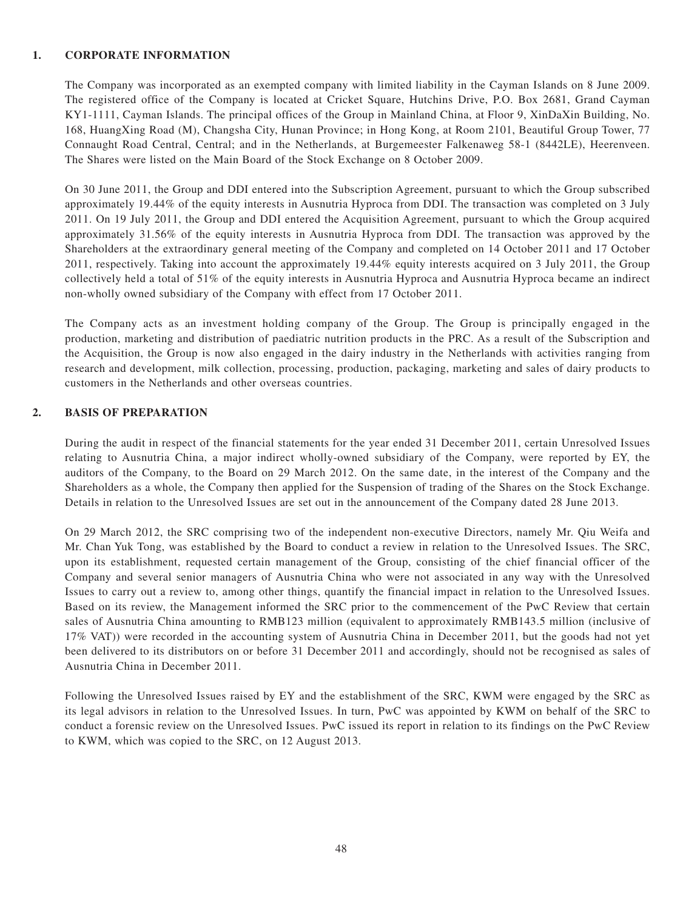#### **1. CORPORATE INFORMATION**

The Company was incorporated as an exempted company with limited liability in the Cayman Islands on 8 June 2009. The registered office of the Company is located at Cricket Square, Hutchins Drive, P.O. Box 2681, Grand Cayman KY1-1111, Cayman Islands. The principal offices of the Group in Mainland China, at Floor 9, XinDaXin Building, No. 168, HuangXing Road (M), Changsha City, Hunan Province; in Hong Kong, at Room 2101, Beautiful Group Tower, 77 Connaught Road Central, Central; and in the Netherlands, at Burgemeester Falkenaweg 58-1 (8442LE), Heerenveen. The Shares were listed on the Main Board of the Stock Exchange on 8 October 2009.

On 30 June 2011, the Group and DDI entered into the Subscription Agreement, pursuant to which the Group subscribed approximately 19.44% of the equity interests in Ausnutria Hyproca from DDI. The transaction was completed on 3 July 2011. On 19 July 2011, the Group and DDI entered the Acquisition Agreement, pursuant to which the Group acquired approximately 31.56% of the equity interests in Ausnutria Hyproca from DDI. The transaction was approved by the Shareholders at the extraordinary general meeting of the Company and completed on 14 October 2011 and 17 October 2011, respectively. Taking into account the approximately 19.44% equity interests acquired on 3 July 2011, the Group collectively held a total of 51% of the equity interests in Ausnutria Hyproca and Ausnutria Hyproca became an indirect non-wholly owned subsidiary of the Company with effect from 17 October 2011.

The Company acts as an investment holding company of the Group. The Group is principally engaged in the production, marketing and distribution of paediatric nutrition products in the PRC. As a result of the Subscription and the Acquisition, the Group is now also engaged in the dairy industry in the Netherlands with activities ranging from research and development, milk collection, processing, production, packaging, marketing and sales of dairy products to customers in the Netherlands and other overseas countries.

#### **2. BASIS OF PREPARATION**

During the audit in respect of the financial statements for the year ended 31 December 2011, certain Unresolved Issues relating to Ausnutria China, a major indirect wholly-owned subsidiary of the Company, were reported by EY, the auditors of the Company, to the Board on 29 March 2012. On the same date, in the interest of the Company and the Shareholders as a whole, the Company then applied for the Suspension of trading of the Shares on the Stock Exchange. Details in relation to the Unresolved Issues are set out in the announcement of the Company dated 28 June 2013.

On 29 March 2012, the SRC comprising two of the independent non-executive Directors, namely Mr. Qiu Weifa and Mr. Chan Yuk Tong, was established by the Board to conduct a review in relation to the Unresolved Issues. The SRC, upon its establishment, requested certain management of the Group, consisting of the chief financial officer of the Company and several senior managers of Ausnutria China who were not associated in any way with the Unresolved Issues to carry out a review to, among other things, quantify the financial impact in relation to the Unresolved Issues. Based on its review, the Management informed the SRC prior to the commencement of the PwC Review that certain sales of Ausnutria China amounting to RMB123 million (equivalent to approximately RMB143.5 million (inclusive of 17% VAT)) were recorded in the accounting system of Ausnutria China in December 2011, but the goods had not yet been delivered to its distributors on or before 31 December 2011 and accordingly, should not be recognised as sales of Ausnutria China in December 2011.

Following the Unresolved Issues raised by EY and the establishment of the SRC, KWM were engaged by the SRC as its legal advisors in relation to the Unresolved Issues. In turn, PwC was appointed by KWM on behalf of the SRC to conduct a forensic review on the Unresolved Issues. PwC issued its report in relation to its findings on the PwC Review to KWM, which was copied to the SRC, on 12 August 2013.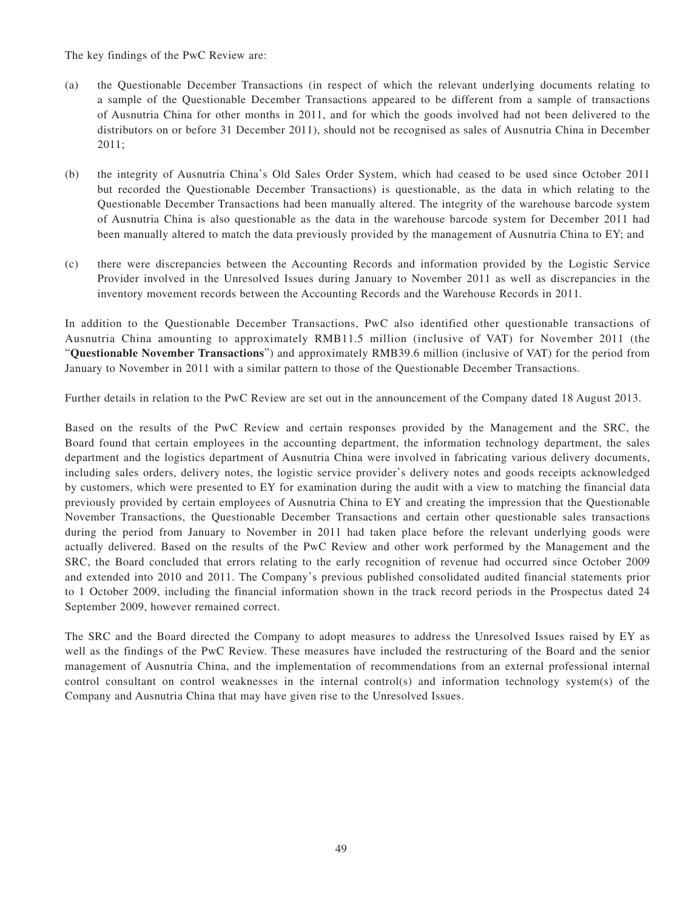The key findings of the PwC Review are:

- (a) the Questionable December Transactions (in respect of which the relevant underlying documents relating to a sample of the Questionable December Transactions appeared to be different from a sample of transactions of Ausnutria China for other months in 2011, and for which the goods involved had not been delivered to the distributors on or before 31 December 2011), should not be recognised as sales of Ausnutria China in December 2011;
- (b) the integrity of Ausnutria China's Old Sales Order System, which had ceased to be used since October 2011 but recorded the Questionable December Transactions) is questionable, as the data in which relating to the Questionable December Transactions had been manually altered. The integrity of the warehouse barcode system of Ausnutria China is also questionable as the data in the warehouse barcode system for December 2011 had been manually altered to match the data previously provided by the management of Ausnutria China to EY; and
- (c) there were discrepancies between the Accounting Records and information provided by the Logistic Service Provider involved in the Unresolved Issues during January to November 2011 as well as discrepancies in the inventory movement records between the Accounting Records and the Warehouse Records in 2011.

In addition to the Questionable December Transactions, PwC also identified other questionable transactions of Ausnutria China amounting to approximately RMB11.5 million (inclusive of VAT) for November 2011 (the "**Questionable November Transactions**") and approximately RMB39.6 million (inclusive of VAT) for the period from January to November in 2011 with a similar pattern to those of the Questionable December Transactions.

Further details in relation to the PwC Review are set out in the announcement of the Company dated 18 August 2013.

Based on the results of the PwC Review and certain responses provided by the Management and the SRC, the Board found that certain employees in the accounting department, the information technology department, the sales department and the logistics department of Ausnutria China were involved in fabricating various delivery documents, including sales orders, delivery notes, the logistic service provider's delivery notes and goods receipts acknowledged by customers, which were presented to EY for examination during the audit with a view to matching the financial data previously provided by certain employees of Ausnutria China to EY and creating the impression that the Questionable November Transactions, the Questionable December Transactions and certain other questionable sales transactions during the period from January to November in 2011 had taken place before the relevant underlying goods were actually delivered. Based on the results of the PwC Review and other work performed by the Management and the SRC, the Board concluded that errors relating to the early recognition of revenue had occurred since October 2009 and extended into 2010 and 2011. The Company's previous published consolidated audited financial statements prior to 1 October 2009, including the financial information shown in the track record periods in the Prospectus dated 24 September 2009, however remained correct.

The SRC and the Board directed the Company to adopt measures to address the Unresolved Issues raised by EY as well as the findings of the PwC Review. These measures have included the restructuring of the Board and the senior management of Ausnutria China, and the implementation of recommendations from an external professional internal control consultant on control weaknesses in the internal control(s) and information technology system(s) of the Company and Ausnutria China that may have given rise to the Unresolved Issues.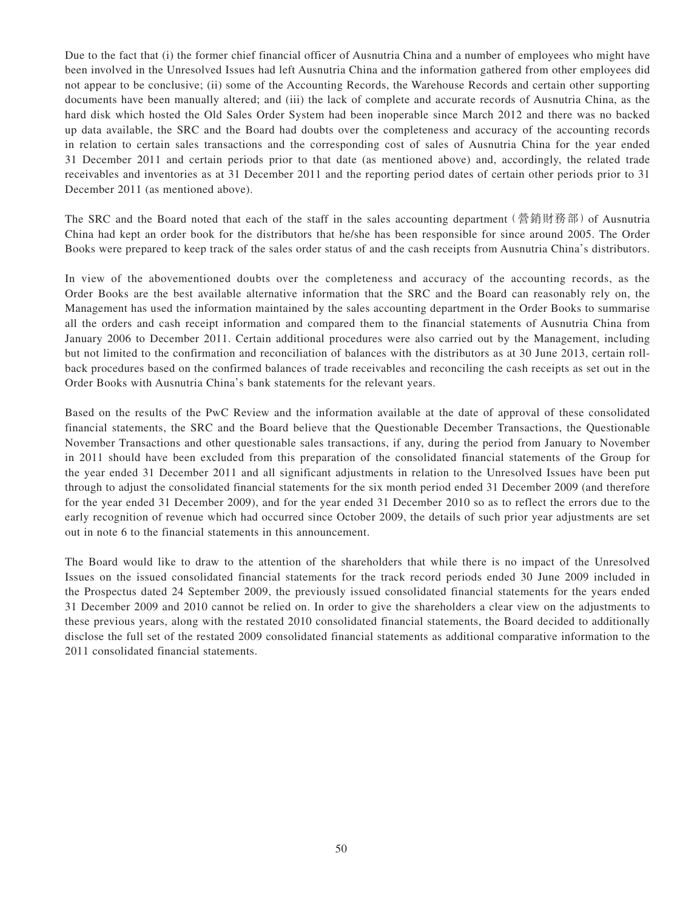Due to the fact that (i) the former chief financial officer of Ausnutria China and a number of employees who might have been involved in the Unresolved Issues had left Ausnutria China and the information gathered from other employees did not appear to be conclusive; (ii) some of the Accounting Records, the Warehouse Records and certain other supporting documents have been manually altered; and (iii) the lack of complete and accurate records of Ausnutria China, as the hard disk which hosted the Old Sales Order System had been inoperable since March 2012 and there was no backed up data available, the SRC and the Board had doubts over the completeness and accuracy of the accounting records in relation to certain sales transactions and the corresponding cost of sales of Ausnutria China for the year ended 31 December 2011 and certain periods prior to that date (as mentioned above) and, accordingly, the related trade receivables and inventories as at 31 December 2011 and the reporting period dates of certain other periods prior to 31 December 2011 (as mentioned above).

The SRC and the Board noted that each of the staff in the sales accounting department (營銷財務部) of Ausnutria China had kept an order book for the distributors that he/she has been responsible for since around 2005. The Order Books were prepared to keep track of the sales order status of and the cash receipts from Ausnutria China's distributors.

In view of the abovementioned doubts over the completeness and accuracy of the accounting records, as the Order Books are the best available alternative information that the SRC and the Board can reasonably rely on, the Management has used the information maintained by the sales accounting department in the Order Books to summarise all the orders and cash receipt information and compared them to the financial statements of Ausnutria China from January 2006 to December 2011. Certain additional procedures were also carried out by the Management, including but not limited to the confirmation and reconciliation of balances with the distributors as at 30 June 2013, certain rollback procedures based on the confirmed balances of trade receivables and reconciling the cash receipts as set out in the Order Books with Ausnutria China's bank statements for the relevant years.

Based on the results of the PwC Review and the information available at the date of approval of these consolidated financial statements, the SRC and the Board believe that the Questionable December Transactions, the Questionable November Transactions and other questionable sales transactions, if any, during the period from January to November in 2011 should have been excluded from this preparation of the consolidated financial statements of the Group for the year ended 31 December 2011 and all significant adjustments in relation to the Unresolved Issues have been put through to adjust the consolidated financial statements for the six month period ended 31 December 2009 (and therefore for the year ended 31 December 2009), and for the year ended 31 December 2010 so as to reflect the errors due to the early recognition of revenue which had occurred since October 2009, the details of such prior year adjustments are set out in note 6 to the financial statements in this announcement.

The Board would like to draw to the attention of the shareholders that while there is no impact of the Unresolved Issues on the issued consolidated financial statements for the track record periods ended 30 June 2009 included in the Prospectus dated 24 September 2009, the previously issued consolidated financial statements for the years ended 31 December 2009 and 2010 cannot be relied on. In order to give the shareholders a clear view on the adjustments to these previous years, along with the restated 2010 consolidated financial statements, the Board decided to additionally disclose the full set of the restated 2009 consolidated financial statements as additional comparative information to the 2011 consolidated financial statements.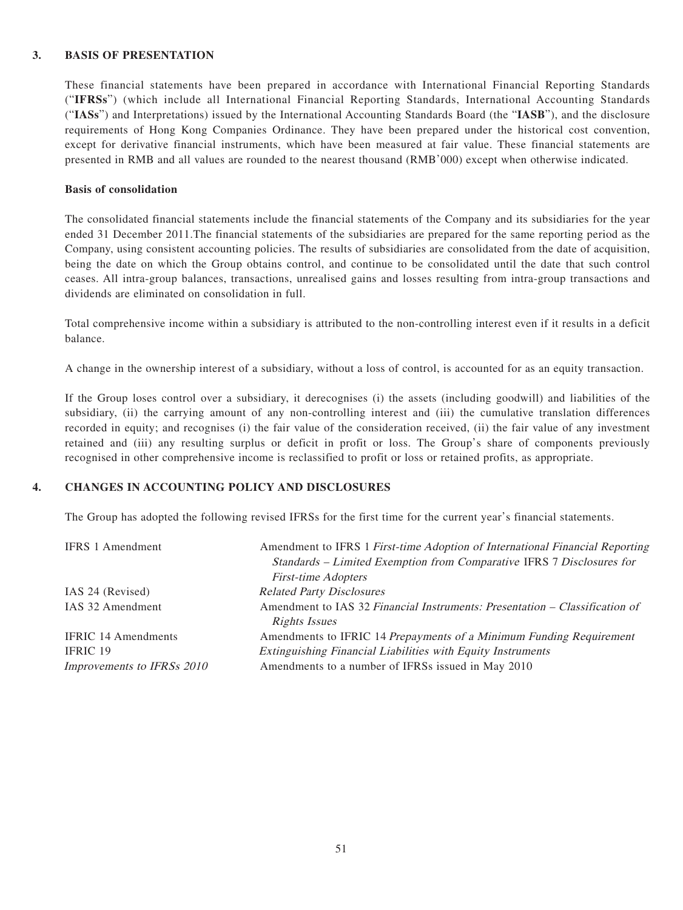#### **3. BASIS OF PRESENTATION**

These financial statements have been prepared in accordance with International Financial Reporting Standards ("**IFRSs**") (which include all International Financial Reporting Standards, International Accounting Standards ("**IASs**") and Interpretations) issued by the International Accounting Standards Board (the "**IASB**"), and the disclosure requirements of Hong Kong Companies Ordinance. They have been prepared under the historical cost convention, except for derivative financial instruments, which have been measured at fair value. These financial statements are presented in RMB and all values are rounded to the nearest thousand (RMB'000) except when otherwise indicated.

#### **Basis of consolidation**

The consolidated financial statements include the financial statements of the Company and its subsidiaries for the year ended 31 December 2011.The financial statements of the subsidiaries are prepared for the same reporting period as the Company, using consistent accounting policies. The results of subsidiaries are consolidated from the date of acquisition, being the date on which the Group obtains control, and continue to be consolidated until the date that such control ceases. All intra-group balances, transactions, unrealised gains and losses resulting from intra-group transactions and dividends are eliminated on consolidation in full.

Total comprehensive income within a subsidiary is attributed to the non-controlling interest even if it results in a deficit balance.

A change in the ownership interest of a subsidiary, without a loss of control, is accounted for as an equity transaction.

If the Group loses control over a subsidiary, it derecognises (i) the assets (including goodwill) and liabilities of the subsidiary, (ii) the carrying amount of any non-controlling interest and (iii) the cumulative translation differences recorded in equity; and recognises (i) the fair value of the consideration received, (ii) the fair value of any investment retained and (iii) any resulting surplus or deficit in profit or loss. The Group's share of components previously recognised in other comprehensive income is reclassified to profit or loss or retained profits, as appropriate.

#### **4. CHANGES IN ACCOUNTING POLICY AND DISCLOSURES**

The Group has adopted the following revised IFRSs for the first time for the current year's financial statements.

| <b>IFRS</b> 1 Amendment    | Amendment to IFRS 1 First-time Adoption of International Financial Reporting |
|----------------------------|------------------------------------------------------------------------------|
|                            | Standards - Limited Exemption from Comparative IFRS 7 Disclosures for        |
|                            | <b>First-time Adopters</b>                                                   |
| IAS 24 (Revised)           | <b>Related Party Disclosures</b>                                             |
| IAS 32 Amendment           | Amendment to IAS 32 Financial Instruments: Presentation – Classification of  |
|                            | Rights Issues                                                                |
| <b>IFRIC 14 Amendments</b> | Amendments to IFRIC 14 Prepayments of a Minimum Funding Requirement          |
| <b>IFRIC 19</b>            | <b>Extinguishing Financial Liabilities with Equity Instruments</b>           |
| Improvements to IFRSs 2010 | Amendments to a number of IFRSs issued in May 2010                           |
|                            |                                                                              |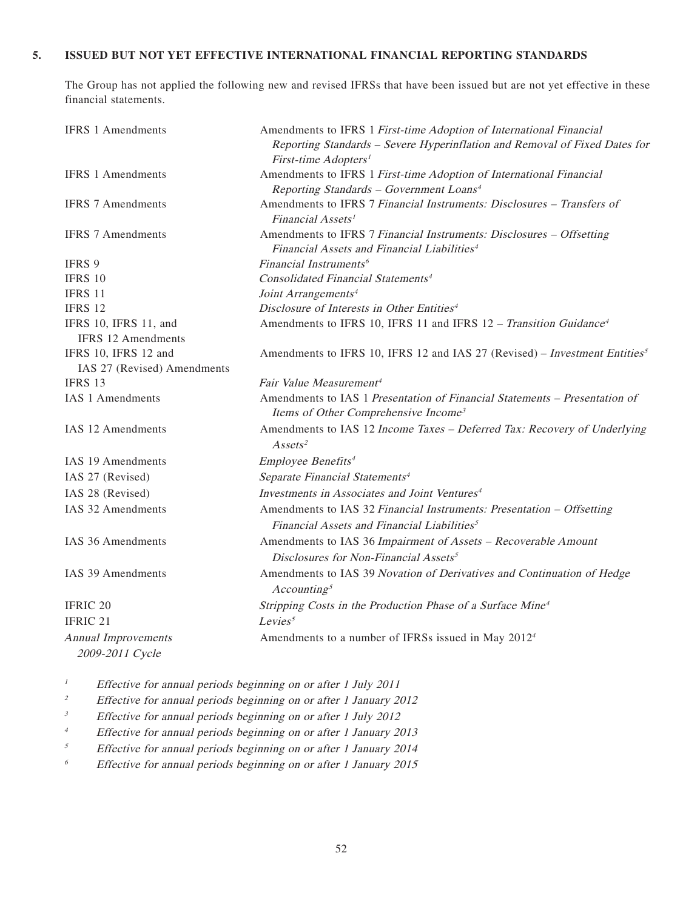#### **5. ISSUED BUT NOT YET EFFECTIVE INTERNATIONAL FINANCIAL REPORTING STANDARDS**

The Group has not applied the following new and revised IFRSs that have been issued but are not yet effective in these financial statements.

| <b>IFRS 1 Amendments</b>                           | Amendments to IFRS 1 First-time Adoption of International Financial                                                             |
|----------------------------------------------------|---------------------------------------------------------------------------------------------------------------------------------|
|                                                    | Reporting Standards - Severe Hyperinflation and Removal of Fixed Dates for<br>First-time Adopters <sup>1</sup>                  |
| <b>IFRS 1 Amendments</b>                           | Amendments to IFRS 1 First-time Adoption of International Financial                                                             |
|                                                    | Reporting Standards - Government Loans <sup>4</sup>                                                                             |
| <b>IFRS 7 Amendments</b>                           | Amendments to IFRS 7 Financial Instruments: Disclosures - Transfers of<br>Financial Assets <sup>1</sup>                         |
| <b>IFRS 7 Amendments</b>                           | Amendments to IFRS 7 Financial Instruments: Disclosures - Offsetting<br>Financial Assets and Financial Liabilities <sup>4</sup> |
| IFRS 9                                             | Financial Instruments <sup>6</sup>                                                                                              |
| <b>IFRS 10</b>                                     | Consolidated Financial Statements <sup>4</sup>                                                                                  |
| <b>IFRS 11</b>                                     | Joint Arrangements <sup>4</sup>                                                                                                 |
| <b>IFRS 12</b>                                     | Disclosure of Interests in Other Entities <sup>4</sup>                                                                          |
| IFRS 10, IFRS 11, and<br><b>IFRS 12 Amendments</b> | Amendments to IFRS 10, IFRS 11 and IFRS 12 - Transition Guidance <sup>4</sup>                                                   |
| IFRS 10, IFRS 12 and                               | Amendments to IFRS 10, IFRS 12 and IAS 27 (Revised) – Investment Entities <sup>5</sup>                                          |
| IAS 27 (Revised) Amendments                        |                                                                                                                                 |
| IFRS 13                                            | Fair Value Measurement <sup>4</sup>                                                                                             |
| <b>IAS 1 Amendments</b>                            | Amendments to IAS 1 Presentation of Financial Statements - Presentation of<br>Items of Other Comprehensive Income <sup>3</sup>  |
| IAS 12 Amendments                                  | Amendments to IAS 12 Income Taxes - Deferred Tax: Recovery of Underlying<br>Assets <sup>2</sup>                                 |
| <b>IAS 19 Amendments</b>                           | Employee Benefits <sup>4</sup>                                                                                                  |
| IAS 27 (Revised)                                   | Separate Financial Statements <sup>4</sup>                                                                                      |
| IAS 28 (Revised)                                   | Investments in Associates and Joint Ventures <sup>4</sup>                                                                       |
| IAS 32 Amendments                                  | Amendments to IAS 32 Financial Instruments: Presentation - Offsetting                                                           |
|                                                    | Financial Assets and Financial Liabilities <sup>5</sup>                                                                         |
| IAS 36 Amendments                                  | Amendments to IAS 36 Impairment of Assets - Recoverable Amount<br>Disclosures for Non-Financial Assets <sup>5</sup>             |
| IAS 39 Amendments                                  | Amendments to IAS 39 Novation of Derivatives and Continuation of Hedge<br>Accounting <sup>5</sup>                               |
| <b>IFRIC 20</b>                                    | Stripping Costs in the Production Phase of a Surface Mine <sup>4</sup>                                                          |
| <b>IFRIC 21</b>                                    | Levies <sup>5</sup>                                                                                                             |
| <b>Annual Improvements</b><br>2009-2011 Cycle      | Amendments to a number of IFRSs issued in May 2012 <sup>4</sup>                                                                 |

<sup>1</sup> Effective for annual periods beginning on or after 1 July 2011

- <sup>2</sup> Effective for annual periods beginning on or after 1 January 2012
- <sup>3</sup> Effective for annual periods beginning on or after 1 July 2012
- <sup>4</sup> Effective for annual periods beginning on or after 1 January 2013
- $5$  Effective for annual periods beginning on or after 1 January 2014
- $6$  Effective for annual periods beginning on or after 1 January 2015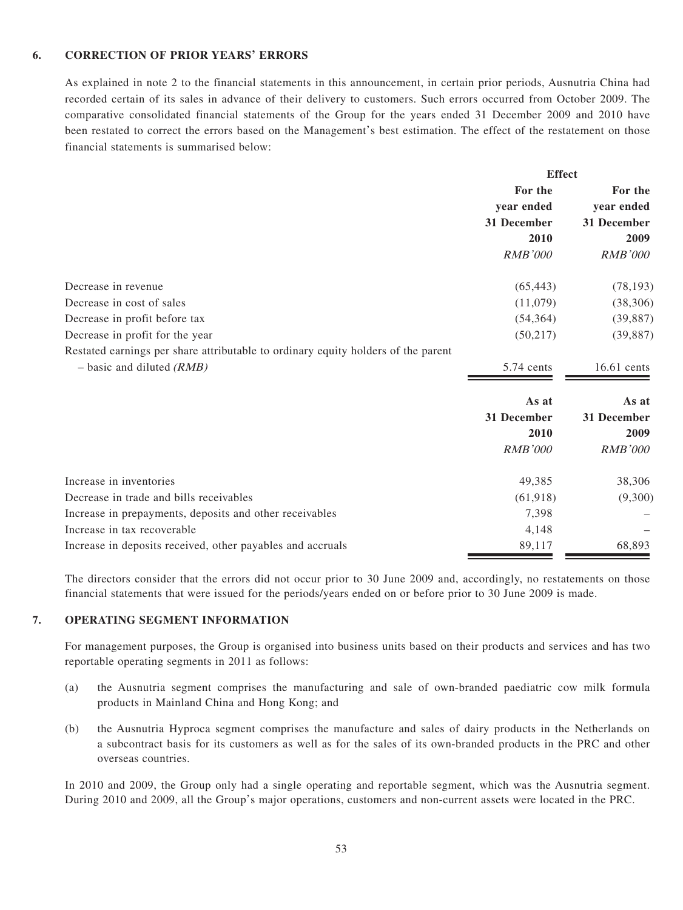#### **6. CORRECTION OF PRIOR YEARS' ERRORS**

As explained in note 2 to the financial statements in this announcement, in certain prior periods, Ausnutria China had recorded certain of its sales in advance of their delivery to customers. Such errors occurred from October 2009. The comparative consolidated financial statements of the Group for the years ended 31 December 2009 and 2010 have been restated to correct the errors based on the Management's best estimation. The effect of the restatement on those financial statements is summarised below:

|                                                                                   | For the<br>year ended<br>31 December<br>2010 | For the<br>year ended<br>31 December<br>2009 |
|-----------------------------------------------------------------------------------|----------------------------------------------|----------------------------------------------|
|                                                                                   |                                              |                                              |
|                                                                                   |                                              |                                              |
|                                                                                   |                                              |                                              |
|                                                                                   |                                              |                                              |
|                                                                                   | <b>RMB'000</b>                               | <b>RMB'000</b>                               |
| Decrease in revenue                                                               | (65, 443)                                    | (78, 193)                                    |
| Decrease in cost of sales                                                         | (11,079)                                     | (38, 306)                                    |
| Decrease in profit before tax                                                     | (54, 364)                                    | (39, 887)                                    |
| Decrease in profit for the year                                                   | (50, 217)                                    | (39, 887)                                    |
| Restated earnings per share attributable to ordinary equity holders of the parent |                                              |                                              |
| $-$ basic and diluted (RMB)                                                       | 5.74 cents                                   | $16.61$ cents                                |
|                                                                                   | As at                                        | As at                                        |
|                                                                                   | 31 December                                  | 31 December                                  |
|                                                                                   | 2010                                         | 2009                                         |
|                                                                                   | <b>RMB'000</b>                               | <b>RMB'000</b>                               |
| Increase in inventories                                                           | 49,385                                       | 38,306                                       |
| Decrease in trade and bills receivables                                           | (61, 918)                                    | (9,300)                                      |
| Increase in prepayments, deposits and other receivables                           | 7,398                                        |                                              |
| Increase in tax recoverable                                                       | 4,148                                        |                                              |
| Increase in deposits received, other payables and accruals                        | 89,117                                       | 68,893                                       |

The directors consider that the errors did not occur prior to 30 June 2009 and, accordingly, no restatements on those financial statements that were issued for the periods/years ended on or before prior to 30 June 2009 is made.

#### **7. OPERATING SEGMENT INFORMATION**

For management purposes, the Group is organised into business units based on their products and services and has two reportable operating segments in 2011 as follows:

- (a) the Ausnutria segment comprises the manufacturing and sale of own-branded paediatric cow milk formula products in Mainland China and Hong Kong; and
- (b) the Ausnutria Hyproca segment comprises the manufacture and sales of dairy products in the Netherlands on a subcontract basis for its customers as well as for the sales of its own-branded products in the PRC and other overseas countries.

In 2010 and 2009, the Group only had a single operating and reportable segment, which was the Ausnutria segment. During 2010 and 2009, all the Group's major operations, customers and non-current assets were located in the PRC.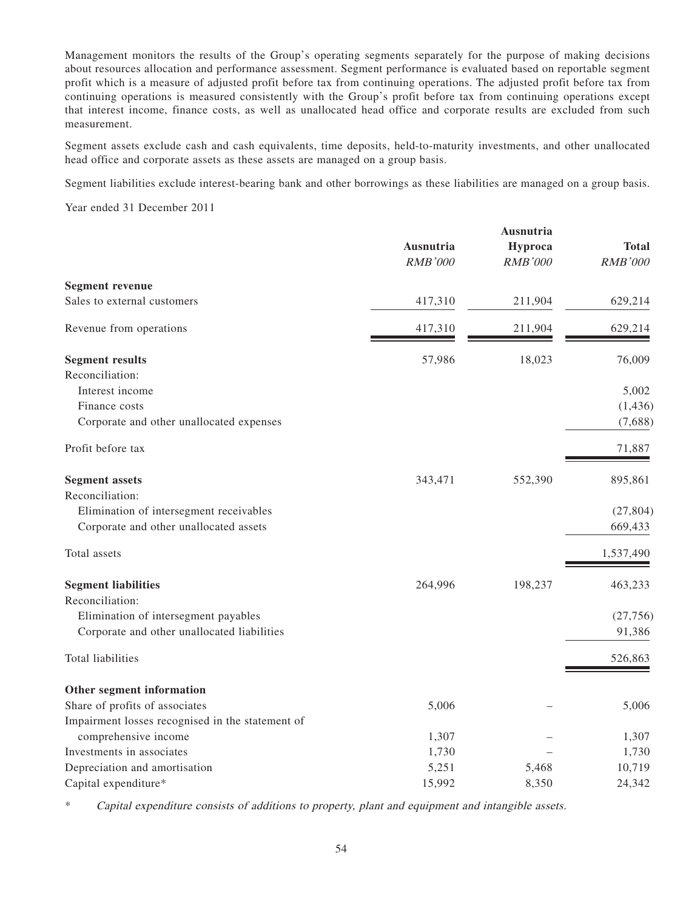Management monitors the results of the Group's operating segments separately for the purpose of making decisions about resources allocation and performance assessment. Segment performance is evaluated based on reportable segment profit which is a measure of adjusted profit before tax from continuing operations. The adjusted profit before tax from continuing operations is measured consistently with the Group's profit before tax from continuing operations except that interest income, finance costs, as well as unallocated head office and corporate results are excluded from such measurement.

Segment assets exclude cash and cash equivalents, time deposits, held-to-maturity investments, and other unallocated head office and corporate assets as these assets are managed on a group basis.

Segment liabilities exclude interest-bearing bank and other borrowings as these liabilities are managed on a group basis.

Year ended 31 December 2011

|                                                  | Ausnutria<br><b>RMB'000</b> | Ausnutria<br>Hyproca<br><b>RMB'000</b> | <b>Total</b><br><b>RMB'000</b> |
|--------------------------------------------------|-----------------------------|----------------------------------------|--------------------------------|
| <b>Segment revenue</b>                           |                             |                                        |                                |
| Sales to external customers                      | 417,310                     | 211,904                                | 629,214                        |
| Revenue from operations                          | 417,310                     | 211,904                                | 629,214                        |
| <b>Segment results</b>                           | 57,986                      | 18,023                                 | 76,009                         |
| Reconciliation:                                  |                             |                                        |                                |
| Interest income                                  |                             |                                        | 5,002                          |
| Finance costs                                    |                             |                                        | (1, 436)                       |
| Corporate and other unallocated expenses         |                             |                                        | (7,688)                        |
| Profit before tax                                |                             |                                        | 71,887                         |
| <b>Segment assets</b>                            | 343,471                     | 552,390                                | 895,861                        |
| Reconciliation:                                  |                             |                                        |                                |
| Elimination of intersegment receivables          |                             |                                        | (27, 804)                      |
| Corporate and other unallocated assets           |                             |                                        | 669,433                        |
| Total assets                                     |                             |                                        | 1,537,490                      |
| <b>Segment liabilities</b>                       | 264,996                     | 198,237                                | 463,233                        |
| Reconciliation:                                  |                             |                                        |                                |
| Elimination of intersegment payables             |                             |                                        | (27, 756)                      |
| Corporate and other unallocated liabilities      |                             |                                        | 91,386                         |
| Total liabilities                                |                             |                                        | 526,863                        |
| Other segment information                        |                             |                                        |                                |
| Share of profits of associates                   | 5,006                       |                                        | 5,006                          |
| Impairment losses recognised in the statement of |                             |                                        |                                |
| comprehensive income                             | 1,307                       |                                        | 1,307                          |
| Investments in associates                        | 1,730                       |                                        | 1,730                          |
| Depreciation and amortisation                    | 5,251                       | 5,468                                  | 10,719                         |
| Capital expenditure*                             | 15,992                      | 8,350                                  | 24,342                         |

\* Capital expenditure consists of additions to property, plant and equipment and intangible assets.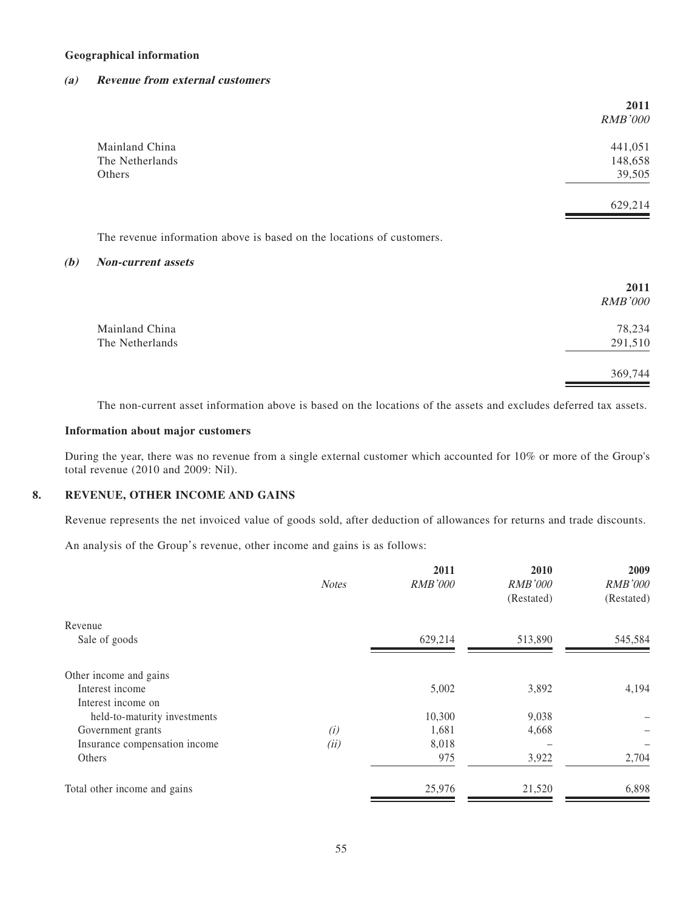#### **Geographical information**

#### **(a) Revenue from external customers**

|                 | 2011<br><b>RMB'000</b> |
|-----------------|------------------------|
| Mainland China  | 441,051                |
| The Netherlands | 148,658                |
| Others          | 39,505                 |
|                 | 629,214                |

The revenue information above is based on the locations of customers.

#### **(b) Non-current assets**

|                 | 2011<br><b>RMB'000</b> |
|-----------------|------------------------|
| Mainland China  | 78,234                 |
| The Netherlands | 291,510                |
|                 | 369,744                |

The non-current asset information above is based on the locations of the assets and excludes deferred tax assets.

#### **Information about major customers**

During the year, there was no revenue from a single external customer which accounted for 10% or more of the Group's total revenue (2010 and 2009: Nil).

#### **8. REVENUE, OTHER INCOME AND GAINS**

Revenue represents the net invoiced value of goods sold, after deduction of allowances for returns and trade discounts.

An analysis of the Group's revenue, other income and gains is as follows:

| <b>Notes</b> | 2011<br><b>RMB'000</b> | 2010<br><b>RMB'000</b> | 2009<br><b>RMB'000</b> |
|--------------|------------------------|------------------------|------------------------|
|              |                        | (Restated)             | (Restated)             |
|              |                        |                        |                        |
|              | 629,214                | 513,890                | 545,584                |
|              |                        |                        |                        |
|              | 5,002                  | 3,892                  | 4,194                  |
|              |                        |                        |                        |
|              | 10,300                 | 9,038                  |                        |
| (i)          | 1,681                  | 4,668                  |                        |
| (ii)         | 8,018                  |                        |                        |
|              | 975                    | 3,922                  | 2,704                  |
|              | 25,976                 | 21,520                 | 6,898                  |
|              |                        |                        |                        |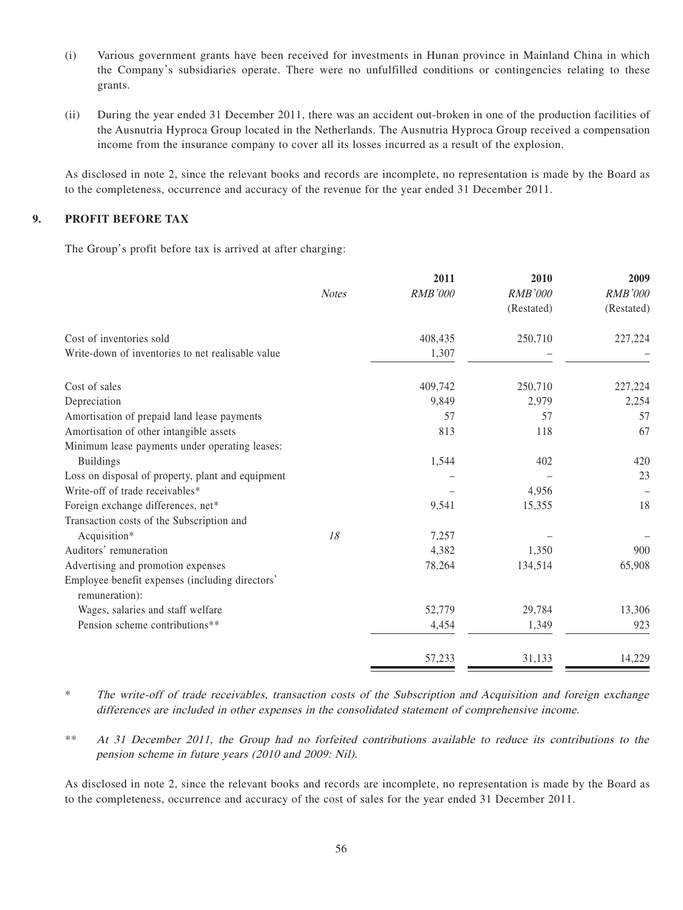- (i) Various government grants have been received for investments in Hunan province in Mainland China in which the Company's subsidiaries operate. There were no unfulfilled conditions or contingencies relating to these grants.
- (ii) During the year ended 31 December 2011, there was an accident out-broken in one of the production facilities of the Ausnutria Hyproca Group located in the Netherlands. The Ausnutria Hyproca Group received a compensation income from the insurance company to cover all its losses incurred as a result of the explosion.

As disclosed in note 2, since the relevant books and records are incomplete, no representation is made by the Board as to the completeness, occurrence and accuracy of the revenue for the year ended 31 December 2011.

#### **9. PROFIT BEFORE TAX**

The Group's profit before tax is arrived at after charging:

|                                                   |              | 2011           | 2010           | 2009       |
|---------------------------------------------------|--------------|----------------|----------------|------------|
|                                                   | <b>Notes</b> | <b>RMB'000</b> | <b>RMB'000</b> | RMB'000    |
|                                                   |              |                | (Restated)     | (Restated) |
| Cost of inventories sold                          |              | 408,435        | 250,710        | 227,224    |
| Write-down of inventories to net realisable value |              | 1,307          |                |            |
| Cost of sales                                     |              | 409,742        | 250,710        | 227,224    |
| Depreciation                                      |              | 9,849          | 2,979          | 2,254      |
| Amortisation of prepaid land lease payments       |              | 57             | 57             | 57         |
| Amortisation of other intangible assets           |              | 813            | 118            | 67         |
| Minimum lease payments under operating leases:    |              |                |                |            |
| <b>Buildings</b>                                  |              | 1,544          | 402            | 420        |
| Loss on disposal of property, plant and equipment |              |                |                | 23         |
| Write-off of trade receivables*                   |              |                | 4,956          |            |
| Foreign exchange differences, net*                |              | 9,541          | 15,355         | 18         |
| Transaction costs of the Subscription and         |              |                |                |            |
| Acquisition*                                      | 18           | 7,257          |                |            |
| Auditors' remuneration                            |              | 4,382          | 1,350          | 900        |
| Advertising and promotion expenses                |              | 78,264         | 134,514        | 65,908     |
| Employee benefit expenses (including directors'   |              |                |                |            |
| remuneration):                                    |              |                |                |            |
| Wages, salaries and staff welfare                 |              | 52,779         | 29,784         | 13,306     |
| Pension scheme contributions**                    |              | 4,454          | 1,349          | 923        |
|                                                   |              | 57,233         | 31,133         | 14,229     |

\* The write-off of trade receivables, transaction costs of the Subscription and Acquisition and foreign exchange differences are included in other expenses in the consolidated statement of comprehensive income.

\*\* At 31 December 2011, the Group had no forfeited contributions available to reduce its contributions to the pension scheme in future years (2010 and 2009: Nil).

As disclosed in note 2, since the relevant books and records are incomplete, no representation is made by the Board as to the completeness, occurrence and accuracy of the cost of sales for the year ended 31 December 2011.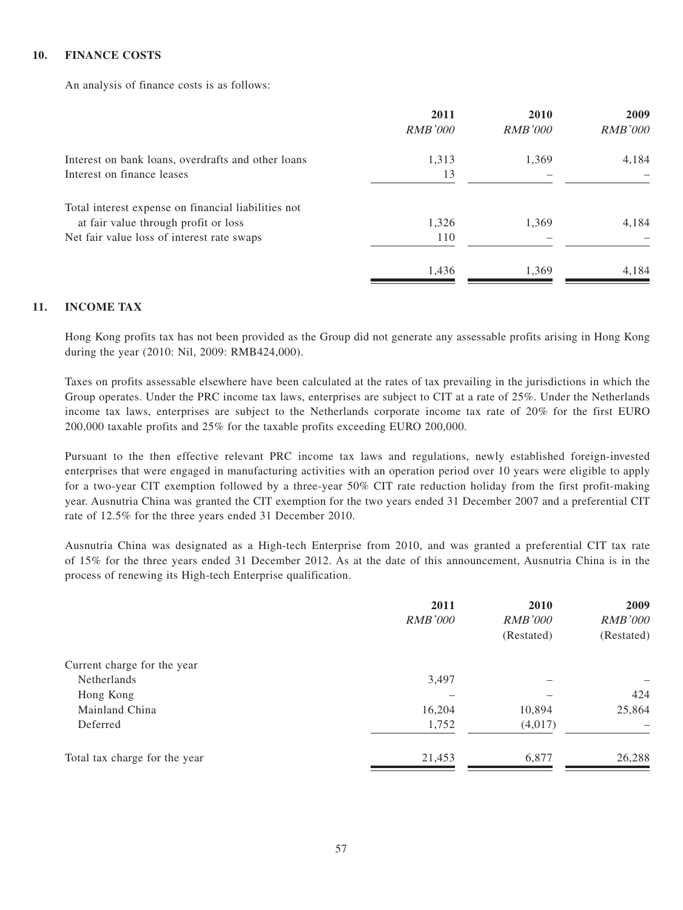#### **10. FINANCE COSTS**

An analysis of finance costs is as follows:

|                                                     | 2011           | 2010           | 2009           |
|-----------------------------------------------------|----------------|----------------|----------------|
|                                                     | <b>RMB'000</b> | <i>RMB'000</i> | <b>RMB'000</b> |
| Interest on bank loans, overdrafts and other loans  | 1,313          | 1,369          | 4,184          |
| Interest on finance leases                          | 13             |                |                |
| Total interest expense on financial liabilities not |                |                |                |
| at fair value through profit or loss                | 1,326          | 1,369          | 4,184          |
| Net fair value loss of interest rate swaps          | 110            |                |                |
|                                                     | 1,436          | 1,369          | 4,184          |
|                                                     |                |                |                |

#### **11. INCOME TAX**

Hong Kong profits tax has not been provided as the Group did not generate any assessable profits arising in Hong Kong during the year (2010: Nil, 2009: RMB424,000).

Taxes on profits assessable elsewhere have been calculated at the rates of tax prevailing in the jurisdictions in which the Group operates. Under the PRC income tax laws, enterprises are subject to CIT at a rate of 25%. Under the Netherlands income tax laws, enterprises are subject to the Netherlands corporate income tax rate of 20% for the first EURO 200,000 taxable profits and 25% for the taxable profits exceeding EURO 200,000.

Pursuant to the then effective relevant PRC income tax laws and regulations, newly established foreign-invested enterprises that were engaged in manufacturing activities with an operation period over 10 years were eligible to apply for a two-year CIT exemption followed by a three-year 50% CIT rate reduction holiday from the first profit-making year. Ausnutria China was granted the CIT exemption for the two years ended 31 December 2007 and a preferential CIT rate of 12.5% for the three years ended 31 December 2010.

Ausnutria China was designated as a High-tech Enterprise from 2010, and was granted a preferential CIT tax rate of 15% for the three years ended 31 December 2012. As at the date of this announcement, Ausnutria China is in the process of renewing its High-tech Enterprise qualification.

|                               | 2011<br><b>RMB'000</b> | 2010<br><i>RMB'000</i><br>(Restated) | 2009<br><b>RMB'000</b><br>(Restated) |
|-------------------------------|------------------------|--------------------------------------|--------------------------------------|
| Current charge for the year   |                        |                                      |                                      |
| <b>Netherlands</b>            | 3,497                  |                                      |                                      |
| Hong Kong                     |                        |                                      | 424                                  |
| Mainland China                | 16,204                 | 10,894                               | 25,864                               |
| Deferred                      | 1,752                  | (4,017)                              |                                      |
| Total tax charge for the year | 21,453                 | 6,877                                | 26,288                               |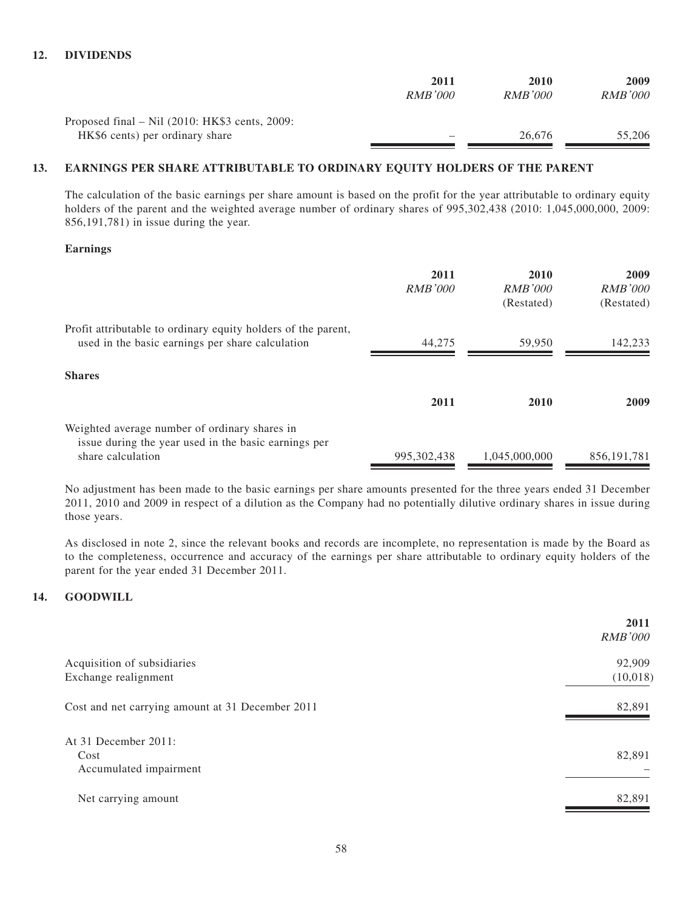| 2011           | 2010           | 2009    |
|----------------|----------------|---------|
| <i>RMB'000</i> | <i>RMB'000</i> | RMB'000 |
|                |                |         |
| -              | 26.676         | 55,206  |
|                |                |         |

#### **13. EARNINGS PER SHARE ATTRIBUTABLE TO ORDINARY EQUITY HOLDERS OF THE PARENT**

The calculation of the basic earnings per share amount is based on the profit for the year attributable to ordinary equity holders of the parent and the weighted average number of ordinary shares of 995,302,438 (2010: 1,045,000,000, 2009: 856,191,781) in issue during the year.

#### **Earnings**

|                                                                                                                   | 2011<br><b>RMB'000</b> | 2010<br>RMB'000<br>(Restated) | 2009<br><i>RMB'000</i><br>(Restated) |
|-------------------------------------------------------------------------------------------------------------------|------------------------|-------------------------------|--------------------------------------|
| Profit attributable to ordinary equity holders of the parent,<br>used in the basic earnings per share calculation | 44,275                 | 59.950                        | 142,233                              |
| <b>Shares</b>                                                                                                     |                        |                               |                                      |
|                                                                                                                   | 2011                   | 2010                          | 2009                                 |
| Weighted average number of ordinary shares in<br>issue during the year used in the basic earnings per             |                        |                               |                                      |
| share calculation                                                                                                 | 995.302.438            | 1.045.000.000                 | 856.191.781                          |

No adjustment has been made to the basic earnings per share amounts presented for the three years ended 31 December 2011, 2010 and 2009 in respect of a dilution as the Company had no potentially dilutive ordinary shares in issue during those years.

As disclosed in note 2, since the relevant books and records are incomplete, no representation is made by the Board as to the completeness, occurrence and accuracy of the earnings per share attributable to ordinary equity holders of the parent for the year ended 31 December 2011.

#### **14. GOODWILL**

|                                                             | 2011<br><b>RMB'000</b> |
|-------------------------------------------------------------|------------------------|
| Acquisition of subsidiaries<br>Exchange realignment         | 92,909<br>(10,018)     |
| Cost and net carrying amount at 31 December 2011            | 82,891                 |
| At $31$ December $2011$ :<br>Cost<br>Accumulated impairment | 82,891                 |
| Net carrying amount                                         | 82,891                 |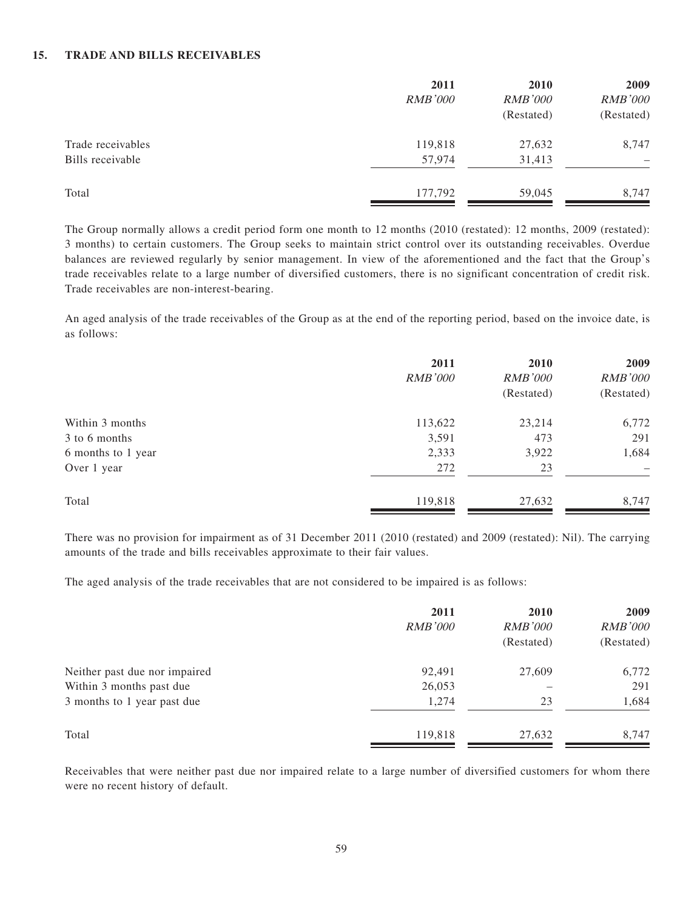#### **15. TRADE AND BILLS RECEIVABLES**

|                   | 2011<br><b>RMB'000</b> | 2010<br><b>RMB'000</b> | 2009<br><b>RMB'000</b> |
|-------------------|------------------------|------------------------|------------------------|
|                   |                        | (Restated)             | (Restated)             |
| Trade receivables | 119,818                | 27,632                 | 8,747                  |
| Bills receivable  | 57,974                 | 31,413                 | -                      |
| Total             | 177,792                | 59,045                 | 8,747                  |

The Group normally allows a credit period form one month to 12 months (2010 (restated): 12 months, 2009 (restated): 3 months) to certain customers. The Group seeks to maintain strict control over its outstanding receivables. Overdue balances are reviewed regularly by senior management. In view of the aforementioned and the fact that the Group's trade receivables relate to a large number of diversified customers, there is no significant concentration of credit risk. Trade receivables are non-interest-bearing.

An aged analysis of the trade receivables of the Group as at the end of the reporting period, based on the invoice date, is as follows:

|                    | 2011<br><b>RMB'000</b> | 2010<br><b>RMB'000</b><br>(Restated) | 2009<br><b>RMB'000</b><br>(Restated) |
|--------------------|------------------------|--------------------------------------|--------------------------------------|
| Within 3 months    | 113,622                | 23,214                               | 6,772                                |
| 3 to 6 months      | 3,591                  | 473                                  | 291                                  |
| 6 months to 1 year | 2,333                  | 3,922                                | 1,684                                |
| Over 1 year        | 272                    | 23                                   | $\overline{\phantom{0}}$             |
| Total              | 119,818                | 27,632                               | 8,747                                |

There was no provision for impairment as of 31 December 2011 (2010 (restated) and 2009 (restated): Nil). The carrying amounts of the trade and bills receivables approximate to their fair values.

The aged analysis of the trade receivables that are not considered to be impaired is as follows:

|                               | 2011<br><i>RMB'000</i> | 2010<br><i>RMB'000</i><br>(Restated) | 2009<br><b>RMB'000</b><br>(Restated) |
|-------------------------------|------------------------|--------------------------------------|--------------------------------------|
| Neither past due nor impaired | 92,491                 | 27,609                               | 6,772                                |
| Within 3 months past due      | 26,053                 |                                      | 291                                  |
| 3 months to 1 year past due   | 1,274                  | 23                                   | 1,684                                |
| Total                         | 119,818                | 27,632                               | 8,747                                |

Receivables that were neither past due nor impaired relate to a large number of diversified customers for whom there were no recent history of default.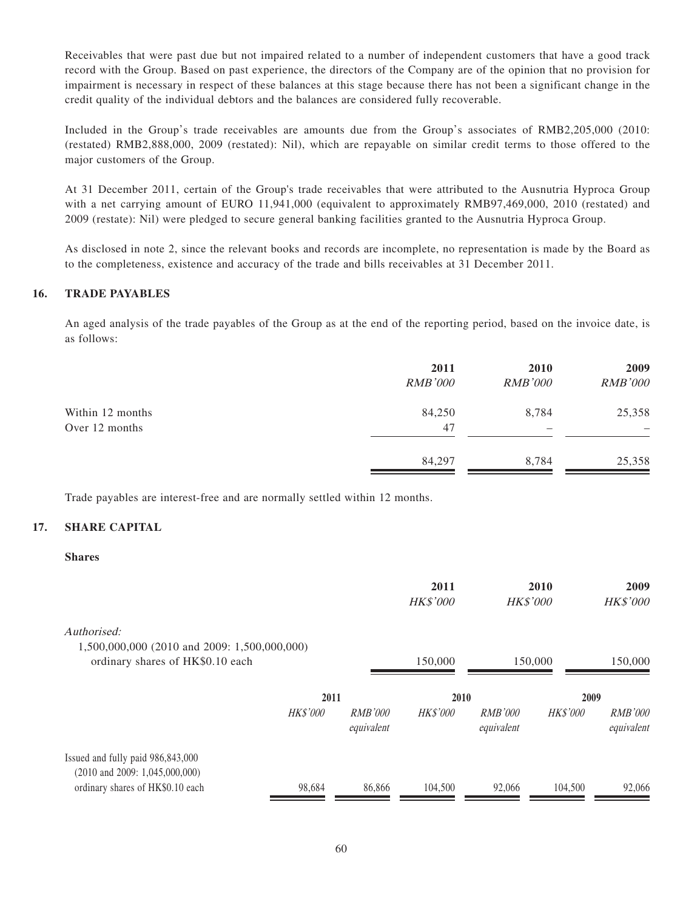Receivables that were past due but not impaired related to a number of independent customers that have a good track record with the Group. Based on past experience, the directors of the Company are of the opinion that no provision for impairment is necessary in respect of these balances at this stage because there has not been a significant change in the credit quality of the individual debtors and the balances are considered fully recoverable.

Included in the Group's trade receivables are amounts due from the Group's associates of RMB2,205,000 (2010: (restated) RMB2,888,000, 2009 (restated): Nil), which are repayable on similar credit terms to those offered to the major customers of the Group.

At 31 December 2011, certain of the Group's trade receivables that were attributed to the Ausnutria Hyproca Group with a net carrying amount of EURO 11,941,000 (equivalent to approximately RMB97,469,000, 2010 (restated) and 2009 (restate): Nil) were pledged to secure general banking facilities granted to the Ausnutria Hyproca Group.

As disclosed in note 2, since the relevant books and records are incomplete, no representation is made by the Board as to the completeness, existence and accuracy of the trade and bills receivables at 31 December 2011.

#### **16. TRADE PAYABLES**

An aged analysis of the trade payables of the Group as at the end of the reporting period, based on the invoice date, is as follows:

|                  | 2011           | <b>2010</b>    | 2009           |
|------------------|----------------|----------------|----------------|
|                  | <b>RMB'000</b> | <b>RMB'000</b> | <b>RMB'000</b> |
| Within 12 months | 84,250         | 8,784          | 25,358         |
| Over 12 months   | 47             |                |                |
|                  | 84,297         | 8,784          | 25,358         |

Trade payables are interest-free and are normally settled within 12 months.

#### **17. SHARE CAPITAL**

#### **Shares**

|                                                                                  |                 |                              | 2011<br><b>HK\$'000</b> | <b>HK\$'000</b>              | 2010            | 2009<br><b>HK\$'000</b>      |
|----------------------------------------------------------------------------------|-----------------|------------------------------|-------------------------|------------------------------|-----------------|------------------------------|
| Authorised:                                                                      |                 |                              |                         |                              |                 |                              |
| 1,500,000,000 (2010 and 2009: 1,500,000,000)<br>ordinary shares of HK\$0.10 each |                 |                              | 150,000                 | 150,000                      |                 | 150,000                      |
|                                                                                  | 2011            |                              | 2010                    |                              | 2009            |                              |
|                                                                                  | <b>HK\$'000</b> | <i>RMB'000</i><br>equivalent | <b>HK\$'000</b>         | <i>RMB'000</i><br>equivalent | <b>HK\$'000</b> | <i>RMB'000</i><br>equivalent |
| Issued and fully paid 986,843,000                                                |                 |                              |                         |                              |                 |                              |
| $(2010 \text{ and } 2009: 1,045,000,000)$<br>ordinary shares of HK\$0.10 each    | 98,684          | 86,866                       | 104,500                 | 92,066                       | 104,500         | 92,066                       |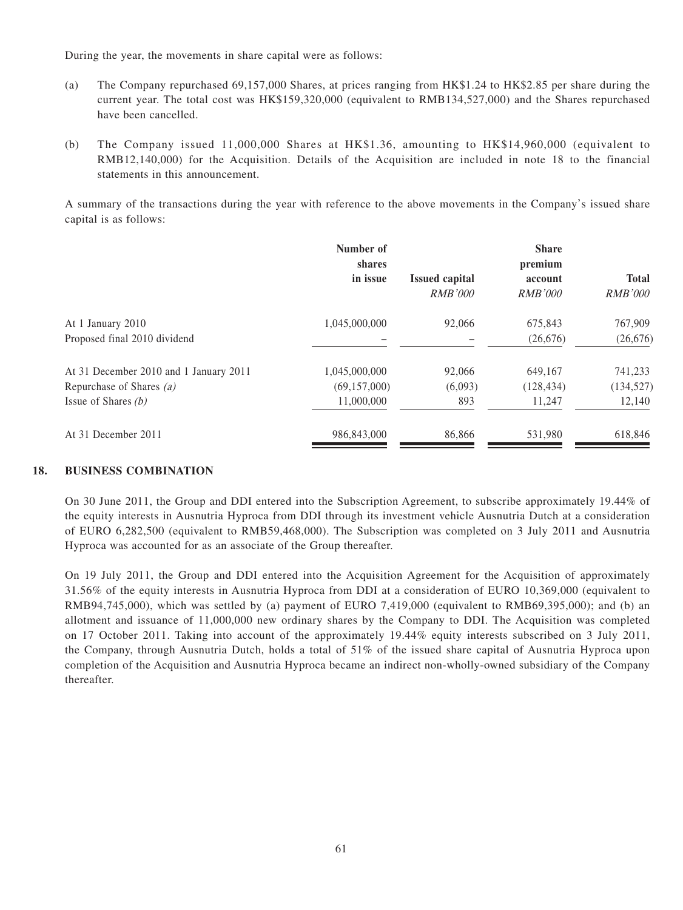During the year, the movements in share capital were as follows:

- (a) The Company repurchased 69,157,000 Shares, at prices ranging from HK\$1.24 to HK\$2.85 per share during the current year. The total cost was HK\$159,320,000 (equivalent to RMB134,527,000) and the Shares repurchased have been cancelled.
- (b) The Company issued 11,000,000 Shares at HK\$1.36, amounting to HK\$14,960,000 (equivalent to RMB12,140,000) for the Acquisition. Details of the Acquisition are included in note 18 to the financial statements in this announcement.

A summary of the transactions during the year with reference to the above movements in the Company's issued share capital is as follows:

|                                        | Number of<br>shares<br>in issue | <b>Issued capital</b> | <b>Share</b><br>premium<br>account | <b>Total</b>   |
|----------------------------------------|---------------------------------|-----------------------|------------------------------------|----------------|
|                                        |                                 | <b>RMB'000</b>        | <i>RMB'000</i>                     | <i>RMB'000</i> |
| At 1 January 2010                      | 1,045,000,000                   | 92,066                | 675,843                            | 767,909        |
| Proposed final 2010 dividend           |                                 |                       | (26,676)                           | (26, 676)      |
| At 31 December 2010 and 1 January 2011 | 1,045,000,000                   | 92,066                | 649,167                            | 741,233        |
| Repurchase of Shares (a)               | (69, 157, 000)                  | (6,093)               | (128, 434)                         | (134, 527)     |
| Issue of Shares $(b)$                  | 11,000,000                      | 893                   | 11.247                             | 12,140         |
| At 31 December 2011                    | 986,843,000                     | 86,866                | 531,980                            | 618,846        |

#### **18. BUSINESS COMBINATION**

On 30 June 2011, the Group and DDI entered into the Subscription Agreement, to subscribe approximately 19.44% of the equity interests in Ausnutria Hyproca from DDI through its investment vehicle Ausnutria Dutch at a consideration of EURO 6,282,500 (equivalent to RMB59,468,000). The Subscription was completed on 3 July 2011 and Ausnutria Hyproca was accounted for as an associate of the Group thereafter.

On 19 July 2011, the Group and DDI entered into the Acquisition Agreement for the Acquisition of approximately 31.56% of the equity interests in Ausnutria Hyproca from DDI at a consideration of EURO 10,369,000 (equivalent to RMB94,745,000), which was settled by (a) payment of EURO 7,419,000 (equivalent to RMB69,395,000); and (b) an allotment and issuance of 11,000,000 new ordinary shares by the Company to DDI. The Acquisition was completed on 17 October 2011. Taking into account of the approximately 19.44% equity interests subscribed on 3 July 2011, the Company, through Ausnutria Dutch, holds a total of 51% of the issued share capital of Ausnutria Hyproca upon completion of the Acquisition and Ausnutria Hyproca became an indirect non-wholly-owned subsidiary of the Company thereafter.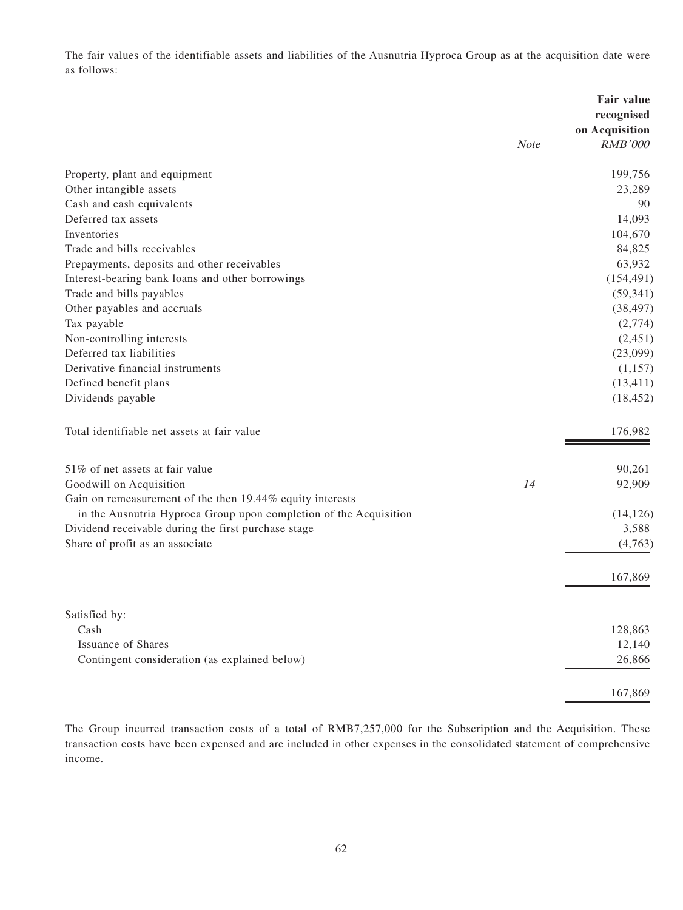The fair values of the identifiable assets and liabilities of the Ausnutria Hyproca Group as at the acquisition date were as follows:

|                                                                   | <b>Note</b> | Fair value<br>recognised<br>on Acquisition<br><b>RMB'000</b> |
|-------------------------------------------------------------------|-------------|--------------------------------------------------------------|
| Property, plant and equipment                                     |             | 199,756                                                      |
| Other intangible assets                                           |             | 23,289                                                       |
| Cash and cash equivalents                                         |             | 90                                                           |
| Deferred tax assets                                               |             | 14,093                                                       |
| Inventories                                                       |             | 104,670                                                      |
| Trade and bills receivables                                       |             | 84,825                                                       |
| Prepayments, deposits and other receivables                       |             | 63,932                                                       |
| Interest-bearing bank loans and other borrowings                  |             | (154, 491)                                                   |
| Trade and bills payables                                          |             | (59, 341)                                                    |
| Other payables and accruals                                       |             | (38, 497)                                                    |
| Tax payable                                                       |             | (2,774)                                                      |
| Non-controlling interests                                         |             | (2,451)                                                      |
| Deferred tax liabilities                                          |             | (23,099)                                                     |
| Derivative financial instruments                                  |             | (1,157)                                                      |
| Defined benefit plans                                             |             | (13, 411)                                                    |
| Dividends payable                                                 |             | (18, 452)                                                    |
| Total identifiable net assets at fair value                       |             | 176,982                                                      |
| 51% of net assets at fair value                                   |             | 90,261                                                       |
| Goodwill on Acquisition                                           | 14          | 92,909                                                       |
| Gain on remeasurement of the then 19.44% equity interests         |             |                                                              |
| in the Ausnutria Hyproca Group upon completion of the Acquisition |             | (14, 126)                                                    |
| Dividend receivable during the first purchase stage               |             | 3,588                                                        |
| Share of profit as an associate                                   |             | (4,763)                                                      |
|                                                                   |             | 167,869                                                      |
|                                                                   |             |                                                              |
| Satisfied by:                                                     |             |                                                              |
| Cash                                                              |             | 128,863                                                      |
| <b>Issuance of Shares</b>                                         |             | 12,140                                                       |
| Contingent consideration (as explained below)                     |             | 26,866                                                       |
|                                                                   |             | 167,869                                                      |

The Group incurred transaction costs of a total of RMB7,257,000 for the Subscription and the Acquisition. These transaction costs have been expensed and are included in other expenses in the consolidated statement of comprehensive income.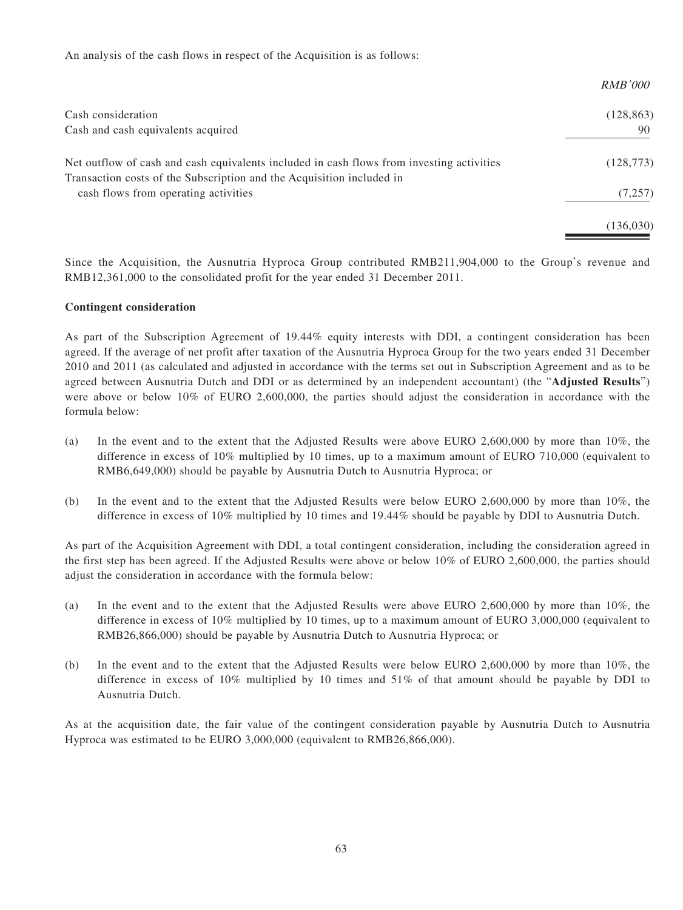An analysis of the cash flows in respect of the Acquisition is as follows:

| <i>RMB'000</i> |
|----------------|
| (128, 863)     |
| 90             |
| (128, 773)     |
| (7,257)        |
| (136,030)      |
|                |

Since the Acquisition, the Ausnutria Hyproca Group contributed RMB211,904,000 to the Group's revenue and RMB12,361,000 to the consolidated profit for the year ended 31 December 2011.

#### **Contingent consideration**

As part of the Subscription Agreement of 19.44% equity interests with DDI, a contingent consideration has been agreed. If the average of net profit after taxation of the Ausnutria Hyproca Group for the two years ended 31 December 2010 and 2011 (as calculated and adjusted in accordance with the terms set out in Subscription Agreement and as to be agreed between Ausnutria Dutch and DDI or as determined by an independent accountant) (the "**Adjusted Results**") were above or below 10% of EURO 2,600,000, the parties should adjust the consideration in accordance with the formula below:

- (a) In the event and to the extent that the Adjusted Results were above EURO 2,600,000 by more than 10%, the difference in excess of 10% multiplied by 10 times, up to a maximum amount of EURO 710,000 (equivalent to RMB6,649,000) should be payable by Ausnutria Dutch to Ausnutria Hyproca; or
- (b) In the event and to the extent that the Adjusted Results were below EURO 2,600,000 by more than 10%, the difference in excess of 10% multiplied by 10 times and 19.44% should be payable by DDI to Ausnutria Dutch.

As part of the Acquisition Agreement with DDI, a total contingent consideration, including the consideration agreed in the first step has been agreed. If the Adjusted Results were above or below 10% of EURO 2,600,000, the parties should adjust the consideration in accordance with the formula below:

- (a) In the event and to the extent that the Adjusted Results were above EURO 2,600,000 by more than 10%, the difference in excess of 10% multiplied by 10 times, up to a maximum amount of EURO 3,000,000 (equivalent to RMB26,866,000) should be payable by Ausnutria Dutch to Ausnutria Hyproca; or
- (b) In the event and to the extent that the Adjusted Results were below EURO 2,600,000 by more than 10%, the difference in excess of 10% multiplied by 10 times and 51% of that amount should be payable by DDI to Ausnutria Dutch.

As at the acquisition date, the fair value of the contingent consideration payable by Ausnutria Dutch to Ausnutria Hyproca was estimated to be EURO 3,000,000 (equivalent to RMB26,866,000).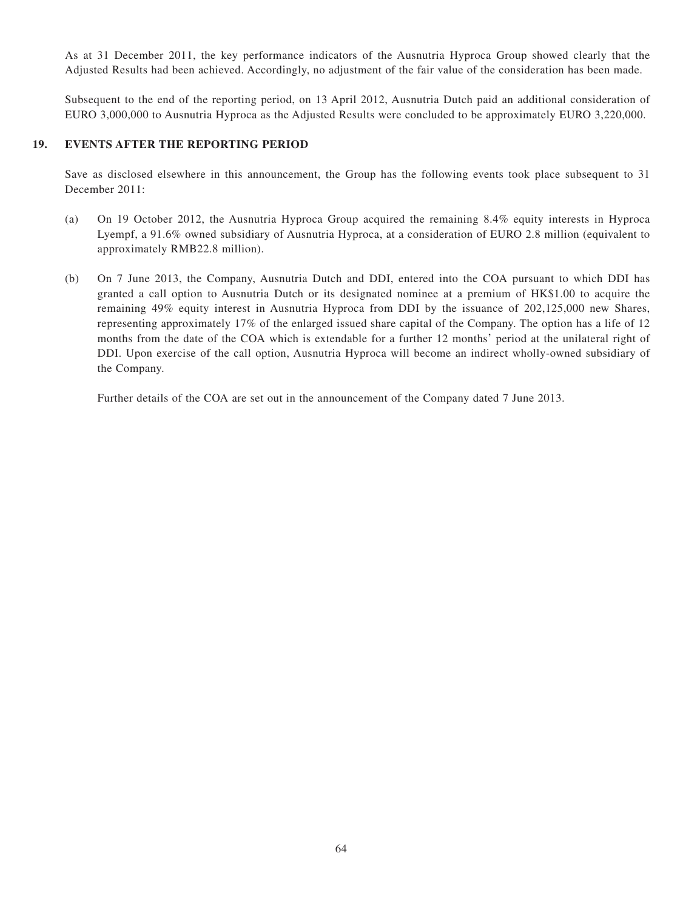As at 31 December 2011, the key performance indicators of the Ausnutria Hyproca Group showed clearly that the Adjusted Results had been achieved. Accordingly, no adjustment of the fair value of the consideration has been made.

Subsequent to the end of the reporting period, on 13 April 2012, Ausnutria Dutch paid an additional consideration of EURO 3,000,000 to Ausnutria Hyproca as the Adjusted Results were concluded to be approximately EURO 3,220,000.

#### **19. EVENTS AFTER THE REPORTING PERIOD**

Save as disclosed elsewhere in this announcement, the Group has the following events took place subsequent to 31 December 2011:

- (a) On 19 October 2012, the Ausnutria Hyproca Group acquired the remaining 8.4% equity interests in Hyproca Lyempf, a 91.6% owned subsidiary of Ausnutria Hyproca, at a consideration of EURO 2.8 million (equivalent to approximately RMB22.8 million).
- (b) On 7 June 2013, the Company, Ausnutria Dutch and DDI, entered into the COA pursuant to which DDI has granted a call option to Ausnutria Dutch or its designated nominee at a premium of HK\$1.00 to acquire the remaining 49% equity interest in Ausnutria Hyproca from DDI by the issuance of 202,125,000 new Shares, representing approximately 17% of the enlarged issued share capital of the Company. The option has a life of 12 months from the date of the COA which is extendable for a further 12 months' period at the unilateral right of DDI. Upon exercise of the call option, Ausnutria Hyproca will become an indirect wholly-owned subsidiary of the Company.

Further details of the COA are set out in the announcement of the Company dated 7 June 2013.